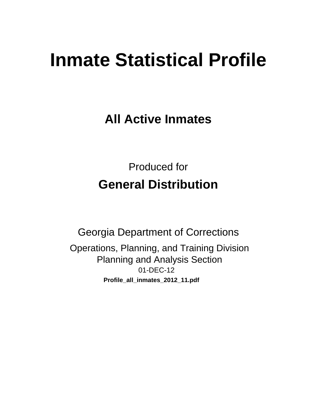# **Inmate Statistical Profile**

**All Active Inmates** 

**Produced for General Distribution** 

**Georgia Department of Corrections** Operations, Planning, and Training Division **Planning and Analysis Section** 01-DEC-12 Profile\_all\_inmates\_2012\_11.pdf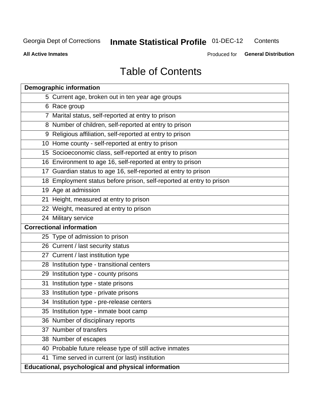#### **Inmate Statistical Profile 01-DEC-12** Contents

**All Active Inmates** 

Produced for General Distribution

# **Table of Contents**

|    | <b>Demographic information</b>                                       |
|----|----------------------------------------------------------------------|
|    | 5 Current age, broken out in ten year age groups                     |
|    | 6 Race group                                                         |
|    | 7 Marital status, self-reported at entry to prison                   |
|    | 8 Number of children, self-reported at entry to prison               |
|    | 9 Religious affiliation, self-reported at entry to prison            |
|    | 10 Home county - self-reported at entry to prison                    |
|    | 15 Socioeconomic class, self-reported at entry to prison             |
|    | 16 Environment to age 16, self-reported at entry to prison           |
|    | 17 Guardian status to age 16, self-reported at entry to prison       |
|    | 18 Employment status before prison, self-reported at entry to prison |
|    | 19 Age at admission                                                  |
|    | 21 Height, measured at entry to prison                               |
|    | 22 Weight, measured at entry to prison                               |
|    | 24 Military service                                                  |
|    | <b>Correctional information</b>                                      |
|    | 25 Type of admission to prison                                       |
|    | 26 Current / last security status                                    |
|    | 27 Current / last institution type                                   |
|    | 28 Institution type - transitional centers                           |
|    | 29 Institution type - county prisons                                 |
| 31 | Institution type - state prisons                                     |
|    | 33 Institution type - private prisons                                |
|    | 34 Institution type - pre-release centers                            |
|    | 35 Institution type - inmate boot camp                               |
|    | 36 Number of disciplinary reports                                    |
|    | 37 Number of transfers                                               |
|    | 38 Number of escapes                                                 |
|    | 40 Probable future release type of still active inmates              |
|    | 41 Time served in current (or last) institution                      |
|    | Educational, psychological and physical information                  |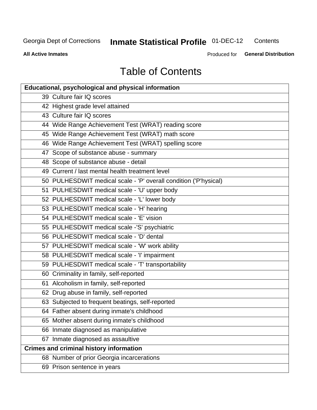#### **Inmate Statistical Profile 01-DEC-12** Contents

**All Active Inmates** 

Produced for General Distribution

# **Table of Contents**

| <b>Educational, psychological and physical information</b>       |
|------------------------------------------------------------------|
| 39 Culture fair IQ scores                                        |
| 42 Highest grade level attained                                  |
| 43 Culture fair IQ scores                                        |
| 44 Wide Range Achievement Test (WRAT) reading score              |
| 45 Wide Range Achievement Test (WRAT) math score                 |
| 46 Wide Range Achievement Test (WRAT) spelling score             |
| 47 Scope of substance abuse - summary                            |
| 48 Scope of substance abuse - detail                             |
| 49 Current / last mental health treatment level                  |
| 50 PULHESDWIT medical scale - 'P' overall condition ('P'hysical) |
| 51 PULHESDWIT medical scale - 'U' upper body                     |
| 52 PULHESDWIT medical scale - 'L' lower body                     |
| 53 PULHESDWIT medical scale - 'H' hearing                        |
| 54 PULHESDWIT medical scale - 'E' vision                         |
| 55 PULHESDWIT medical scale -'S' psychiatric                     |
| 56 PULHESDWIT medical scale - 'D' dental                         |
| 57 PULHESDWIT medical scale - 'W' work ability                   |
| 58 PULHESDWIT medical scale - 'I' impairment                     |
| 59 PULHESDWIT medical scale - 'T' transportability               |
| 60 Criminality in family, self-reported                          |
| 61 Alcoholism in family, self-reported                           |
| 62 Drug abuse in family, self-reported                           |
| 63 Subjected to frequent beatings, self-reported                 |
| 64 Father absent during inmate's childhood                       |
| 65 Mother absent during inmate's childhood                       |
| 66 Inmate diagnosed as manipulative                              |
| 67 Inmate diagnosed as assaultive                                |
| <b>Crimes and criminal history information</b>                   |
| 68 Number of prior Georgia incarcerations                        |
| 69 Prison sentence in years                                      |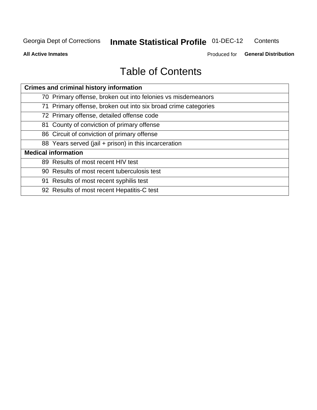#### **Inmate Statistical Profile 01-DEC-12** Contents

**All Active Inmates** 

Produced for General Distribution

# **Table of Contents**

| <b>Crimes and criminal history information</b>                 |
|----------------------------------------------------------------|
| 70 Primary offense, broken out into felonies vs misdemeanors   |
| 71 Primary offense, broken out into six broad crime categories |
| 72 Primary offense, detailed offense code                      |
| 81 County of conviction of primary offense                     |
| 86 Circuit of conviction of primary offense                    |
| 88 Years served (jail + prison) in this incarceration          |
| <b>Medical information</b>                                     |
| 89 Results of most recent HIV test                             |
| 90 Results of most recent tuberculosis test                    |
| 91 Results of most recent syphilis test                        |
| 92 Results of most recent Hepatitis-C test                     |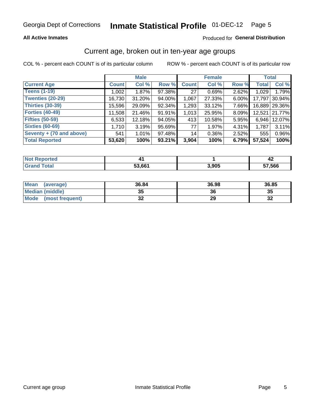#### **All Active Inmates**

#### Produced for General Distribution

### Current age, broken out in ten-year age groups

COL % - percent each COUNT is of its particular column

|                          |              | <b>Male</b> |        |              | <b>Female</b> |          | <b>Total</b> |               |
|--------------------------|--------------|-------------|--------|--------------|---------------|----------|--------------|---------------|
| <b>Current Age</b>       | <b>Count</b> | Col %       | Row %  | <b>Count</b> | Col %         | Row %    | <b>Total</b> | Col %         |
| <b>Teens (1-19)</b>      | 1,002        | 1.87%       | 97.38% | 27           | 0.69%         | 2.62%    | 1,029        | 1.79%         |
| <b>Twenties (20-29)</b>  | 16,730       | 31.20%      | 94.00% | 1,067        | 27.33%        | $6.00\%$ | 17,797       | 30.94%        |
| <b>Thirties (30-39)</b>  | 15,596       | 29.09%      | 92.34% | 1,293        | 33.12%        | 7.66%    |              | 16,889 29.36% |
| <b>Forties (40-49)</b>   | 11,508       | 21.46%      | 91.91% | 1,013        | 25.95%        | 8.09%    | 12,521       | 21.77%        |
| <b>Fifties (50-59)</b>   | 6,533        | 12.18%      | 94.05% | 413          | 10.58%        | 5.95%    | 6,946        | 12.07%        |
| <b>Sixties (60-69)</b>   | 1,710        | 3.19%       | 95.69% | 77           | 1.97%         | 4.31%    | 1,787        | 3.11%         |
| Seventy + (70 and above) | 541          | 1.01%       | 97.48% | 14           | 0.36%         | $2.52\%$ | 555          | 0.96%         |
| <b>Total Reported</b>    | 53,620       | 100%        | 93.21% | 3,904        | 100%          | 6.79%    | 57,524       | 100%          |

| <b>Not Reported</b>   |        |       | 42     |
|-----------------------|--------|-------|--------|
| <b>Total</b><br>Grand | 53,661 | 3,905 | 57,566 |

| <b>Mean</b><br>(average) | 36.84    | 36.98 | 36.85      |
|--------------------------|----------|-------|------------|
| Median (middle)          | つん<br>vu | 36    | 35         |
| Mode<br>(most frequent)  | n,<br>◡▴ | 29    | - 20<br>⊾ت |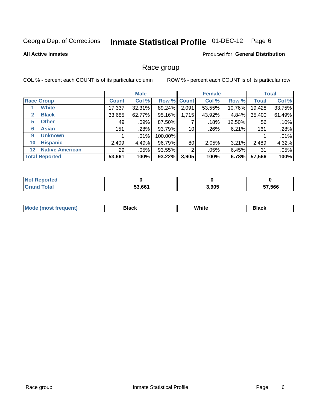#### **Inmate Statistical Profile 01-DEC-12** Page 6

#### **All Active Inmates**

#### Produced for General Distribution

### Race group

COL % - percent each COUNT is of its particular column

|                                   |                 | <b>Male</b> |         |             | <b>Female</b> |        |              | <b>Total</b> |
|-----------------------------------|-----------------|-------------|---------|-------------|---------------|--------|--------------|--------------|
| <b>Race Group</b>                 | <b>Count</b>    | Col %       |         | Row % Count | Col %         | Row %  | <b>Total</b> | Col %        |
| <b>White</b>                      | 17,337          | 32.31%      | 89.24%  | 2,091       | 53.55%        | 10.76% | 19,428       | 33.75%       |
| <b>Black</b><br>2                 | 33,685          | 62.77%      | 95.16%  | 1,715       | 43.92%        | 4.84%  | 35,400       | 61.49%       |
| <b>Other</b><br>5.                | 49              | .09%        | 87.50%  |             | .18%          | 12.50% | 56           | .10%         |
| <b>Asian</b><br>6                 | 151             | .28%        | 93.79%  | 10          | .26%          | 6.21%  | 161          | .28%         |
| <b>Unknown</b><br>9               |                 | $.01\%$     | 100.00% |             |               |        |              | .01%         |
| <b>Hispanic</b><br>10             | 2,409           | 4.49%       | 96.79%  | 80          | 2.05%         | 3.21%  | 2,489        | 4.32%        |
| <b>Native American</b><br>$12 \,$ | 29 <sub>1</sub> | $.05\%$     | 93.55%  | 2           | .05%          | 6.45%  | 31           | .05%         |
| <b>Total Reported</b>             | 53,661          | 100%        | 93.22%  | 3,905       | 100%          | 6.78%  | 57,566       | 100%         |

| <b>Not Reported</b> |        |       |        |
|---------------------|--------|-------|--------|
| Total               | 53,661 | 3,905 | 57,566 |

| M.<br>____ | . | ------- |
|------------|---|---------|
|            |   |         |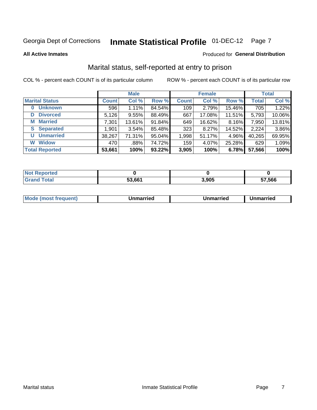# Inmate Statistical Profile 01-DEC-12 Page 7

**All Active Inmates** 

#### Produced for General Distribution

### Marital status, self-reported at entry to prison

COL % - percent each COUNT is of its particular column

|                            |              | <b>Male</b> |        |              | <b>Female</b> |        |              | <b>Total</b> |
|----------------------------|--------------|-------------|--------|--------------|---------------|--------|--------------|--------------|
| <b>Marital Status</b>      | <b>Count</b> | Col %       | Row %  | <b>Count</b> | Col %         | Row %  | <b>Total</b> | Col %        |
| <b>Unknown</b><br>$\bf{0}$ | 596          | 1.11%       | 84.54% | 109          | 2.79%         | 15.46% | 705          | 1.22%        |
| <b>Divorced</b><br>D       | 5,126        | 9.55%       | 88.49% | 667          | 17.08%        | 11.51% | 5,793        | 10.06%       |
| <b>Married</b><br>M        | 7,301        | 13.61%      | 91.84% | 649          | 16.62%        | 8.16%  | 7,950        | 13.81%       |
| <b>S</b> Separated         | 1,901        | 3.54%       | 85.48% | 323          | 8.27%         | 14.52% | 2,224        | 3.86%        |
| <b>Unmarried</b><br>U      | 38,267       | 71.31%      | 95.04% | 1,998        | 51.17%        | 4.96%  | 40,265       | 69.95%       |
| <b>Widow</b><br>W          | 470          | .88%        | 74.72% | 159          | 4.07%         | 25.28% | 629          | 1.09%        |
| <b>Total Reported</b>      | 53,661       | 100%        | 93.22% | 3,905        | 100%          | 6.78%  | 57,566       | 100%         |

| orted<br>NO |        |       |       |
|-------------|--------|-------|-------|
| $\sim$ 100  | 52.664 | 2 OUE | 7.566 |

| <b>Mode (most frequent)</b><br>Unmarried<br>Unmarried<br>Jnmarried |
|--------------------------------------------------------------------|
|--------------------------------------------------------------------|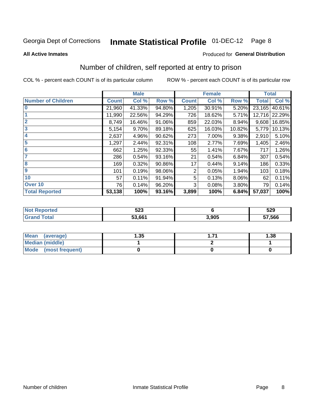# Inmate Statistical Profile 01-DEC-12 Page 8

#### **All Active Inmates**

#### **Produced for General Distribution**

# Number of children, self reported at entry to prison

COL % - percent each COUNT is of its particular column

|                           |              | <b>Male</b> |        |              | <b>Female</b> |        | <b>Total</b> |               |
|---------------------------|--------------|-------------|--------|--------------|---------------|--------|--------------|---------------|
| <b>Number of Children</b> | <b>Count</b> | Col %       | Row %  | <b>Count</b> | Col %         | Row %  | <b>Total</b> | Col %         |
| 10                        | 21,960       | 41.33%      | 94.80% | 1,205        | 30.91%        | 5.20%  | 23,165       | 40.61%        |
|                           | 11,990       | 22.56%      | 94.29% | 726          | 18.62%        | 5.71%  |              | 12,716 22.29% |
| $\overline{2}$            | 8,749        | 16.46%      | 91.06% | 859          | 22.03%        | 8.94%  | 9,608        | 16.85%        |
| $\overline{\mathbf{3}}$   | 5,154        | 9.70%       | 89.18% | 625          | 16.03%        | 10.82% | 5,779        | 10.13%        |
| $\overline{\mathbf{4}}$   | 2,637        | 4.96%       | 90.62% | 273          | 7.00%         | 9.38%  | 2,910        | 5.10%         |
| 5                         | 1,297        | 2.44%       | 92.31% | 108          | 2.77%         | 7.69%  | 1,405        | 2.46%         |
| $6\phantom{1}6$           | 662          | 1.25%       | 92.33% | 55           | 1.41%         | 7.67%  | 717          | 1.26%         |
| 7                         | 286          | 0.54%       | 93.16% | 21           | 0.54%         | 6.84%  | 307          | 0.54%         |
| 8                         | 169          | 0.32%       | 90.86% | 17           | 0.44%         | 9.14%  | 186          | 0.33%         |
| 9                         | 101          | 0.19%       | 98.06% | 2            | 0.05%         | 1.94%  | 103          | 0.18%         |
| 10                        | 57           | 0.11%       | 91.94% | 5            | 0.13%         | 8.06%  | 62           | 0.11%         |
| Over 10                   | 76           | 0.14%       | 96.20% | 3            | 0.08%         | 3.80%  | 79           | 0.14%         |
| <b>Total Reported</b>     | 53,138       | 100%        | 93.16% | 3,899        | 100%          | 6.84%  | 57,037       | 100%          |

| N    | にへへ<br>ວ∠ວ |       | 529    |
|------|------------|-------|--------|
| υιαι | 53.661     | 3.905 | 57,566 |

| <b>Mean</b><br>(average) | l.35 | 1.38 |  |  |
|--------------------------|------|------|--|--|
| Median (middle)          |      |      |  |  |
| Mode<br>(most frequent)  |      |      |  |  |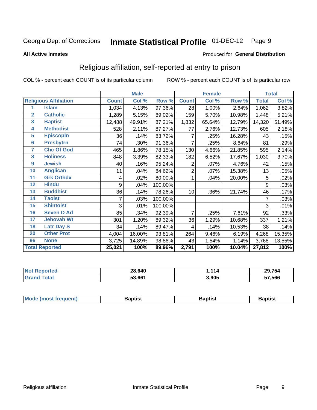#### **Inmate Statistical Profile 01-DEC-12** Page 9

#### **All Active Inmates**

#### Produced for General Distribution

### Religious affiliation, self-reported at entry to prison

COL % - percent each COUNT is of its particular column

|                         |                              |              | <b>Male</b> |                  |                | <b>Female</b> |        |              | <b>Total</b> |
|-------------------------|------------------------------|--------------|-------------|------------------|----------------|---------------|--------|--------------|--------------|
|                         | <b>Religious Affiliation</b> | <b>Count</b> | Col %       | Row <sup>%</sup> | <b>Count</b>   | Col %         | Row %  | <b>Total</b> | Col %        |
| 1                       | <b>Islam</b>                 | 1,034        | 4.13%       | 97.36%           | 28             | 1.00%         | 2.64%  | 1,062        | 3.82%        |
| $\overline{2}$          | <b>Catholic</b>              | 1,289        | 5.15%       | 89.02%           | 159            | 5.70%         | 10.98% | 1,448        | 5.21%        |
| $\overline{\mathbf{3}}$ | <b>Baptist</b>               | 12,488       | 49.91%      | 87.21%           | 1,832          | 65.64%        | 12.79% | 14,320       | 51.49%       |
| 4                       | <b>Methodist</b>             | 528          | 2.11%       | 87.27%           | 77             | 2.76%         | 12.73% | 605          | 2.18%        |
| $\overline{5}$          | <b>EpiscopIn</b>             | 36           | .14%        | 83.72%           | 7              | .25%          | 16.28% | 43           | .15%         |
| $6\overline{6}$         | <b>Presbytrn</b>             | 74           | .30%        | 91.36%           | $\overline{7}$ | .25%          | 8.64%  | 81           | .29%         |
| 7                       | <b>Chc Of God</b>            | 465          | 1.86%       | 78.15%           | 130            | 4.66%         | 21.85% | 595          | 2.14%        |
| 8                       | <b>Holiness</b>              | 848          | 3.39%       | 82.33%           | 182            | 6.52%         | 17.67% | 1,030        | 3.70%        |
| $\boldsymbol{9}$        | <b>Jewish</b>                | 40           | .16%        | 95.24%           | 2              | $.07\%$       | 4.76%  | 42           | .15%         |
| 10                      | <b>Anglican</b>              | 11           | .04%        | 84.62%           | 2              | .07%          | 15.38% | 13           | .05%         |
| 11                      | <b>Grk Orthdx</b>            | 4            | .02%        | 80.00%           | 1              | .04%          | 20.00% | 5            | .02%         |
| 12                      | <b>Hindu</b>                 | 9            | .04%        | 100.00%          |                |               |        | 9            | .03%         |
| 13                      | <b>Buddhist</b>              | 36           | .14%        | 78.26%           | 10             | .36%          | 21.74% | 46           | .17%         |
| 14                      | <b>Taoist</b>                |              | .03%        | 100.00%          |                |               |        | 7            | .03%         |
| 15                      | <b>Shintoist</b>             | 3            | .01%        | 100.00%          |                |               |        | 3            | .01%         |
| 16                      | <b>Seven D Ad</b>            | 85           | .34%        | 92.39%           | 7              | .25%          | 7.61%  | 92           | .33%         |
| 17                      | <b>Jehovah Wt</b>            | 301          | 1.20%       | 89.32%           | 36             | 1.29%         | 10.68% | 337          | 1.21%        |
| 18                      | <b>Latr Day S</b>            | 34           | .14%        | 89.47%           | 4              | .14%          | 10.53% | 38           | .14%         |
| 20                      | <b>Other Prot</b>            | 4,004        | 16.00%      | 93.81%           | 264            | 9.46%         | 6.19%  | 4,268        | 15.35%       |
| 96                      | <b>None</b>                  | 3,725        | 14.89%      | 98.86%           | 43             | 1.54%         | 1.14%  | 3,768        | 13.55%       |
|                         | <b>Total Reported</b>        | 25,021       | 100%        | 89.96%           | 2,791          | 100%          | 10.04% | 27,812       | 100%         |

| 28,640            | 114   | 29,754 |
|-------------------|-------|--------|
| 5366 <sup>4</sup> | 3,905 | 57,566 |

| Mode (most frequent) | <b>3aptist</b> | 3aptist | <b>Baptist</b> |
|----------------------|----------------|---------|----------------|
|                      |                |         |                |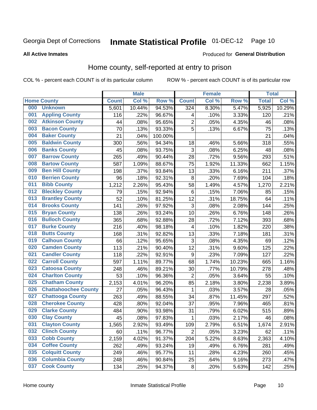# Inmate Statistical Profile 01-DEC-12 Page 10

#### **All Active Inmates**

#### Produced for General Distribution

### Home county, self-reported at entry to prison

COL % - percent each COUNT is of its particular column

|     |                             |              | <b>Male</b> |                  |                | <b>Female</b> |        | <b>Total</b> |        |
|-----|-----------------------------|--------------|-------------|------------------|----------------|---------------|--------|--------------|--------|
|     | <b>Home County</b>          | <b>Count</b> | Col %       | Row <sup>%</sup> | <b>Count</b>   | Col %         | Row %  | <b>Total</b> | Col %  |
| 000 | <b>Unknown</b>              | 5,601        | 10.44%      | 94.53%           | 324            | 8.30%         | 5.47%  | 5,925        | 10.29% |
| 001 | <b>Appling County</b>       | 116          | .22%        | 96.67%           | 4              | .10%          | 3.33%  | 120          | .21%   |
| 002 | <b>Atkinson County</b>      | 44           | .08%        | 95.65%           | $\overline{c}$ | .05%          | 4.35%  | 46           | .08%   |
| 003 | <b>Bacon County</b>         | 70           | .13%        | 93.33%           | 5              | .13%          | 6.67%  | 75           | .13%   |
| 004 | <b>Baker County</b>         | 21           | .04%        | 100.00%          |                |               |        | 21           | .04%   |
| 005 | <b>Baldwin County</b>       | 300          | .56%        | 94.34%           | 18             | .46%          | 5.66%  | 318          | .55%   |
| 006 | <b>Banks County</b>         | 45           | .08%        | 93.75%           | 3              | .08%          | 6.25%  | 48           | .08%   |
| 007 | <b>Barrow County</b>        | 265          | .49%        | 90.44%           | 28             | .72%          | 9.56%  | 293          | .51%   |
| 008 | <b>Bartow County</b>        | 587          | 1.09%       | 88.67%           | 75             | 1.92%         | 11.33% | 662          | 1.15%  |
| 009 | <b>Ben Hill County</b>      | 198          | .37%        | 93.84%           | 13             | .33%          | 6.16%  | 211          | .37%   |
| 010 | <b>Berrien County</b>       | 96           | .18%        | 92.31%           | 8              | .20%          | 7.69%  | 104          | .18%   |
| 011 | <b>Bibb County</b>          | 1,212        | 2.26%       | 95.43%           | 58             | 1.49%         | 4.57%  | 1,270        | 2.21%  |
| 012 | <b>Bleckley County</b>      | 79           | .15%        | 92.94%           | $\,6$          | .15%          | 7.06%  | 85           | .15%   |
| 013 | <b>Brantley County</b>      | 52           | .10%        | 81.25%           | 12             | .31%          | 18.75% | 64           | .11%   |
| 014 | <b>Brooks County</b>        | 141          | .26%        | 97.92%           | 3              | .08%          | 2.08%  | 144          | .25%   |
| 015 | <b>Bryan County</b>         | 138          | .26%        | 93.24%           | 10             | .26%          | 6.76%  | 148          | .26%   |
| 016 | <b>Bulloch County</b>       | 365          | .68%        | 92.88%           | 28             | .72%          | 7.12%  | 393          | .68%   |
| 017 | <b>Burke County</b>         | 216          | .40%        | 98.18%           | 4              | .10%          | 1.82%  | 220          | .38%   |
| 018 | <b>Butts County</b>         | 168          | .31%        | 92.82%           | 13             | .33%          | 7.18%  | 181          | .31%   |
| 019 | <b>Calhoun County</b>       | 66           | .12%        | 95.65%           | 3              | .08%          | 4.35%  | 69           | .12%   |
| 020 | <b>Camden County</b>        | 113          | .21%        | 90.40%           | 12             | .31%          | 9.60%  | 125          | .22%   |
| 021 | <b>Candler County</b>       | 118          | .22%        | 92.91%           | 9              | .23%          | 7.09%  | 127          | .22%   |
| 022 | <b>Carroll County</b>       | 597          | 1.11%       | 89.77%           | 68             | 1.74%         | 10.23% | 665          | 1.16%  |
| 023 | <b>Catoosa County</b>       | 248          | .46%        | 89.21%           | 30             | .77%          | 10.79% | 278          | .48%   |
| 024 | <b>Charlton County</b>      | 53           | .10%        | 96.36%           | $\overline{c}$ | .05%          | 3.64%  | 55           | .10%   |
| 025 | <b>Chatham County</b>       | 2,153        | 4.01%       | 96.20%           | 85             | 2.18%         | 3.80%  | 2,238        | 3.89%  |
| 026 | <b>Chattahoochee County</b> | 27           | .05%        | 96.43%           | 1              | .03%          | 3.57%  | 28           | .05%   |
| 027 | <b>Chattooga County</b>     | 263          | .49%        | 88.55%           | 34             | .87%          | 11.45% | 297          | .52%   |
| 028 | <b>Cherokee County</b>      | 428          | .80%        | 92.04%           | 37             | .95%          | 7.96%  | 465          | .81%   |
| 029 | <b>Clarke County</b>        | 484          | .90%        | 93.98%           | 31             | .79%          | 6.02%  | 515          | .89%   |
| 030 | <b>Clay County</b>          | 45           | .08%        | 97.83%           | 1              | .03%          | 2.17%  | 46           | .08%   |
| 031 | <b>Clayton County</b>       | 1,565        | 2.92%       | 93.49%           | 109            | 2.79%         | 6.51%  | 1,674        | 2.91%  |
| 032 | <b>Clinch County</b>        | 60           | .11%        | 96.77%           | $\overline{2}$ | .05%          | 3.23%  | 62           | .11%   |
| 033 | <b>Cobb County</b>          | 2,159        | 4.02%       | 91.37%           | 204            | 5.22%         | 8.63%  | 2,363        | 4.10%  |
| 034 | <b>Coffee County</b>        | 262          | .49%        | 93.24%           | 19             | .49%          | 6.76%  | 281          | .49%   |
| 035 | <b>Colquitt County</b>      | 249          | .46%        | 95.77%           | 11             | .28%          | 4.23%  | 260          | .45%   |
| 036 | <b>Columbia County</b>      | 248          | .46%        | 90.84%           | 25             | .64%          | 9.16%  | 273          | .47%   |
| 037 | <b>Cook County</b>          | 134          | .25%        | 94.37%           | $\bf 8$        | .20%          | 5.63%  | 142          | .25%   |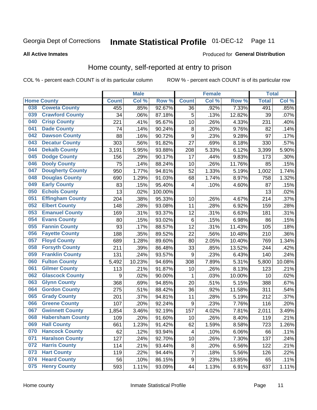# Inmate Statistical Profile 01-DEC-12 Page 11

**All Active Inmates** 

#### Produced for General Distribution

### Home county, self-reported at entry to prison

COL % - percent each COUNT is of its particular column

|     |                         |              | <b>Male</b> |         |                  | <b>Female</b> |        | <b>Total</b> |         |
|-----|-------------------------|--------------|-------------|---------|------------------|---------------|--------|--------------|---------|
|     | <b>Home County</b>      | <b>Count</b> | Col %       | Row %   | <b>Count</b>     | Col %         | Row %  | <b>Total</b> | Col %   |
| 038 | <b>Coweta County</b>    | 455          | .85%        | 92.67%  | 36               | .92%          | 7.33%  | 491          | $.85\%$ |
| 039 | <b>Crawford County</b>  | 34           | .06%        | 87.18%  | 5                | .13%          | 12.82% | 39           | .07%    |
| 040 | <b>Crisp County</b>     | 221          | .41%        | 95.67%  | 10               | .26%          | 4.33%  | 231          | .40%    |
| 041 | <b>Dade County</b>      | 74           | .14%        | 90.24%  | 8                | .20%          | 9.76%  | 82           | .14%    |
| 042 | <b>Dawson County</b>    | 88           | .16%        | 90.72%  | 9                | .23%          | 9.28%  | 97           | .17%    |
| 043 | <b>Decatur County</b>   | 303          | .56%        | 91.82%  | 27               | .69%          | 8.18%  | 330          | .57%    |
| 044 | <b>Dekalb County</b>    | 3,191        | 5.95%       | 93.88%  | 208              | 5.33%         | 6.12%  | 3,399        | 5.90%   |
| 045 | <b>Dodge County</b>     | 156          | .29%        | 90.17%  | 17               | .44%          | 9.83%  | 173          | .30%    |
| 046 | <b>Dooly County</b>     | 75           | .14%        | 88.24%  | 10               | .26%          | 11.76% | 85           | .15%    |
| 047 | <b>Dougherty County</b> | 950          | 1.77%       | 94.81%  | 52               | 1.33%         | 5.19%  | 1,002        | 1.74%   |
| 048 | <b>Douglas County</b>   | 690          | 1.29%       | 91.03%  | 68               | 1.74%         | 8.97%  | 758          | 1.32%   |
| 049 | <b>Early County</b>     | 83           | .15%        | 95.40%  | 4                | .10%          | 4.60%  | 87           | .15%    |
| 050 | <b>Echols County</b>    | 13           | .02%        | 100.00% |                  |               |        | 13           | .02%    |
| 051 | <b>Effingham County</b> | 204          | .38%        | 95.33%  | 10               | .26%          | 4.67%  | 214          | .37%    |
| 052 | <b>Elbert County</b>    | 148          | .28%        | 93.08%  | 11               | .28%          | 6.92%  | 159          | .28%    |
| 053 | <b>Emanuel County</b>   | 169          | .31%        | 93.37%  | 12               | .31%          | 6.63%  | 181          | .31%    |
| 054 | <b>Evans County</b>     | 80           | .15%        | 93.02%  | 6                | .15%          | 6.98%  | 86           | .15%    |
| 055 | <b>Fannin County</b>    | 93           | .17%        | 88.57%  | 12               | .31%          | 11.43% | 105          | .18%    |
| 056 | <b>Fayette County</b>   | 188          | .35%        | 89.52%  | 22               | .56%          | 10.48% | 210          | .36%    |
| 057 | <b>Floyd County</b>     | 689          | 1.28%       | 89.60%  | 80               | 2.05%         | 10.40% | 769          | 1.34%   |
| 058 | <b>Forsyth County</b>   | 211          | .39%        | 86.48%  | 33               | .85%          | 13.52% | 244          | .42%    |
| 059 | <b>Franklin County</b>  | 131          | .24%        | 93.57%  | 9                | .23%          | 6.43%  | 140          | .24%    |
| 060 | <b>Fulton County</b>    | 5,492        | 10.23%      | 94.69%  | 308              | 7.89%         | 5.31%  | 5,800        | 10.08%  |
| 061 | <b>Gilmer County</b>    | 113          | .21%        | 91.87%  | 10               | .26%          | 8.13%  | 123          | .21%    |
| 062 | <b>Glascock County</b>  | 9            | .02%        | 90.00%  | 1                | .03%          | 10.00% | 10           | .02%    |
| 063 | <b>Glynn County</b>     | 368          | .69%        | 94.85%  | 20               | .51%          | 5.15%  | 388          | .67%    |
| 064 | <b>Gordon County</b>    | 275          | .51%        | 88.42%  | 36               | .92%          | 11.58% | 311          | .54%    |
| 065 | <b>Grady County</b>     | 201          | .37%        | 94.81%  | 11               | .28%          | 5.19%  | 212          | .37%    |
| 066 | <b>Greene County</b>    | 107          | .20%        | 92.24%  | 9                | .23%          | 7.76%  | 116          | .20%    |
| 067 | <b>Gwinnett County</b>  | 1,854        | 3.46%       | 92.19%  | 157              | 4.02%         | 7.81%  | 2,011        | 3.49%   |
| 068 | <b>Habersham County</b> | 109          | .20%        | 91.60%  | 10               | .26%          | 8.40%  | 119          | .21%    |
| 069 | <b>Hall County</b>      | 661          | 1.23%       | 91.42%  | 62               | 1.59%         | 8.58%  | 723          | 1.26%   |
| 070 | <b>Hancock County</b>   | 62           | .12%        | 93.94%  | 4                | .10%          | 6.06%  | 66           | .11%    |
| 071 | <b>Haralson County</b>  | 127          | .24%        | 92.70%  | 10               | .26%          | 7.30%  | 137          | .24%    |
| 072 | <b>Harris County</b>    | 114          | .21%        | 93.44%  | 8                | .20%          | 6.56%  | 122          | .21%    |
| 073 | <b>Hart County</b>      | 119          | .22%        | 94.44%  | $\overline{7}$   | .18%          | 5.56%  | 126          | .22%    |
| 074 | <b>Heard County</b>     | 56           | .10%        | 86.15%  | $\boldsymbol{9}$ | .23%          | 13.85% | 65           | .11%    |
| 075 | <b>Henry County</b>     | 593          | 1.11%       | 93.09%  | 44               | 1.13%         | 6.91%  | 637          | 1.11%   |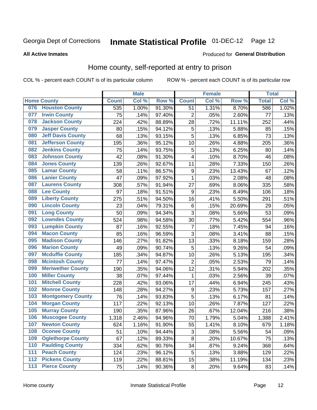# Inmate Statistical Profile 01-DEC-12 Page 12

#### **All Active Inmates**

#### Produced for General Distribution

### Home county, self-reported at entry to prison

COL % - percent each COUNT is of its particular column

|                  |                          |              | <b>Male</b> |        |                  | <b>Female</b> |        | <b>Total</b> |       |
|------------------|--------------------------|--------------|-------------|--------|------------------|---------------|--------|--------------|-------|
|                  | <b>Home County</b>       | <b>Count</b> | Col %       | Row %  | <b>Count</b>     | Col %         | Row %  | <b>Total</b> | Col % |
| 076              | <b>Houston County</b>    | 535          | 1.00%       | 91.30% | 51               | 1.31%         | 8.70%  | 586          | 1.02% |
| 077              | <b>Irwin County</b>      | 75           | .14%        | 97.40% | $\overline{2}$   | .05%          | 2.60%  | 77           | .13%  |
| 078              | <b>Jackson County</b>    | 224          | .42%        | 88.89% | 28               | .72%          | 11.11% | 252          | .44%  |
| 079              | <b>Jasper County</b>     | 80           | .15%        | 94.12% | 5                | .13%          | 5.88%  | 85           | .15%  |
| 080              | <b>Jeff Davis County</b> | 68           | .13%        | 93.15% | 5                | .13%          | 6.85%  | 73           | .13%  |
| 081              | <b>Jefferson County</b>  | 195          | .36%        | 95.12% | 10               | .26%          | 4.88%  | 205          | .36%  |
| 082              | <b>Jenkins County</b>    | 75           | .14%        | 93.75% | 5                | .13%          | 6.25%  | 80           | .14%  |
| 083              | <b>Johnson County</b>    | 42           | .08%        | 91.30% | 4                | .10%          | 8.70%  | 46           | .08%  |
| 084              | <b>Jones County</b>      | 139          | .26%        | 92.67% | 11               | .28%          | 7.33%  | 150          | .26%  |
| 085              | <b>Lamar County</b>      | 58           | .11%        | 86.57% | 9                | .23%          | 13.43% | 67           | .12%  |
| 086              | <b>Lanier County</b>     | 47           | .09%        | 97.92% | $\mathbf{1}$     | .03%          | 2.08%  | 48           | .08%  |
| 087              | <b>Laurens County</b>    | 308          | .57%        | 91.94% | 27               | .69%          | 8.06%  | 335          | .58%  |
| 088              | <b>Lee County</b>        | 97           | .18%        | 91.51% | 9                | .23%          | 8.49%  | 106          | .18%  |
| 089              | <b>Liberty County</b>    | 275          | .51%        | 94.50% | 16               | .41%          | 5.50%  | 291          | .51%  |
| 090              | <b>Lincoln County</b>    | 23           | .04%        | 79.31% | $\,6$            | .15%          | 20.69% | 29           | .05%  |
| 091              | <b>Long County</b>       | 50           | .09%        | 94.34% | 3                | .08%          | 5.66%  | 53           | .09%  |
| 092              | <b>Lowndes County</b>    | 524          | .98%        | 94.58% | 30               | .77%          | 5.42%  | 554          | .96%  |
| 093              | <b>Lumpkin County</b>    | 87           | .16%        | 92.55% | 7                | .18%          | 7.45%  | 94           | .16%  |
| 094              | <b>Macon County</b>      | 85           | .16%        | 96.59% | 3                | .08%          | 3.41%  | 88           | .15%  |
| 095              | <b>Madison County</b>    | 146          | .27%        | 91.82% | 13               | .33%          | 8.18%  | 159          | .28%  |
| 096              | <b>Marion County</b>     | 49           | .09%        | 90.74% | 5                | .13%          | 9.26%  | 54           | .09%  |
| 097              | <b>Mcduffie County</b>   | 185          | .34%        | 94.87% | 10               | .26%          | 5.13%  | 195          | .34%  |
| 098              | <b>Mcintosh County</b>   | 77           | .14%        | 97.47% | $\overline{2}$   | .05%          | 2.53%  | 79           | .14%  |
| 099              | <b>Meriwether County</b> | 190          | .35%        | 94.06% | 12               | .31%          | 5.94%  | 202          | .35%  |
| 100              | <b>Miller County</b>     | 38           | .07%        | 97.44% | 1                | .03%          | 2.56%  | 39           | .07%  |
| 101              | <b>Mitchell County</b>   | 228          | .42%        | 93.06% | 17               | .44%          | 6.94%  | 245          | .43%  |
| 102              | <b>Monroe County</b>     | 148          | .28%        | 94.27% | $\boldsymbol{9}$ | .23%          | 5.73%  | 157          | .27%  |
| 103              | <b>Montgomery County</b> | 76           | .14%        | 93.83% | 5                | .13%          | 6.17%  | 81           | .14%  |
| 104              | <b>Morgan County</b>     | 117          | .22%        | 92.13% | 10               | .26%          | 7.87%  | 127          | .22%  |
| 105              | <b>Murray County</b>     | 190          | .35%        | 87.96% | 26               | .67%          | 12.04% | 216          | .38%  |
| 106              | <b>Muscogee County</b>   | 1,318        | 2.46%       | 94.96% | 70               | 1.79%         | 5.04%  | 1,388        | 2.41% |
| 107              | <b>Newton County</b>     | 624          | 1.16%       | 91.90% | 55               | 1.41%         | 8.10%  | 679          | 1.18% |
| 108              | <b>Oconee County</b>     | 51           | .10%        | 94.44% | 3                | .08%          | 5.56%  | 54           | .09%  |
| 109              | <b>Oglethorpe County</b> | 67           | .12%        | 89.33% | 8                | .20%          | 10.67% | 75           | .13%  |
| 110              | <b>Paulding County</b>   | 334          | .62%        | 90.76% | 34               | .87%          | 9.24%  | 368          | .64%  |
| 111              | <b>Peach County</b>      | 124          | .23%        | 96.12% | 5                | .13%          | 3.88%  | 129          | .22%  |
| $\overline{112}$ | <b>Pickens County</b>    | 119          | .22%        | 88.81% | 15               | .38%          | 11.19% | 134          | .23%  |
| 113              | <b>Pierce County</b>     | 75           | .14%        | 90.36% | $\bf 8$          | .20%          | 9.64%  | 83           | .14%  |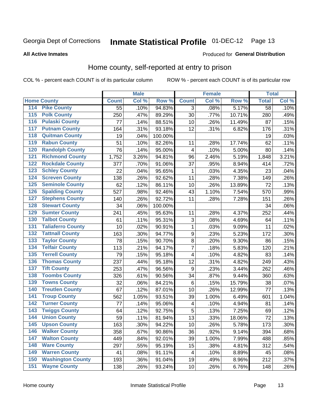# Inmate Statistical Profile 01-DEC-12 Page 13

#### **All Active Inmates**

#### Produced for General Distribution

### Home county, self-reported at entry to prison

COL % - percent each COUNT is of its particular column

|                    |                          |              | <b>Male</b> |                  |                  | <b>Female</b> |        | <b>Total</b> |         |
|--------------------|--------------------------|--------------|-------------|------------------|------------------|---------------|--------|--------------|---------|
| <b>Home County</b> |                          | <b>Count</b> | Col %       | Row <sup>%</sup> | <b>Count</b>     | Col %         | Row %  | <b>Total</b> | Col %   |
| 114                | <b>Pike County</b>       | 55           | .10%        | 94.83%           | 3                | .08%          | 5.17%  | 58           | .10%    |
| 115                | <b>Polk County</b>       | 250          | .47%        | 89.29%           | 30               | .77%          | 10.71% | 280          | .49%    |
| 116                | <b>Pulaski County</b>    | 77           | .14%        | 88.51%           | 10               | .26%          | 11.49% | 87           | .15%    |
| 117                | <b>Putnam County</b>     | 164          | .31%        | 93.18%           | 12               | .31%          | 6.82%  | 176          | .31%    |
| 118                | <b>Quitman County</b>    | 19           | .04%        | 100.00%          |                  |               |        | 19           | .03%    |
| 119                | <b>Rabun County</b>      | 51           | .10%        | 82.26%           | 11               | .28%          | 17.74% | 62           | .11%    |
| 120                | <b>Randolph County</b>   | 76           | .14%        | 95.00%           | 4                | .10%          | 5.00%  | 80           | .14%    |
| 121                | <b>Richmond County</b>   | 1,752        | 3.26%       | 94.81%           | 96               | 2.46%         | 5.19%  | 1,848        | 3.21%   |
| 122                | <b>Rockdale County</b>   | 377          | .70%        | 91.06%           | 37               | .95%          | 8.94%  | 414          | .72%    |
| 123                | <b>Schley County</b>     | 22           | .04%        | 95.65%           | 1                | .03%          | 4.35%  | 23           | .04%    |
| 124                | <b>Screven County</b>    | 138          | .26%        | 92.62%           | 11               | .28%          | 7.38%  | 149          | .26%    |
| 125                | <b>Seminole County</b>   | 62           | .12%        | 86.11%           | 10               | .26%          | 13.89% | 72           | .13%    |
| 126                | <b>Spalding County</b>   | 527          | .98%        | 92.46%           | 43               | 1.10%         | 7.54%  | 570          | .99%    |
| 127                | <b>Stephens County</b>   | 140          | .26%        | 92.72%           | 11               | .28%          | 7.28%  | 151          | .26%    |
| 128                | <b>Stewart County</b>    | 34           | .06%        | 100.00%          |                  |               |        | 34           | .06%    |
| 129                | <b>Sumter County</b>     | 241          | .45%        | 95.63%           | 11               | .28%          | 4.37%  | 252          | .44%    |
| 130                | <b>Talbot County</b>     | 61           | .11%        | 95.31%           | 3                | .08%          | 4.69%  | 64           | .11%    |
| 131                | <b>Taliaferro County</b> | 10           | .02%        | 90.91%           | $\mathbf{1}$     | .03%          | 9.09%  | 11           | .02%    |
| 132                | <b>Tattnall County</b>   | 163          | .30%        | 94.77%           | $\boldsymbol{9}$ | .23%          | 5.23%  | 172          | .30%    |
| 133                | <b>Taylor County</b>     | 78           | .15%        | 90.70%           | 8                | .20%          | 9.30%  | 86           | .15%    |
| 134                | <b>Telfair County</b>    | 113          | .21%        | 94.17%           | 7                | .18%          | 5.83%  | 120          | .21%    |
| 135                | <b>Terrell County</b>    | 79           | .15%        | 95.18%           | 4                | .10%          | 4.82%  | 83           | .14%    |
| 136                | <b>Thomas County</b>     | 237          | .44%        | 95.18%           | 12               | .31%          | 4.82%  | 249          | .43%    |
| 137                | <b>Tift County</b>       | 253          | .47%        | 96.56%           | 9                | .23%          | 3.44%  | 262          | .46%    |
| 138                | <b>Toombs County</b>     | 326          | .61%        | 90.56%           | 34               | .87%          | 9.44%  | 360          | .63%    |
| 139                | <b>Towns County</b>      | 32           | .06%        | 84.21%           | 6                | .15%          | 15.79% | 38           | .07%    |
| 140                | <b>Treutlen County</b>   | 67           | .12%        | 87.01%           | 10               | .26%          | 12.99% | 77           | .13%    |
| 141                | <b>Troup County</b>      | 562          | 1.05%       | 93.51%           | 39               | 1.00%         | 6.49%  | 601          | 1.04%   |
| $\overline{142}$   | <b>Turner County</b>     | 77           | .14%        | 95.06%           | 4                | .10%          | 4.94%  | 81           | .14%    |
| 143                | <b>Twiggs County</b>     | 64           | .12%        | 92.75%           | 5                | .13%          | 7.25%  | 69           | .12%    |
| 144                | <b>Union County</b>      | 59           | .11%        | 81.94%           | 13               | .33%          | 18.06% | 72           | .13%    |
| 145                | <b>Upson County</b>      | 163          | .30%        | 94.22%           | 10               | .26%          | 5.78%  | 173          | $.30\%$ |
| 146                | <b>Walker County</b>     | 358          | .67%        | 90.86%           | 36               | .92%          | 9.14%  | 394          | .68%    |
| 147                | <b>Walton County</b>     | 449          | .84%        | 92.01%           | 39               | 1.00%         | 7.99%  | 488          | .85%    |
| 148                | <b>Ware County</b>       | 297          | .55%        | 95.19%           | 15               | .38%          | 4.81%  | 312          | .54%    |
| 149                | <b>Warren County</b>     | 41           | .08%        | 91.11%           | 4                | .10%          | 8.89%  | 45           | .08%    |
| 150                | <b>Washington County</b> | 193          | .36%        | 91.04%           | 19               | .49%          | 8.96%  | 212          | .37%    |
| 151                | <b>Wayne County</b>      | 138          | .26%        | 93.24%           | 10               | .26%          | 6.76%  | 148          | .26%    |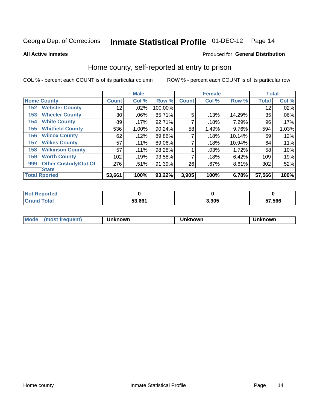# Inmate Statistical Profile 01-DEC-12 Page 14

**All Active Inmates** 

#### Produced for General Distribution

### Home county, self-reported at entry to prison

COL % - percent each COUNT is of its particular column

|     |                             |              | <b>Male</b> |         |              | <b>Female</b> |        | <b>Total</b> |       |
|-----|-----------------------------|--------------|-------------|---------|--------------|---------------|--------|--------------|-------|
|     | <b>Home County</b>          | <b>Count</b> | Col %       | Row %   | <b>Count</b> | Col %         | Row %  | <b>Total</b> | Col % |
| 152 | <b>Webster County</b>       | 12           | .02%        | 100.00% |              |               |        | 12           | .02%  |
| 153 | <b>Wheeler County</b>       | 30           | .06%        | 85.71%  | 5            | .13%          | 14.29% | 35           | .06%  |
| 154 | <b>White County</b>         | 89           | .17%        | 92.71%  | 7            | .18%          | 7.29%  | 96           | .17%  |
| 155 | <b>Whitfield County</b>     | 536          | 1.00%       | 90.24%  | 58           | 1.49%         | 9.76%  | 594          | 1.03% |
| 156 | <b>Wilcox County</b>        | 62           | .12%        | 89.86%  |              | .18%          | 10.14% | 69           | .12%  |
| 157 | <b>Wilkes County</b>        | 57           | .11%        | 89.06%  | 7            | .18%          | 10.94% | 64           | .11%  |
| 158 | <b>Wilkinson County</b>     | 57           | .11%        | 98.28%  |              | .03%          | 1.72%  | 58           | .10%  |
| 159 | <b>Worth County</b>         | 102          | .19%        | 93.58%  | 7            | .18%          | 6.42%  | 109          | .19%  |
| 999 | <b>Other Custody/Out Of</b> | 276          | .51%        | 91.39%  | 26           | .67%          | 8.61%  | 302          | .52%  |
|     | <b>State</b>                |              |             |         |              |               |        |              |       |
|     | <b>Total Rported</b>        | 53,661       | 100%        | 93.22%  | 3,905        | 100%          | 6.78%  | 57,566       | 100%  |

| τeα |        |       |        |
|-----|--------|-------|--------|
|     | 53.661 | 3,905 | 57,566 |

| Mode<br><b>Tequent)</b><br>ns | nown | mown | เทown |
|-------------------------------|------|------|-------|
|                               |      |      |       |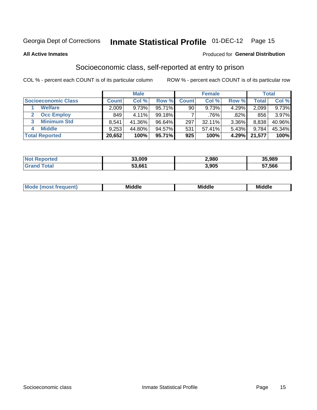# Inmate Statistical Profile 01-DEC-12 Page 15

#### **All Active Inmates**

#### Produced for General Distribution

### Socioeconomic class, self-reported at entry to prison

COL % - percent each COUNT is of its particular column

|                            |        | <b>Male</b> |           |                 | <b>Female</b> |          |        | <b>Total</b> |
|----------------------------|--------|-------------|-----------|-----------------|---------------|----------|--------|--------------|
| <b>Socioeconomic Class</b> | Count  | Col %       | Row %     | <b>Count</b>    | Col %         | Row %    | Total  | Col %        |
| <b>Welfare</b>             | 2,009  | 9.73%       | $95.71\%$ | 90 <sub>1</sub> | 9.73%         | $4.29\%$ | 2,099  | 9.73%        |
| <b>Occ Employ</b>          | 849    | $4.11\%$    | $99.18\%$ |                 | .76%          | .82%     | 856    | 3.97%        |
| <b>Minimum Std</b><br>3    | 8,541  | 41.36%      | $96.64\%$ | 297             | 32.11%        | 3.36%    | 8,838  | 40.96%       |
| <b>Middle</b><br>4         | 9,253  | 44.80%      | 94.57%    | 531             | 57.41%        | $5.43\%$ | 9.784  | 45.34%       |
| <b>Total Reported</b>      | 20,652 | 100%        | 95.71%    | 925             | 100%          | 4.29%    | 21.577 | 100%         |

| <b>Not Reported</b> | 33.009 | 2,980 | 35,989 |
|---------------------|--------|-------|--------|
| Total               | 53,661 | 3,905 | 57,566 |

| Mi<br>____<br>____ |
|--------------------|
|--------------------|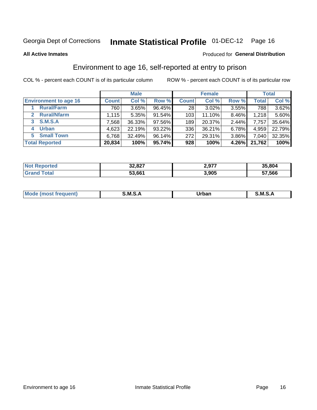# Inmate Statistical Profile 01-DEC-12 Page 16

#### **All Active Inmates**

#### Produced for General Distribution

### Environment to age 16, self-reported at entry to prison

COL % - percent each COUNT is of its particular column

|                                    |              | <b>Male</b> |        |              | <b>Female</b> |       |              | <b>Total</b> |
|------------------------------------|--------------|-------------|--------|--------------|---------------|-------|--------------|--------------|
| <b>Environment to age 16</b>       | <b>Count</b> | Col %       | Row %  | <b>Count</b> | Col %         | Row % | <b>Total</b> | Col %        |
| <b>Rural/Farm</b>                  | 760          | 3.65%       | 96.45% | 28           | $3.02\%$      | 3.55% | 788          | $3.62\%$     |
| <b>Rural/Nfarm</b><br>$\mathbf{2}$ | 1,115        | 5.35%       | 91.54% | 103          | 11.10%        | 8.46% | 1,218        | 5.60%        |
| S.M.S.A<br>3                       | 7,568        | 36.33%      | 97.56% | 189          | 20.37%        | 2.44% | 7,757        | 35.64%       |
| <b>Urban</b><br>4                  | 4,623        | 22.19%      | 93.22% | 336          | 36.21%        | 6.78% | 4,959        | 22.79%       |
| <b>Small Town</b><br>5.            | 6,768        | 32.49%      | 96.14% | 272          | 29.31%        | 3.86% | 7,040        | 32.35%       |
| <b>Total Reported</b>              | 20,834       | 100%        | 95.74% | 928          | 100%          | 4.26% | 21,762       | 100%         |

| <b>Not Reported</b> | 32,827 | 2,977 | 35,804 |
|---------------------|--------|-------|--------|
|                     | 53,661 | 3,905 | 57,566 |

| Mo | M<br>______ | Irhan<br>rva<br>______ | M<br>______ |
|----|-------------|------------------------|-------------|
|    |             |                        |             |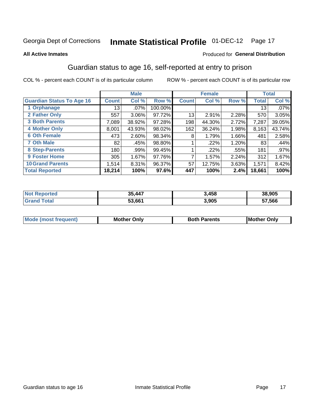# Inmate Statistical Profile 01-DEC-12 Page 17

#### **All Active Inmates**

#### Produced for General Distribution

### Guardian status to age 16, self-reported at entry to prison

COL % - percent each COUNT is of its particular column

|                                  |              | <b>Male</b> |           |              | <b>Female</b> |       |              | <b>Total</b> |
|----------------------------------|--------------|-------------|-----------|--------------|---------------|-------|--------------|--------------|
| <b>Guardian Status To Age 16</b> | <b>Count</b> | Col %       | Row %     | <b>Count</b> | Col %         | Row % | <b>Total</b> | Col %        |
| 1 Orphanage                      | 13           | $.07\%$     | 100.00%   |              |               |       | 13           | .07%         |
| 2 Father Only                    | 557          | 3.06%       | 97.72%    | 13           | 2.91%         | 2.28% | 570          | 3.05%        |
| <b>3 Both Parents</b>            | 7,089        | 38.92%      | $97.28\%$ | 198          | 44.30%        | 2.72% | 7,287        | 39.05%       |
| <b>4 Mother Only</b>             | 8,001        | 43.93%      | 98.02%    | 162          | 36.24%        | 1.98% | 8,163        | 43.74%       |
| <b>6 Oth Female</b>              | 473          | 2.60%       | 98.34%    | 8            | 1.79%         | 1.66% | 481          | 2.58%        |
| <b>7 Oth Male</b>                | 82           | .45%        | 98.80%    |              | $.22\%$       | 1.20% | 83           | .44%         |
| 8 Step-Parents                   | 180          | .99%        | 99.45%    |              | .22%          | .55%  | 181          | $.97\%$      |
| 9 Foster Home                    | 305          | 1.67%       | 97.76%    | ⇁            | 1.57%         | 2.24% | 312          | 1.67%        |
| <b>10 Grand Parents</b>          | 1,514        | 8.31%       | 96.37%    | 57           | 12.75%        | 3.63% | 1,571        | 8.42%        |
| <b>Total Reported</b>            | 18,214       | 100%        | 97.6%     | 447          | 100%          | 2.4%  | 18,661       | 100%         |

| <b>rteg</b><br>NO | ,447   | 3,458 | 38,905 |
|-------------------|--------|-------|--------|
| . Gr              | 53,661 | 3,905 | 57.566 |

| Mode | วทIv<br>Mot | <b>Both Parents</b><br>Parents | lM.<br>Only<br>. |
|------|-------------|--------------------------------|------------------|
|      |             |                                |                  |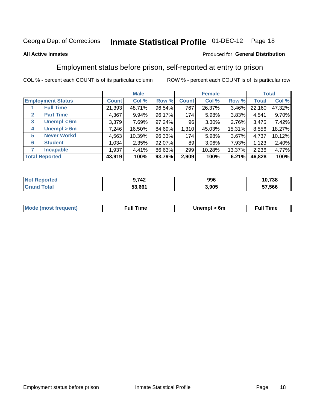#### **Inmate Statistical Profile 01-DEC-12** Page 18

#### **All Active Inmates**

#### Produced for General Distribution

### Employment status before prison, self-reported at entry to prison

COL % - percent each COUNT is of its particular column

|                                  |              | <b>Male</b> |        |              | <b>Female</b> |          |        | <b>Total</b> |
|----------------------------------|--------------|-------------|--------|--------------|---------------|----------|--------|--------------|
| <b>Employment Status</b>         | <b>Count</b> | Col %       | Row %  | <b>Count</b> | Col %         | Row %    | Total  | Col %        |
| <b>Full Time</b>                 | 21,393       | 48.71%      | 96.54% | 767          | 26.37%        | 3.46%    | 22,160 | 47.32%       |
| <b>Part Time</b><br>$\mathbf{2}$ | 4,367        | 9.94%       | 96.17% | 174          | 5.98%         | 3.83%    | 4.541  | 9.70%        |
| Unempl $<$ 6m<br>3               | 3,379        | 7.69%       | 97.24% | 96           | 3.30%         | 2.76%    | 3,475  | 7.42%        |
| Unempl > 6m<br>4                 | 7,246        | 16.50%      | 84.69% | 1,310        | 45.03%        | 15.31%   | 8,556  | 18.27%       |
| <b>Never Workd</b><br>5          | 4,563        | 10.39%      | 96.33% | 174          | 5.98%         | $3.67\%$ | 4,737  | 10.12%       |
| <b>Student</b><br>6              | 1,034        | 2.35%       | 92.07% | 89           | 3.06%         | 7.93%    | 1,123  | 2.40%        |
| <b>Incapable</b><br>7            | 1,937        | 4.41%       | 86.63% | 299          | 10.28%        | 13.37%   | 2,236  | 4.77%        |
| <b>Total Reported</b>            | 43,919       | 100%        | 93.79% | 2,909        | 100%          | 6.21%    | 46,828 | 100%         |

| <b>orted</b><br>∗ NO). | ),742  | 996   | 10,738 |
|------------------------|--------|-------|--------|
| $T$ otol $T$           | 53,661 | 3,905 | 57,566 |

| <b>Mode (most frequent)</b> | the contract of the contract of the contract of the contract of the contract of the contract of the contract of | -6m<br>.<br>_____<br>$\sim$ $\sim$ | <b>Time</b> |
|-----------------------------|-----------------------------------------------------------------------------------------------------------------|------------------------------------|-------------|
|                             |                                                                                                                 |                                    |             |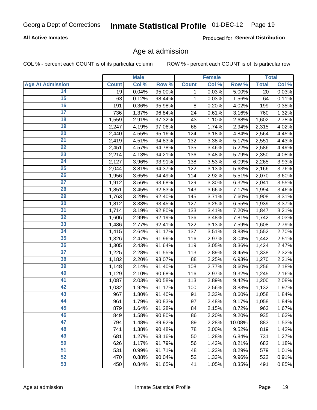#### **All Active Inmates**

Produced for General Distribution

### Age at admission

COL % - percent each COUNT is of its particular column

|                         |              | <b>Male</b> |        |              | <b>Female</b> |        |              | <b>Total</b> |
|-------------------------|--------------|-------------|--------|--------------|---------------|--------|--------------|--------------|
| <b>Age At Admission</b> | <b>Count</b> | Col %       | Row %  | <b>Count</b> | Col %         | Row %  | <b>Total</b> | Col %        |
| 14                      | 19           | 0.04%       | 95.00% | 1            | 0.03%         | 5.00%  | 20           | 0.03%        |
| 15                      | 63           | 0.12%       | 98.44% | $\mathbf 1$  | 0.03%         | 1.56%  | 64           | 0.11%        |
| 16                      | 191          | 0.36%       | 95.98% | 8            | 0.20%         | 4.02%  | 199          | 0.35%        |
| $\overline{17}$         | 736          | 1.37%       | 96.84% | 24           | 0.61%         | 3.16%  | 760          | 1.32%        |
| $\overline{18}$         | 1,559        | 2.91%       | 97.32% | 43           | 1.10%         | 2.68%  | 1,602        | 2.78%        |
| 19                      | 2,247        | 4.19%       | 97.06% | 68           | 1.74%         | 2.94%  | 2,315        | 4.02%        |
| $\overline{20}$         | 2,440        | 4.55%       | 95.16% | 124          | 3.18%         | 4.84%  | 2,564        | 4.45%        |
| $\overline{21}$         | 2,419        | 4.51%       | 94.83% | 132          | 3.38%         | 5.17%  | 2,551        | 4.43%        |
| $\overline{22}$         | 2,451        | 4.57%       | 94.78% | 135          | 3.46%         | 5.22%  | 2,586        | 4.49%        |
| 23                      | 2,214        | 4.13%       | 94.21% | 136          | 3.48%         | 5.79%  | 2,350        | 4.08%        |
| $\overline{24}$         | 2,127        | 3.96%       | 93.91% | 138          | 3.53%         | 6.09%  | 2,265        | 3.93%        |
| 25                      | 2,044        | 3.81%       | 94.37% | 122          | 3.13%         | 5.63%  | 2,166        | 3.76%        |
| $\overline{26}$         | 1,956        | 3.65%       | 94.49% | 114          | 2.92%         | 5.51%  | 2,070        | 3.60%        |
| $\overline{27}$         | 1,912        | 3.56%       | 93.68% | 129          | 3.30%         | 6.32%  | 2,041        | 3.55%        |
| 28                      | 1,851        | 3.45%       | 92.83% | 143          | 3.66%         | 7.17%  | 1,994        | 3.46%        |
| 29                      | 1,763        | 3.29%       | 92.40% | 145          | 3.71%         | 7.60%  | 1,908        | 3.31%        |
| 30                      | 1,812        | 3.38%       | 93.45% | 127          | 3.25%         | 6.55%  | 1,939        | 3.37%        |
| $\overline{31}$         | 1,714        | 3.19%       | 92.80% | 133          | 3.41%         | 7.20%  | 1,847        | 3.21%        |
| 32                      | 1,606        | 2.99%       | 92.19% | 136          | 3.48%         | 7.81%  | 1,742        | 3.03%        |
| 33                      | 1,486        | 2.77%       | 92.41% | 122          | 3.13%         | 7.59%  | 1,608        | 2.79%        |
| 34                      | 1,415        | 2.64%       | 91.17% | 137          | 3.51%         | 8.83%  | 1,552        | 2.70%        |
| 35                      | 1,326        | 2.47%       | 91.96% | 116          | 2.97%         | 8.04%  | 1,442        | 2.51%        |
| 36                      | 1,305        | 2.43%       | 91.64% | 119          | 3.05%         | 8.36%  | 1,424        | 2.47%        |
| $\overline{37}$         | 1,225        | 2.28%       | 91.55% | 113          | 2.89%         | 8.45%  | 1,338        | 2.32%        |
| 38                      | 1,182        | 2.20%       | 93.07% | 88           | 2.25%         | 6.93%  | 1,270        | 2.21%        |
| 39                      | 1,148        | 2.14%       | 91.40% | 108          | 2.77%         | 8.60%  | 1,256        | 2.18%        |
| 40                      | 1,129        | 2.10%       | 90.68% | 116          | 2.97%         | 9.32%  | 1,245        | 2.16%        |
| 41                      | 1,087        | 2.03%       | 90.58% | 113          | 2.89%         | 9.42%  | 1,200        | 2.08%        |
| 42                      | 1,032        | 1.92%       | 91.17% | 100          | 2.56%         | 8.83%  | 1,132        | 1.97%        |
| 43                      | 967          | 1.80%       | 91.40% | 91           | 2.33%         | 8.60%  | 1,058        | 1.84%        |
| 44                      | 961          | 1.79%       | 90.83% | 97           | 2.48%         | 9.17%  | 1,058        | 1.84%        |
| 45                      | 879          | 1.64%       | 91.28% | 84           | 2.15%         | 8.72%  | 963          | 1.67%        |
| 46                      | 849          | 1.58%       | 90.80% | 86           | 2.20%         | 9.20%  | 935          | 1.62%        |
| 47                      | 794          | 1.48%       | 89.92% | 89           | 2.28%         | 10.08% | 883          | 1.53%        |
| 48                      | 741          | 1.38%       | 90.48% | 78           | 2.00%         | 9.52%  | 819          | 1.42%        |
| 49                      | 681          | 1.27%       | 93.16% | 50           | 1.28%         | 6.84%  | 731          | 1.27%        |
| 50                      | 626          | 1.17%       | 91.79% | 56           | 1.43%         | 8.21%  | 682          | 1.18%        |
| 51                      | 531          | 0.99%       | 91.71% | 48           | 1.23%         | 8.29%  | 579          | 1.01%        |
| 52                      | 470          | 0.88%       | 90.04% | 52           | 1.33%         | 9.96%  | 522          | 0.91%        |
| 53                      | 450          | 0.84%       | 91.65% | 41           | 1.05%         | 8.35%  | 491          | 0.85%        |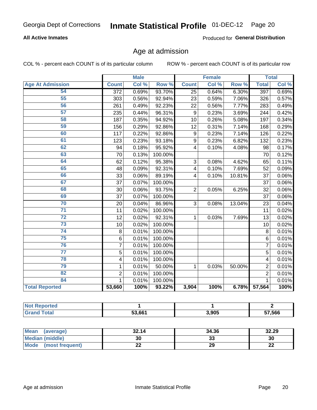#### **All Active Inmates**

Produced for General Distribution

# Age at admission

COL % - percent each COUNT is of its particular column

|                         | <b>Male</b>             |       |                  | <b>Female</b>             |       | <b>Total</b> |                |       |
|-------------------------|-------------------------|-------|------------------|---------------------------|-------|--------------|----------------|-------|
| <b>Age At Admission</b> | <b>Count</b>            | Col % | Row <sup>%</sup> | <b>Count</b>              | Col % | Row %        | <b>Total</b>   | Col % |
| 54                      | $\overline{372}$        | 0.69% | 93.70%           | $\overline{25}$           | 0.64% | 6.30%        | 397            | 0.69% |
| 55                      | 303                     | 0.56% | 92.94%           | 23                        | 0.59% | 7.06%        | 326            | 0.57% |
| 56                      | 261                     | 0.49% | 92.23%           | 22                        | 0.56% | 7.77%        | 283            | 0.49% |
| 57                      | 235                     | 0.44% | 96.31%           | 9                         | 0.23% | 3.69%        | 244            | 0.42% |
| 58                      | 187                     | 0.35% | 94.92%           | 10                        | 0.26% | 5.08%        | 197            | 0.34% |
| 59                      | 156                     | 0.29% | 92.86%           | 12                        | 0.31% | 7.14%        | 168            | 0.29% |
| 60                      | 117                     | 0.22% | 92.86%           | 9                         | 0.23% | 7.14%        | 126            | 0.22% |
| 61                      | 123                     | 0.23% | 93.18%           | 9                         | 0.23% | 6.82%        | 132            | 0.23% |
| 62                      | 94                      | 0.18% | 95.92%           | 4                         | 0.10% | 4.08%        | 98             | 0.17% |
| 63                      | 70                      | 0.13% | 100.00%          |                           |       |              | 70             | 0.12% |
| 64                      | 62                      | 0.12% | 95.38%           | $\ensuremath{\mathsf{3}}$ | 0.08% | 4.62%        | 65             | 0.11% |
| 65                      | 48                      | 0.09% | 92.31%           | 4                         | 0.10% | 7.69%        | 52             | 0.09% |
| 66                      | 33                      | 0.06% | 89.19%           | 4                         | 0.10% | 10.81%       | 37             | 0.06% |
| 67                      | 37                      | 0.07% | 100.00%          |                           |       |              | 37             | 0.06% |
| 68                      | 30                      | 0.06% | 93.75%           | $\overline{2}$            | 0.05% | 6.25%        | 32             | 0.06% |
| 69                      | 37                      | 0.07% | 100.00%          |                           |       |              | 37             | 0.06% |
| 70                      | 20                      | 0.04% | 86.96%           | $\overline{3}$            | 0.08% | 13.04%       | 23             | 0.04% |
| $\overline{71}$         | 11                      | 0.02% | 100.00%          |                           |       |              | 11             | 0.02% |
| $\overline{72}$         | 12                      | 0.02% | 92.31%           | 1                         | 0.03% | 7.69%        | 13             | 0.02% |
| $\overline{73}$         | 10                      | 0.02% | 100.00%          |                           |       |              | 10             | 0.02% |
| 74                      | $\,8\,$                 | 0.01% | 100.00%          |                           |       |              | 8              | 0.01% |
| 75                      | 6                       | 0.01% | 100.00%          |                           |       |              | 6              | 0.01% |
| 76                      | $\overline{7}$          | 0.01% | 100.00%          |                           |       |              | $\overline{7}$ | 0.01% |
| $\overline{77}$         | 5                       | 0.01% | 100.00%          |                           |       |              | $\overline{5}$ | 0.01% |
| 78                      | $\overline{\mathbf{4}}$ | 0.01% | 100.00%          |                           |       |              | 4              | 0.01% |
| 79                      | 1                       | 0.01% | 50.00%           | 1                         | 0.03% | 50.00%       | $\overline{2}$ | 0.01% |
| $\overline{82}$         | $\overline{2}$          | 0.01% | 100.00%          |                           |       |              | $\overline{2}$ | 0.01% |
| 84                      | $\mathbf{1}$            | 0.01% | 100.00%          |                           |       |              | $\mathbf{1}$   | 0.01% |
| <b>Total Reported</b>   | 53,660                  | 100%  | 93.22%           | 3,904                     | 100%  | 6.78%        | 57,564         | 100%  |

| тео<br>'N ( |        |       |        |
|-------------|--------|-------|--------|
| <b>otal</b> | 53,661 | 3,905 | 57,566 |

| <b>Mean</b><br>(average) | 32.14 | 34.36   | 32.29     |
|--------------------------|-------|---------|-----------|
| Median (middle)          | 30    | ົ<br>აა | 30        |
| Mode<br>(most frequent)  | ∸∸    | 29      | ne.<br>LL |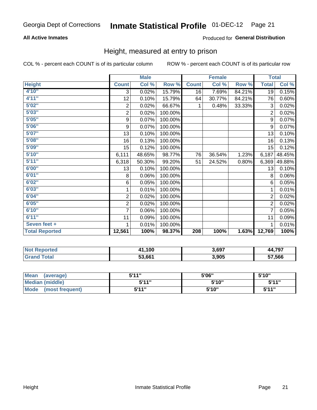#### **All Active Inmates**

#### Produced for General Distribution

### Height, measured at entry to prison

COL % - percent each COUNT is of its particular column

|                       | <b>Male</b>      |        |         | <b>Female</b> |        |        | <b>Total</b>   |          |
|-----------------------|------------------|--------|---------|---------------|--------|--------|----------------|----------|
| <b>Height</b>         | <b>Count</b>     | Col %  | Row %   | <b>Count</b>  | Col %  | Row %  | <b>Total</b>   | Col %    |
| 4'10"                 | 3                | 0.02%  | 15.79%  | 16            | 7.69%  | 84.21% | 19             | 0.15%    |
| 4'11''                | 12               | 0.10%  | 15.79%  | 64            | 30.77% | 84.21% | 76             | 0.60%    |
| 5'02"                 | $\overline{2}$   | 0.02%  | 66.67%  | 1             | 0.48%  | 33.33% | 3              | 0.02%    |
| 5'03''                | $\mathbf 2$      | 0.02%  | 100.00% |               |        |        | $\overline{2}$ | 0.02%    |
| 5'05''                | $\boldsymbol{9}$ | 0.07%  | 100.00% |               |        |        | 9              | 0.07%    |
| 5'06''                | 9                | 0.07%  | 100.00% |               |        |        | 9              | 0.07%    |
| 5'07''                | 13               | 0.10%  | 100.00% |               |        |        | 13             | 0.10%    |
| 5'08''                | 16               | 0.13%  | 100.00% |               |        |        | 16             | 0.13%    |
| 5'09''                | 15               | 0.12%  | 100.00% |               |        |        | 15             | 0.12%    |
| 5'10''                | 6,111            | 48.65% | 98.77%  | 76            | 36.54% | 1.23%  | 6,187          | 48.45%   |
| 5'11''                | 6,318            | 50.30% | 99.20%  | 51            | 24.52% | 0.80%  | 6,369          | 49.88%   |
| 6'00''                | 13               | 0.10%  | 100.00% |               |        |        | 13             | 0.10%    |
| 6'01''                | 8                | 0.06%  | 100.00% |               |        |        | 8              | 0.06%    |
| 6'02''                | $\,6$            | 0.05%  | 100.00% |               |        |        | 6              | 0.05%    |
| 6'03''                | 1                | 0.01%  | 100.00% |               |        |        | 1              | 0.01%    |
| 6'04"                 | $\boldsymbol{2}$ | 0.02%  | 100.00% |               |        |        | $\overline{2}$ | 0.02%    |
| 6'05''                | 2                | 0.02%  | 100.00% |               |        |        | $\overline{2}$ | 0.02%    |
| 6'10''                | 7                | 0.06%  | 100.00% |               |        |        | $\overline{7}$ | 0.05%    |
| 6'11''                | 11               | 0.09%  | 100.00% |               |        |        | 11             | 0.09%    |
| Seven feet +          | 1                | 0.01%  | 100.00% |               |        |        | 1              | $0.01\%$ |
| <b>Total Reported</b> | 12,561           | 100%   | 98.37%  | 208           | 100%   | 1.63%  | 12,769         | 100%     |

| <b>Not Reported</b> | 41,100 | 3,697 | A 707<br>- 44.75. |
|---------------------|--------|-------|-------------------|
| Total               | 53,661 | 3,905 | 57,566            |

| <b>Mean</b><br>(average) | 544" | 5'06" | 5'10" |
|--------------------------|------|-------|-------|
| <b>Median (middle)</b>   | 544" | 5'10" | 5'11" |
| Mode<br>(most frequent)  | 544" | 5'10" | 544"  |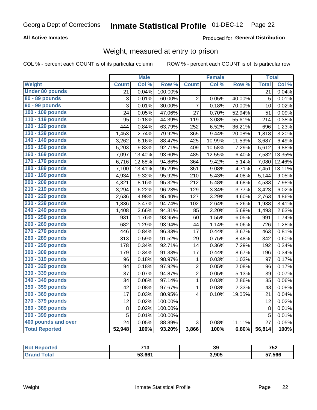#### **All Active Inmates**

#### Produced for General Distribution

# Weight, measured at entry to prison

COL % - percent each COUNT is of its particular column

|                        |                | <b>Male</b> |                  |                         | <b>Female</b> |        | <b>Total</b>    |        |
|------------------------|----------------|-------------|------------------|-------------------------|---------------|--------|-----------------|--------|
| Weight                 | <b>Count</b>   | Col %       | Row <sup>%</sup> | <b>Count</b>            | Col %         | Row %  | <b>Total</b>    | Col %  |
| <b>Under 80 pounds</b> | 21             | 0.04%       | 100.00%          |                         |               |        | $\overline{21}$ | 0.04%  |
| 80 - 89 pounds         | 3              | 0.01%       | 60.00%           | $\overline{c}$          | 0.05%         | 40.00% | 5               | 0.01%  |
| 90 - 99 pounds         | $\overline{3}$ | 0.01%       | 30.00%           | $\overline{7}$          | 0.18%         | 70.00% | 10              | 0.02%  |
| 100 - 109 pounds       | 24             | 0.05%       | 47.06%           | 27                      | 0.70%         | 52.94% | 51              | 0.09%  |
| 110 - 119 pounds       | 95             | 0.18%       | 44.39%           | 119                     | 3.08%         | 55.61% | 214             | 0.38%  |
| 120 - 129 pounds       | 444            | 0.84%       | 63.79%           | 252                     | 6.52%         | 36.21% | 696             | 1.23%  |
| 130 - 139 pounds       | 1,453          | 2.74%       | 79.92%           | 365                     | 9.44%         | 20.08% | 1,818           | 3.20%  |
| 140 - 149 pounds       | 3,262          | 6.16%       | 88.47%           | 425                     | 10.99%        | 11.53% | 3,687           | 6.49%  |
| 150 - 159 pounds       | 5,203          | 9.83%       | 92.71%           | 409                     | 10.58%        | 7.29%  | 5,612           | 9.88%  |
| 160 - 169 pounds       | 7,097          | 13.40%      | 93.60%           | 485                     | 12.55%        | 6.40%  | 7,582           | 13.35% |
| 170 - 179 pounds       | 6,716          | 12.68%      | 94.86%           | 364                     | 9.42%         | 5.14%  | 7,080           | 12.46% |
| 180 - 189 pounds       | 7,100          | 13.41%      | 95.29%           | 351                     | 9.08%         | 4.71%  | 7,451           | 13.11% |
| 190 - 199 pounds       | 4,934          | 9.32%       | 95.92%           | 210                     | 5.43%         | 4.08%  | 5,144           | 9.05%  |
| 200 - 209 pounds       | 4,321          | 8.16%       | 95.32%           | 212                     | 5.48%         | 4.68%  | 4,533           | 7.98%  |
| 210 - 219 pounds       | 3,294          | 6.22%       | 96.23%           | 129                     | 3.34%         | 3.77%  | 3,423           | 6.02%  |
| 220 - 229 pounds       | 2,636          | 4.98%       | 95.40%           | 127                     | 3.29%         | 4.60%  | 2,763           | 4.86%  |
| 230 - 239 pounds       | 1,836          | 3.47%       | 94.74%           | 102                     | 2.64%         | 5.26%  | 1,938           | 3.41%  |
| 240 - 249 pounds       | 1,408          | 2.66%       | 94.31%           | 85                      | 2.20%         | 5.69%  | 1,493           | 2.63%  |
| 250 - 259 pounds       | 931            | 1.76%       | 93.95%           | 60                      | 1.55%         | 6.05%  | 991             | 1.74%  |
| 260 - 269 pounds       | 682            | 1.29%       | 93.94%           | 44                      | 1.14%         | 6.06%  | 726             | 1.28%  |
| 270 - 279 pounds       | 446            | 0.84%       | 96.33%           | 17                      | 0.44%         | 3.67%  | 463             | 0.81%  |
| 280 - 289 pounds       | 313            | 0.59%       | 91.52%           | 29                      | 0.75%         | 8.48%  | 342             | 0.60%  |
| 290 - 299 pounds       | 178            | 0.34%       | 92.71%           | 14                      | 0.36%         | 7.29%  | 192             | 0.34%  |
| 300 - 309 pounds       | 179            | 0.34%       | 91.33%           | 17                      | 0.44%         | 8.67%  | 196             | 0.34%  |
| 310 - 319 pounds       | 96             | 0.18%       | 98.97%           | $\mathbf{1}$            | 0.03%         | 1.03%  | 97              | 0.17%  |
| 320 - 329 pounds       | 94             | 0.18%       | 97.92%           | $\overline{2}$          | 0.05%         | 2.08%  | 96              | 0.17%  |
| 330 - 339 pounds       | 37             | 0.07%       | 94.87%           | $\overline{c}$          | 0.05%         | 5.13%  | 39              | 0.07%  |
| 340 - 349 pounds       | 34             | 0.06%       | 97.14%           | $\mathbf{1}$            | 0.03%         | 2.86%  | 35              | 0.06%  |
| 350 - 359 pounds       | 42             | 0.08%       | 97.67%           | $\mathbf{1}$            | 0.03%         | 2.33%  | 43              | 0.08%  |
| 360 - 369 pounds       | 17             | 0.03%       | 80.95%           | $\overline{\mathbf{4}}$ | 0.10%         | 19.05% | 21              | 0.04%  |
| 370 - 379 pounds       | 12             | 0.02%       | 100.00%          |                         |               |        | 12              | 0.02%  |
| 380 - 389 pounds       | $\bf 8$        | 0.02%       | 100.00%          |                         |               |        | 8               | 0.01%  |
| 390 - 399 pounds       | 5              | 0.01%       | 100.00%          |                         |               |        | 5               | 0.01%  |
| 400 pounds and over    | 24             | 0.05%       | 88.89%           | 3                       | 0.08%         | 11.11% | 27              | 0.05%  |
| <b>Total Reported</b>  | 52,948         | 100%        | 93.20%           | 3,866                   | 100%          | 6.80%  | 56,814          | 100%   |

| <b>rtea</b> | フィヘ    | 39    | フトウ    |
|-------------|--------|-------|--------|
| N           | . .    |       | 94     |
|             | 53,661 | 905.ء | 57,566 |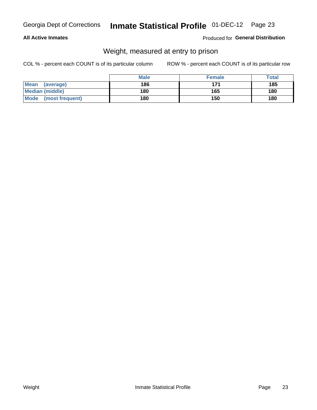#### **All Active Inmates**

#### Produced for General Distribution

# Weight, measured at entry to prison

COL % - percent each COUNT is of its particular column

|                          | <b>Male</b> | <b>Female</b> | Total |
|--------------------------|-------------|---------------|-------|
| <b>Mean</b><br>(average) | 186         | 171           | 185   |
| <b>Median (middle)</b>   | 180         | 165           | 180   |
| Mode<br>(most frequent)  | 180         | 150           | 180   |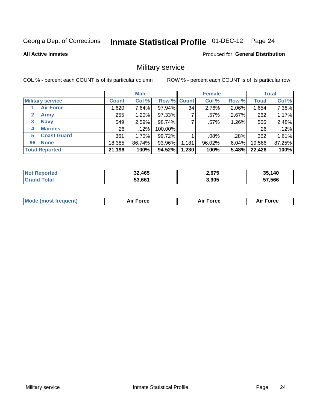# Inmate Statistical Profile 01-DEC-12 Page 24

**All Active Inmates** 

Produced for General Distribution

### Military service

COL % - percent each COUNT is of its particular column

|                             | <b>Male</b>  |        |                    | <b>Female</b> |        |          | <b>Total</b> |        |
|-----------------------------|--------------|--------|--------------------|---------------|--------|----------|--------------|--------|
| <b>Military service</b>     | <b>Count</b> | Col %  | <b>Row % Count</b> |               | Col %  | Row %    | <b>Total</b> | Col %  |
| <b>Air Force</b>            | .620         | 7.64%  | 97.94%             | 34            | 2.76%  | 2.06%    | 1,654        | 7.38%  |
| $\mathbf{2}$<br><b>Army</b> | 255          | 1.20%  | 97.33%             |               | .57%   | 2.67%    | 262          | 1.17%  |
| <b>Navy</b><br>3            | 549          | 2.59%  | 98.74%             |               | .57%   | 1.26%    | 556          | 2.48%  |
| <b>Marines</b><br>4         | 26           | .12%   | 100.00%            |               |        |          | 26           | .12%   |
| <b>Coast Guard</b><br>5.    | 361          | 1.70%  | 99.72%             |               | .08%   | .28%     | 362          | 1.61%  |
| <b>None</b><br>96           | 18,385       | 86.74% | 93.96%             | 1,181         | 96.02% | $6.04\%$ | 19,566       | 87.25% |
| <b>Total Reported</b>       | 21,196       | 100%   | 94.52%             | 1,230         | 100%   | 5.48%    | 22,426       | 100%   |

| rteo | 32,465<br>າາ | 2,675 | 35.140<br>つら |
|------|--------------|-------|--------------|
|      | 53.661       | 3,905 | 57,566       |

| <b>Mode (most frequent)</b><br>Force<br><b>Force</b><br>orce<br>Aır |
|---------------------------------------------------------------------|
|---------------------------------------------------------------------|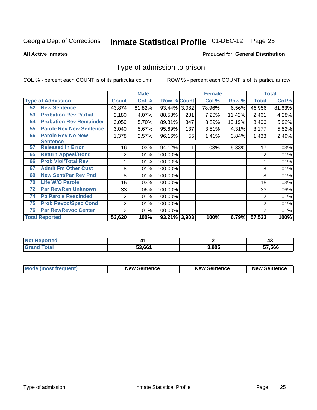# Inmate Statistical Profile 01-DEC-12 Page 25

**All Active Inmates** 

#### Produced for General Distribution

### Type of admission to prison

COL % - percent each COUNT is of its particular column

|    |                                |              | <b>Male</b> |                    |     | <b>Female</b> |        |                | <b>Total</b> |
|----|--------------------------------|--------------|-------------|--------------------|-----|---------------|--------|----------------|--------------|
|    | <b>Type of Admission</b>       | <b>Count</b> | Col %       | <b>Row % Count</b> |     | Col %         | Row %  | <b>Total</b>   | Col %        |
| 52 | <b>New Sentence</b>            | 43,874       | 81.82%      | 93.44% 3,082       |     | 78.96%        | 6.56%  | 46,956         | 81.63%       |
| 53 | <b>Probation Rev Partial</b>   | 2,180        | 4.07%       | 88.58%             | 281 | 7.20%         | 11.42% | 2,461          | 4.28%        |
| 54 | <b>Probation Rev Remainder</b> | 3,059        | 5.70%       | 89.81%             | 347 | 8.89%         | 10.19% | 3,406          | 5.92%        |
| 55 | <b>Parole Rev New Sentence</b> | 3,040        | 5.67%       | 95.69%             | 137 | 3.51%         | 4.31%  | 3,177          | 5.52%        |
| 56 | <b>Parole Rev No New</b>       | 1,378        | 2.57%       | 96.16%             | 55  | 1.41%         | 3.84%  | 1,433          | 2.49%        |
|    | <b>Sentence</b>                |              |             |                    |     |               |        |                |              |
| 57 | <b>Released In Error</b>       | 16           | .03%        | 94.12%             |     | .03%          | 5.88%  | 17             | .03%         |
| 65 | <b>Return Appeal/Bond</b>      | 2            | .01%        | 100.00%            |     |               |        | 2              | $.01\%$      |
| 66 | <b>Prob Viol/Total Rev</b>     |              | .01%        | 100.00%            |     |               |        |                | .01%         |
| 67 | <b>Admit Fm Other Cust</b>     | 8            | .01%        | 100.00%            |     |               |        | 8              | .01%         |
| 69 | <b>New Sent/Par Rev Pnd</b>    | 8            | .01%        | 100.00%            |     |               |        | 8              | .01%         |
| 70 | <b>Life W/O Parole</b>         | 15           | .03%        | 100.00%            |     |               |        | 15             | .03%         |
| 72 | <b>Par Rev/Rsn Unknown</b>     | 33           | .06%        | 100.00%            |     |               |        | 33             | .06%         |
| 74 | <b>Pb Parole Rescinded</b>     | 2            | .01%        | 100.00%            |     |               |        | 2              | .01%         |
| 75 | <b>Prob Revoc/Spec Cond</b>    | 2            | .01%        | 100.00%            |     |               |        | $\overline{2}$ | .01%         |
| 76 | <b>Par Rev/Revoc Center</b>    | 2            | .01%        | 100.00%            |     |               |        | 2              | .01%         |
|    | <b>Total Reported</b>          | 53,620       | 100%        | 93.21% 3,903       |     | 100%          | 6.79%  | 57,523         | 100%         |

| <b>orteo</b><br>NO |        |       | −~    |
|--------------------|--------|-------|-------|
| . Gr               | 53.661 | 3.905 | 7.566 |

| <b>Mode (most frequent)</b> | <b>New Sentence</b> | <b>New Sentence</b> | <b>New Sentence</b> |
|-----------------------------|---------------------|---------------------|---------------------|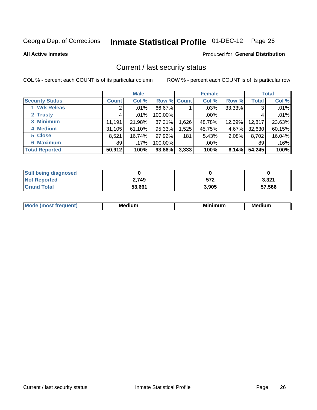# Inmate Statistical Profile 01-DEC-12 Page 26

**All Active Inmates** 

#### Produced for General Distribution

### Current / last security status

COL % - percent each COUNT is of its particular column

|                        |              | <b>Male</b> |             |       | <b>Female</b> |        |              | <b>Total</b> |
|------------------------|--------------|-------------|-------------|-------|---------------|--------|--------------|--------------|
| <b>Security Status</b> | <b>Count</b> | Col %       | Row % Count |       | Col %         | Row %  | <b>Total</b> | Col %        |
| 1 Wrk Releas           | 2            | $.01\%$     | 66.67%      |       | $.03\%$       | 33.33% | 3            | .01%         |
| 2 Trusty               |              | .01%        | 100.00%     |       | $.00\%$       |        |              | .01%         |
| 3 Minimum              | 11,191       | 21.98%      | 87.31%      | 1,626 | 48.78%        | 12.69% | 12,817       | 23.63%       |
| 4 Medium               | 31,105       | 61.10%      | 95.33%      | 1,525 | 45.75%        | 4.67%  | 32,630       | 60.15%       |
| 5 Close                | 8,521        | 16.74%      | 97.92%      | 181   | 5.43%         | 2.08%  | 8,702        | 16.04%       |
| <b>6 Maximum</b>       | 89           | $.17\%$     | 100.00%     |       | $.00\%$       |        | 89           | .16%         |
| <b>Total Reported</b>  | 50,912       | 100%        | 93.86%      | 3,333 | 100%          | 6.14%  | 54,245       | 100%         |

| <b>Still being diagnosed</b> |        |       |        |
|------------------------------|--------|-------|--------|
| <b>Not Reported</b>          | 2.749  | 572   | 3,321  |
| <b>Grand Total</b>           | 53,661 | 3,905 | 57,566 |

| M | NЛ<br><br>dilim<br>_____ | ---<br>-- | . .<br>Medium<br>Me |
|---|--------------------------|-----------|---------------------|
|   |                          |           |                     |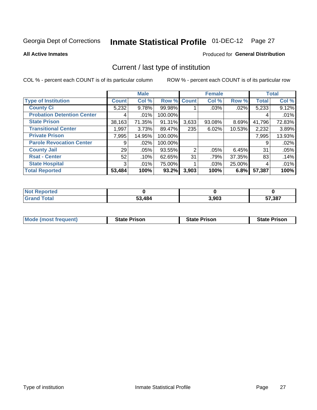# Inmate Statistical Profile 01-DEC-12 Page 27

**All Active Inmates** 

#### Produced for General Distribution

# Current / last type of institution

COL % - percent each COUNT is of its particular column

|                                   |              | <b>Male</b> |             |       | <b>Female</b> |           |              | <b>Total</b> |
|-----------------------------------|--------------|-------------|-------------|-------|---------------|-----------|--------------|--------------|
| <b>Type of Institution</b>        | <b>Count</b> | Col %       | Row % Count |       | Col %         | Row %     | <b>Total</b> | Col %        |
| <b>County Ci</b>                  | 5,232        | 9.78%       | 99.98%      |       | $.03\%$       | $.02\%$   | 5,233        | 9.12%        |
| <b>Probation Detention Center</b> | 4            | .01%        | 100.00%     |       |               |           | 4            | .01%         |
| <b>State Prison</b>               | 38,163       | 71.35%      | 91.31%      | 3,633 | $93.08\%$     | 8.69%     | 41,796       | 72.83%       |
| <b>Transitional Center</b>        | 1,997        | 3.73%       | 89.47%      | 235   | 6.02%         | $10.53\%$ | 2,232        | 3.89%        |
| <b>Private Prison</b>             | 7,995        | 14.95%      | 100.00%     |       |               |           | 7,995        | 13.93%       |
| <b>Parole Revocation Center</b>   | 9            | .02%        | 100.00%     |       |               |           | 9            | .02%         |
| <b>County Jail</b>                | 29           | $.05\%$     | 93.55%      | 2     | $.05\%$       | 6.45%     | 31           | .05%         |
| <b>Rsat - Center</b>              | 52           | .10%        | 62.65%      | 31    | .79%          | 37.35%    | 83           | .14%         |
| <b>State Hospital</b>             | 3            | $.01\%$     | 75.00%      |       | $.03\%$       | 25.00%    | 4            | .01%         |
| <b>Total Reported</b>             | 53,484       | 100%        | 93.2%       | 3,903 | 100%          | 6.8%      | 57,387       | 100%         |

| oorted<br>' NOT |        |       |        |
|-----------------|--------|-------|--------|
| 'otal           | 53,484 | 3,903 | 57,387 |

| <b>Mode (most frequent)</b> | <b>State Prison</b> | <b>State Prison</b> | <b>State Prison</b> |
|-----------------------------|---------------------|---------------------|---------------------|
|                             |                     |                     |                     |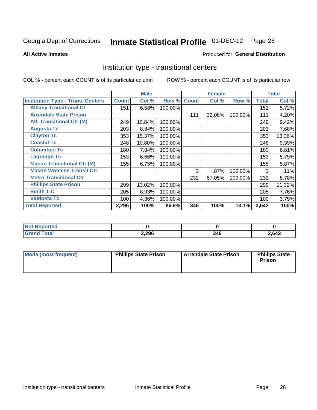#### **Inmate Statistical Profile 01-DEC-12** Page 28

#### **All Active Inmates**

#### Produced for General Distribution

### Institution type - transitional centers

COL % - percent each COUNT is of its particular column

|                                          |              | <b>Male</b> |         |              | <b>Female</b> |         |              | <b>Total</b> |
|------------------------------------------|--------------|-------------|---------|--------------|---------------|---------|--------------|--------------|
| <b>Institution Type - Trans. Centers</b> | <b>Count</b> | Col %       | Row %   | <b>Count</b> | Col %         | Row %   | <b>Total</b> | Col %        |
| <b>Albany Transitional Ct</b>            | 151          | 6.58%       | 100.00% |              |               |         | 151          | 5.72%        |
| <b>Arrendale State Prison</b>            |              |             |         | 111          | 32.08%        | 100.00% | 111          | 4.20%        |
| <b>Atl. Transitional Ctr (M)</b>         | 249          | 10.84%      | 100.00% |              |               |         | 249          | 9.42%        |
| <b>Augusta Tc</b>                        | 203          | 8.84%       | 100.00% |              |               |         | 203          | 7.68%        |
| <b>Clayton Tc</b>                        | 353          | 15.37%      | 100.00% |              |               |         | 353          | 13.36%       |
| <b>Coastal Tc</b>                        | 248          | 10.80%      | 100.00% |              |               |         | 248          | 9.39%        |
| <b>Columbus Tc</b>                       | 180          | 7.84%       | 100.00% |              |               |         | 180          | 6.81%        |
| <b>Lagrange Tc</b>                       | 153          | 6.66%       | 100.00% |              |               |         | 153          | 5.79%        |
| <b>Macon Transitional Ctr (M)</b>        | 155          | 6.75%       | 100.00% |              |               |         | 155          | 5.87%        |
| <b>Macon Womens Transit Ctr</b>          |              |             |         | 3            | .87%          | 100.00% | 3            | .11%         |
| <b>Metro Transitional Ctr</b>            |              |             |         | 232          | 67.05%        | 100.00% | 232          | 8.78%        |
| <b>Phillips State Prison</b>             | 299          | 13.02%      | 100.00% |              |               |         | 299          | 11.32%       |
| Smith T.C                                | 205          | 8.93%       | 100.00% |              |               |         | 205          | 7.76%        |
| <b>Valdosta Tc</b>                       | 100          | 4.36%       | 100.00% |              |               |         | 100          | 3.79%        |
| <b>Total Reported</b>                    | 2,296        | 100%        | 86.9%   | 346          | 100%          | 13.1%   | 2,642        | 100%         |

| orted<br>$\sim$ |       |     |      |
|-----------------|-------|-----|------|
| <b>ota</b>      | 2,296 | 346 | ,642 |

| Mode (most frequent) | <b>Phillips State Prison</b> | Arrendale State Prison | <b>Phillips State</b><br><b>Prison</b> |
|----------------------|------------------------------|------------------------|----------------------------------------|
|                      |                              |                        |                                        |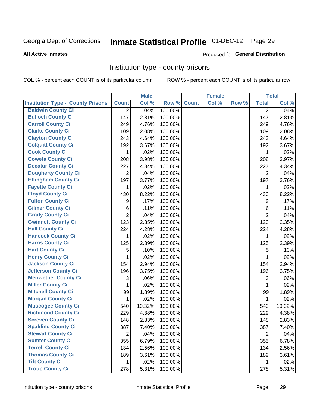# Inmate Statistical Profile 01-DEC-12 Page 29

#### **All Active Inmates**

#### **Produced for General Distribution**

### Institution type - county prisons

COL % - percent each COUNT is of its particular column

|                                          |                | <b>Male</b> |         |              | <b>Female</b> |       |                | <b>Total</b> |
|------------------------------------------|----------------|-------------|---------|--------------|---------------|-------|----------------|--------------|
| <b>Institution Type - County Prisons</b> | <b>Count</b>   | Col %       | Row %   | <b>Count</b> | Col %         | Row % | <b>Total</b>   | Col %        |
| <b>Baldwin County Ci</b>                 | $\overline{2}$ | .04%        | 100.00% |              |               |       | $\overline{2}$ | .04%         |
| <b>Bulloch County Ci</b>                 | 147            | 2.81%       | 100.00% |              |               |       | 147            | 2.81%        |
| <b>Carroll County Ci</b>                 | 249            | 4.76%       | 100.00% |              |               |       | 249            | 4.76%        |
| <b>Clarke County Ci</b>                  | 109            | 2.08%       | 100.00% |              |               |       | 109            | 2.08%        |
| <b>Clayton County Ci</b>                 | 243            | 4.64%       | 100.00% |              |               |       | 243            | 4.64%        |
| <b>Colquitt County Ci</b>                | 192            | 3.67%       | 100.00% |              |               |       | 192            | 3.67%        |
| <b>Cook County Ci</b>                    | 1              | .02%        | 100.00% |              |               |       | 1              | .02%         |
| <b>Coweta County Ci</b>                  | 208            | 3.98%       | 100.00% |              |               |       | 208            | 3.97%        |
| <b>Decatur County Ci</b>                 | 227            | 4.34%       | 100.00% |              |               |       | 227            | 4.34%        |
| <b>Dougherty County Ci</b>               | 2              | .04%        | 100.00% |              |               |       | 2              | .04%         |
| <b>Effingham County Ci</b>               | 197            | 3.77%       | 100.00% |              |               |       | 197            | 3.76%        |
| <b>Fayette County Ci</b>                 | 1              | .02%        | 100.00% |              |               |       | 1              | .02%         |
| <b>Floyd County Ci</b>                   | 430            | 8.22%       | 100.00% |              |               |       | 430            | 8.22%        |
| <b>Fulton County Ci</b>                  | 9              | .17%        | 100.00% |              |               |       | 9              | .17%         |
| <b>Gilmer County Ci</b>                  | 6              | .11%        | 100.00% |              |               |       | 6              | .11%         |
| <b>Grady County Ci</b>                   | $\overline{2}$ | .04%        | 100.00% |              |               |       | $\overline{2}$ | .04%         |
| <b>Gwinnett County Ci</b>                | 123            | 2.35%       | 100.00% |              |               |       | 123            | 2.35%        |
| <b>Hall County Ci</b>                    | 224            | 4.28%       | 100.00% |              |               |       | 224            | 4.28%        |
| <b>Hancock County Ci</b>                 | 1              | .02%        | 100.00% |              |               |       | 1              | .02%         |
| <b>Harris County Ci</b>                  | 125            | 2.39%       | 100.00% |              |               |       | 125            | 2.39%        |
| <b>Hart County Ci</b>                    | 5              | .10%        | 100.00% |              |               |       | 5              | .10%         |
| <b>Henry County Ci</b>                   | 1              | .02%        | 100.00% |              |               |       | $\mathbf{1}$   | .02%         |
| <b>Jackson County Ci</b>                 | 154            | 2.94%       | 100.00% |              |               |       | 154            | 2.94%        |
| <b>Jefferson County Ci</b>               | 196            | 3.75%       | 100.00% |              |               |       | 196            | 3.75%        |
| <b>Meriwether County Ci</b>              | 3              | .06%        | 100.00% |              |               |       | 3              | .06%         |
| <b>Miller County Ci</b>                  | 1              | .02%        | 100.00% |              |               |       | 1              | .02%         |
| <b>Mitchell County Ci</b>                | 99             | 1.89%       | 100.00% |              |               |       | 99             | 1.89%        |
| <b>Morgan County Ci</b>                  | 1              | .02%        | 100.00% |              |               |       | 1              | .02%         |
| <b>Muscogee County Ci</b>                | 540            | 10.32%      | 100.00% |              |               |       | 540            | 10.32%       |
| <b>Richmond County Ci</b>                | 229            | 4.38%       | 100.00% |              |               |       | 229            | 4.38%        |
| <b>Screven County Ci</b>                 | 148            | 2.83%       | 100.00% |              |               |       | 148            | 2.83%        |
| <b>Spalding County Ci</b>                | 387            | 7.40%       | 100.00% |              |               |       | 387            | 7.40%        |
| <b>Stewart County Ci</b>                 | $\overline{2}$ | .04%        | 100.00% |              |               |       | $\overline{2}$ | .04%         |
| <b>Sumter County Ci</b>                  | 355            | 6.79%       | 100.00% |              |               |       | 355            | 6.78%        |
| <b>Terrell County Ci</b>                 | 134            | 2.56%       | 100.00% |              |               |       | 134            | 2.56%        |
| <b>Thomas County Ci</b>                  | 189            | 3.61%       | 100.00% |              |               |       | 189            | 3.61%        |
| <b>Tift County Ci</b>                    | 1.             | .02%        | 100.00% |              |               |       | 1              | .02%         |
| <b>Troup County Ci</b>                   | 278            | 5.31%       | 100.00% |              |               |       | 278            | 5.31%        |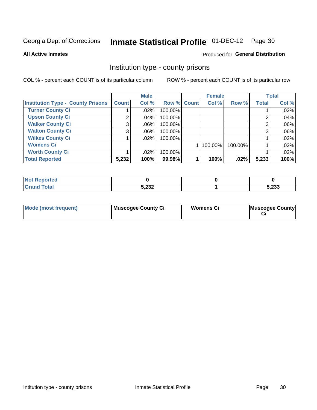# Inmate Statistical Profile 01-DEC-12 Page 30

**All Active Inmates** 

#### **Produced for General Distribution**

### Institution type - county prisons

COL % - percent each COUNT is of its particular column

|                                          |              | <b>Male</b> |             | <b>Female</b> |         |              | <b>Total</b> |
|------------------------------------------|--------------|-------------|-------------|---------------|---------|--------------|--------------|
| <b>Institution Type - County Prisons</b> | <b>Count</b> | Col %       | Row % Count | Col %         | Row %   | <b>Total</b> | Col %        |
| <b>Turner County Ci</b>                  |              | $.02\%$     | 100.00%     |               |         |              | .02%         |
| <b>Upson County Ci</b>                   | 2            | .04%        | 100.00%     |               |         | റ            | .04%         |
| <b>Walker County Ci</b>                  | 3            | $.06\%$     | 100.00%     |               |         | 3            | .06%         |
| <b>Walton County Ci</b>                  | 3            | $.06\%$     | 100.00%     |               |         |              | .06%         |
| <b>Wilkes County Ci</b>                  |              | $.02\%$     | 100.00%     |               |         |              | .02%         |
| <b>Womens Ci</b>                         |              |             |             | 100.00%       | 100.00% |              | .02%         |
| <b>Worth County Ci</b>                   |              | $.02\%$     | 100.00%     |               |         |              | .02%         |
| <b>Total Reported</b>                    | 5,232        | 100%        | 99.98%      | 100%          | $.02\%$ | 5,233        | 100%         |

| <b>Reported</b><br><b>NOT</b> |       |       |
|-------------------------------|-------|-------|
| <b>otal</b>                   | 5,232 | 5,233 |

| <b>Mode (most frequent)</b> | Muscogee County Ci | <b>Womens Ci</b> | Muscogee County |
|-----------------------------|--------------------|------------------|-----------------|
|-----------------------------|--------------------|------------------|-----------------|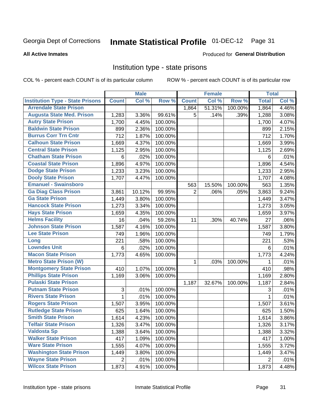#### Inmate Statistical Profile 01-DEC-12 Page 31

#### **All Active Inmates**

#### Produced for General Distribution

### Institution type - state prisons

COL % - percent each COUNT is of its particular column

|                                         |                           | <b>Male</b> |         |                | <b>Female</b> |         | <b>Total</b>   |       |
|-----------------------------------------|---------------------------|-------------|---------|----------------|---------------|---------|----------------|-------|
| <b>Institution Type - State Prisons</b> | <b>Count</b>              | Col %       | Row %   | <b>Count</b>   | Col %         | Row %   | <b>Total</b>   | Col % |
| <b>Arrendale State Prison</b>           |                           |             |         | 1,864          | 51.31%        | 100.00% | 1,864          | 4.46% |
| <b>Augusta State Med. Prison</b>        | 1,283                     | 3.36%       | 99.61%  | 5              | .14%          | .39%    | 1,288          | 3.08% |
| <b>Autry State Prison</b>               | 1,700                     | 4.45%       | 100.00% |                |               |         | 1,700          | 4.07% |
| <b>Baldwin State Prison</b>             | 899                       | 2.36%       | 100.00% |                |               |         | 899            | 2.15% |
| <b>Burrus Corr Trn Cntr</b>             | 712                       | 1.87%       | 100.00% |                |               |         | 712            | 1.70% |
| <b>Calhoun State Prison</b>             | 1,669                     | 4.37%       | 100.00% |                |               |         | 1,669          | 3.99% |
| <b>Central State Prison</b>             | 1,125                     | 2.95%       | 100.00% |                |               |         | 1,125          | 2.69% |
| <b>Chatham State Prison</b>             | 6                         | .02%        | 100.00% |                |               |         | 6              | .01%  |
| <b>Coastal State Prison</b>             | 1,896                     | 4.97%       | 100.00% |                |               |         | 1,896          | 4.54% |
| <b>Dodge State Prison</b>               | 1,233                     | 3.23%       | 100.00% |                |               |         | 1,233          | 2.95% |
| <b>Dooly State Prison</b>               | 1,707                     | 4.47%       | 100.00% |                |               |         | 1,707          | 4.08% |
| <b>Emanuel - Swainsboro</b>             |                           |             |         | 563            | 15.50%        | 100.00% | 563            | 1.35% |
| <b>Ga Diag Class Prison</b>             | 3,861                     | 10.12%      | 99.95%  | $\overline{2}$ | .06%          | .05%    | 3,863          | 9.24% |
| <b>Ga State Prison</b>                  | 1,449                     | 3.80%       | 100.00% |                |               |         | 1,449          | 3.47% |
| <b>Hancock State Prison</b>             | 1,273                     | 3.34%       | 100.00% |                |               |         | 1,273          | 3.05% |
| <b>Hays State Prison</b>                | 1,659                     | 4.35%       | 100.00% |                |               |         | 1,659          | 3.97% |
| <b>Helms Facility</b>                   | 16                        | .04%        | 59.26%  | 11             | .30%          | 40.74%  | 27             | .06%  |
| <b>Johnson State Prison</b>             | 1,587                     | 4.16%       | 100.00% |                |               |         | 1,587          | 3.80% |
| <b>Lee State Prison</b>                 | 749                       | 1.96%       | 100.00% |                |               |         | 749            | 1.79% |
| Long                                    | 221                       | .58%        | 100.00% |                |               |         | 221            | .53%  |
| <b>Lowndes Unit</b>                     | 6                         | .02%        | 100.00% |                |               |         | 6              | .01%  |
| <b>Macon State Prison</b>               | 1,773                     | 4.65%       | 100.00% |                |               |         | 1,773          | 4.24% |
| <b>Metro State Prison (W)</b>           |                           |             |         | $\mathbf 1$    | .03%          | 100.00% | 1              | .01%  |
| <b>Montgomery State Prison</b>          | 410                       | 1.07%       | 100.00% |                |               |         | 410            | .98%  |
| <b>Phillips State Prison</b>            | 1,169                     | 3.06%       | 100.00% |                |               |         | 1,169          | 2.80% |
| <b>Pulaski State Prison</b>             |                           |             |         | 1,187          | 32.67%        | 100.00% | 1,187          | 2.84% |
| <b>Putnam State Prison</b>              | $\ensuremath{\mathsf{3}}$ | .01%        | 100.00% |                |               |         | 3              | .01%  |
| <b>Rivers State Prison</b>              | 1                         | .01%        | 100.00% |                |               |         | $\mathbf{1}$   | .01%  |
| <b>Rogers State Prison</b>              | 1,507                     | 3.95%       | 100.00% |                |               |         | 1,507          | 3.61% |
| <b>Rutledge State Prison</b>            | 625                       | 1.64%       | 100.00% |                |               |         | 625            | 1.50% |
| <b>Smith State Prison</b>               | 1,614                     | 4.23%       | 100.00% |                |               |         | 1,614          | 3.86% |
| <b>Telfair State Prison</b>             | 1,326                     | 3.47%       | 100.00% |                |               |         | 1,326          | 3.17% |
| <b>Valdosta Sp</b>                      | 1,388                     | 3.64%       | 100.00% |                |               |         | 1,388          | 3.32% |
| <b>Walker State Prison</b>              | 417                       | 1.09%       | 100.00% |                |               |         | 417            | 1.00% |
| <b>Ware State Prison</b>                | 1,555                     | 4.07%       | 100.00% |                |               |         | 1,555          | 3.72% |
| <b>Washington State Prison</b>          | 1,449                     | 3.80%       | 100.00% |                |               |         | 1,449          | 3.47% |
| <b>Wayne State Prison</b>               | $\overline{2}$            | .01%        | 100.00% |                |               |         | $\overline{2}$ | .01%  |
| <b>Wilcox State Prison</b>              | 1,873                     | 4.91%       | 100.00% |                |               |         | 1,873          | 4.48% |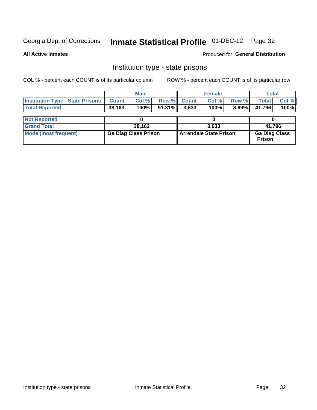# Inmate Statistical Profile 01-DEC-12 Page 32

**All Active Inmates** 

Produced for General Distribution

### Institution type - state prisons

COL % - percent each COUNT is of its particular column

|                                                   |        | <b>Male</b> |                    | <b>Female</b> |          | Total        |         |
|---------------------------------------------------|--------|-------------|--------------------|---------------|----------|--------------|---------|
| <b>Institution Type - State Prisons   Count  </b> |        | Col %       | <b>Row % Count</b> | Col %         | Row %    | <b>Total</b> | Col %   |
| <b>Total Reported</b>                             | 38,163 | 100%        | $91.31\%$ 3.633    | 100%          | $8.69\%$ | 41.796       | $100\%$ |
| <b>NALDAMARIA</b>                                 |        |             |                    |               |          |              |         |

| <b>Not Reported</b>  |                             |                        |                                       |
|----------------------|-----------------------------|------------------------|---------------------------------------|
| <b>Grand Total</b>   | 38,163                      | 3,633                  | 41.796                                |
| Mode (most frequent) | <b>Ga Diag Class Prison</b> | Arrendale State Prison | <b>Ga Diag Class</b><br><b>Prison</b> |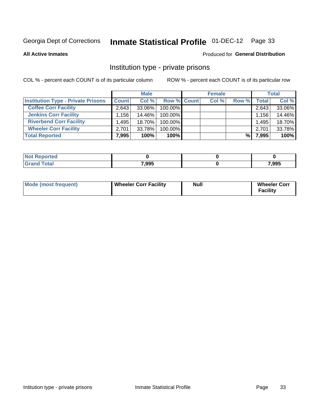# Inmate Statistical Profile 01-DEC-12 Page 33

**All Active Inmates** 

#### **Produced for General Distribution**

### Institution type - private prisons

COL % - percent each COUNT is of its particular column

|                                           |              | <b>Male</b> |                    | <b>Female</b> |       |       | <b>Total</b> |
|-------------------------------------------|--------------|-------------|--------------------|---------------|-------|-------|--------------|
| <b>Institution Type - Private Prisons</b> | <b>Count</b> | Col %       | <b>Row % Count</b> | Col %         | Row % | Total | Col %        |
| <b>Coffee Corr Facility</b>               | 2.643        | 33.06%      | 100.00%            |               |       | 2,643 | 33.06%       |
| <b>Jenkins Corr Facility</b>              | $.156+$      | 14.46%      | 100.00%            |               |       | 1,156 | 14.46%       |
| <b>Riverbend Corr Facility</b>            | .495         | 18.70%      | 100.00%            |               |       | 1,495 | 18.70%       |
| <b>Wheeler Corr Facility</b>              | 2.701        | 33.78%      | 100.00%            |               |       | 2,701 | 33.78%       |
| <b>Total Reported</b>                     | 7,995        | 100%        | $100\%$            |               | %     | 7,995 | 100%         |

| <b>Not</b><br>Reported |       |       |
|------------------------|-------|-------|
| <b>Total</b>           | 7,995 | 7,995 |

| <b>Mode (most frequent)</b> | <b>Wheeler Corr Facility</b> | Null | <b>Wheeler Corr</b><br>Facility |
|-----------------------------|------------------------------|------|---------------------------------|
|-----------------------------|------------------------------|------|---------------------------------|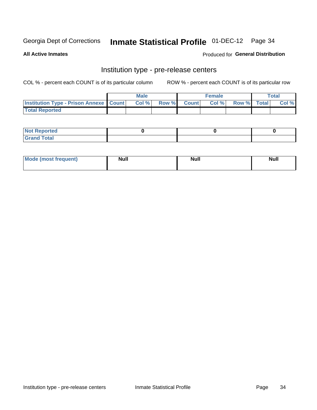# Inmate Statistical Profile 01-DEC-12 Page 34

**All Active Inmates** 

Produced for General Distribution

# Institution type - pre-release centers

COL % - percent each COUNT is of its particular column

|                                                   | <b>Male</b> |             | <b>Female</b> |             | <b>Total</b> |
|---------------------------------------------------|-------------|-------------|---------------|-------------|--------------|
| <b>Institution Type - Prison Annexe   Count  </b> | Col %       | Row % Count | Col %         | Row % Total | Col %        |
| <b>Total Reported</b>                             |             |             |               |             |              |

| <b>Reported</b><br>I NOT                      |  |  |
|-----------------------------------------------|--|--|
| <b>Total</b><br>Carar<br>$\sim$ . When $\sim$ |  |  |

| Mor<br><b>ruent</b> )<br>rea<br>nos | <b>Null</b> | <b>Moll</b><br>_____ | . .<br><b>Null</b> |
|-------------------------------------|-------------|----------------------|--------------------|
|                                     |             |                      |                    |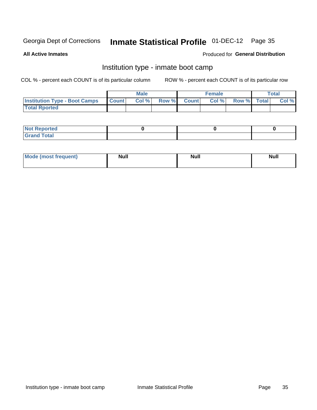# Inmate Statistical Profile 01-DEC-12 Page 35

**All Active Inmates** 

#### Produced for General Distribution

### Institution type - inmate boot camp

COL % - percent each COUNT is of its particular column

|                                      |              | <b>Male</b> |       |        | <b>Female</b> |             | Total |
|--------------------------------------|--------------|-------------|-------|--------|---------------|-------------|-------|
| <b>Institution Type - Boot Camps</b> | <b>Count</b> | Col %       | Row % | Countl | Col %         | Row % Total | Col % |
| <b>Total Rported</b>                 |              |             |       |        |               |             |       |

| <b>Not Reported</b>            |  |  |
|--------------------------------|--|--|
| <b>Total</b><br>C <sub>r</sub> |  |  |

| Mode (most<br>Treauent) | <b>Null</b> | . .<br><b>Nu</b> |  |
|-------------------------|-------------|------------------|--|
|                         |             |                  |  |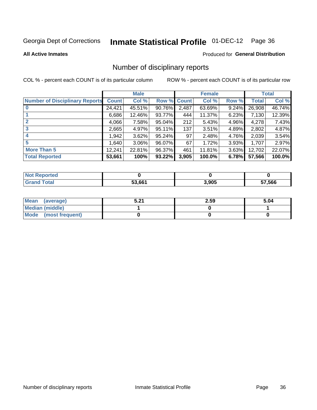# Inmate Statistical Profile 01-DEC-12 Page 36

#### **All Active Inmates**

#### **Produced for General Distribution**

### Number of disciplinary reports

COL % - percent each COUNT is of its particular column

|                                       |              | <b>Male</b> |        |              | <b>Female</b> |          |        | <b>Total</b> |
|---------------------------------------|--------------|-------------|--------|--------------|---------------|----------|--------|--------------|
| <b>Number of Disciplinary Reports</b> | <b>Count</b> | Col %       | Row %  | <b>Count</b> | Col %         | Row %    | Total  | Col %        |
|                                       | 24,421       | 45.51%      | 90.76% | 2,487        | 63.69%        | $9.24\%$ | 26,908 | 46.74%       |
|                                       | 6,686        | 12.46%      | 93.77% | 444          | 11.37%        | 6.23%    | 7,130  | 12.39%       |
|                                       | 4,066        | 7.58%       | 95.04% | 212          | 5.43%         | 4.96%    | 4,278  | 7.43%        |
| 3                                     | 2,665        | 4.97%       | 95.11% | 137          | 3.51%         | $4.89\%$ | 2,802  | 4.87%        |
| $\boldsymbol{4}$                      | 1,942        | 3.62%       | 95.24% | 97           | 2.48%         | 4.76%    | 2,039  | 3.54%        |
| 5                                     | 1,640        | $3.06\%$    | 96.07% | 67           | 1.72%         | 3.93%    | 1,707  | 2.97%        |
| <b>More Than 5</b>                    | 12,241       | 22.81%      | 96.37% | 461          | 11.81%        | 3.63%    | 12,702 | 22.07%       |
| <b>Total Reported</b>                 | 53,661       | 100%        | 93.22% | 3,905        | 100.0%        | 6.78%    | 57,566 | 100.0%       |

| วrted<br>NO1 |        |       |       |
|--------------|--------|-------|-------|
| <b>Total</b> | 53 661 | 3.905 | ',566 |

| Mean (average)       | E 94<br>.J.Z. | 2.59 | 5.04 |
|----------------------|---------------|------|------|
| Median (middle)      |               |      |      |
| Mode (most frequent) |               |      |      |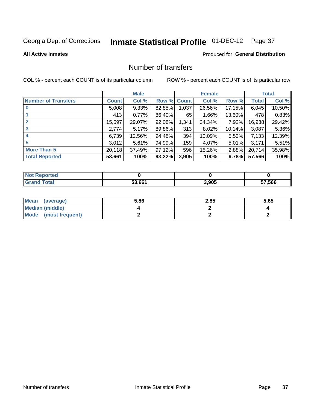# Inmate Statistical Profile 01-DEC-12 Page 37

#### **All Active Inmates**

#### **Produced for General Distribution**

## Number of transfers

COL % - percent each COUNT is of its particular column

|                            |         | <b>Male</b> |             |       | <b>Female</b> |           |              | <b>Total</b> |
|----------------------------|---------|-------------|-------------|-------|---------------|-----------|--------------|--------------|
| <b>Number of Transfers</b> | Count l | Col %       | Row % Count |       | Col %         | Row %     | <b>Total</b> | Col %        |
| $\bf{0}$                   | 5,008   | $9.33\%$    | 82.85%      | 1,037 | 26.56%        | 17.15%    | 6,045        | 10.50%       |
|                            | 413     | 0.77%       | 86.40%      | 65    | 1.66%         | 13.60%    | 478          | 0.83%        |
| $\mathbf{2}$               | 15,597  | 29.07%      | 92.08%      | 1,341 | 34.34%        | 7.92%     | 16,938       | 29.42%       |
| 3                          | 2,774   | 5.17%       | 89.86%      | 313   | 8.02%         | $10.14\%$ | 3,087        | 5.36%        |
| $\overline{\bf{4}}$        | 6,739   | 12.56%      | 94.48%      | 394   | 10.09%        | $5.52\%$  | 7,133        | 12.39%       |
| 5                          | 3,012   | 5.61%       | 94.99%      | 159   | 4.07%         | $5.01\%$  | 3,171        | 5.51%        |
| <b>More Than 5</b>         | 20,118  | 37.49%      | 97.12%      | 596   | 15.26%        | $2.88\%$  | 20,714       | 35.98%       |
| <b>Total Reported</b>      | 53,661  | 100%        | 93.22%      | 3,905 | 100%          | 6.78%     | 57,566       | 100%         |

| วrted<br>NO1 |        |       |       |
|--------------|--------|-------|-------|
| <b>Total</b> | 53 661 | 3.905 | ',566 |

| Mean (average)         | 5.86 | 2.85 | 5.65 |
|------------------------|------|------|------|
| <b>Median (middle)</b> |      |      |      |
| Mode (most frequent)   |      |      |      |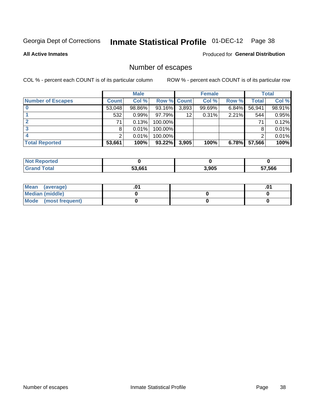# Inmate Statistical Profile 01-DEC-12 Page 38

**All Active Inmates** 

**Produced for General Distribution** 

# Number of escapes

COL % - percent each COUNT is of its particular column

|                          |              | <b>Male</b> |             |       | <b>Female</b> |          |        | <b>Total</b> |
|--------------------------|--------------|-------------|-------------|-------|---------------|----------|--------|--------------|
| <b>Number of Escapes</b> | <b>Count</b> | Col %       | Row % Count |       | Col %         | Row %    | Total  | Col %        |
|                          | 53,048       | 98.86%      | 93.16%      | 3,893 | 99.69%        | $6.84\%$ | 56,941 | 98.91%       |
|                          | 532          | 0.99%       | 97.79%      | 12    | 0.31%         | 2.21%    | 544    | 0.95%        |
|                          | 71           | 0.13%       | 100.00%     |       |               |          | 71     | 0.12%        |
|                          | 8            | 0.01%       | 100.00%     |       |               |          |        | 0.01%        |
|                          |              | 0.01%       | 100.00%     |       |               |          |        | 0.01%        |
| <b>Total Reported</b>    | 53,661       | 100%        | $93.22\%$   | 3,905 | 100%          | 6.78%    | 57,566 | 100%         |

| rted |        |       |        |
|------|--------|-------|--------|
|      | 53.661 | 3,905 | 57,566 |

| Mean (average)       |  | .01 |
|----------------------|--|-----|
| Median (middle)      |  |     |
| Mode (most frequent) |  |     |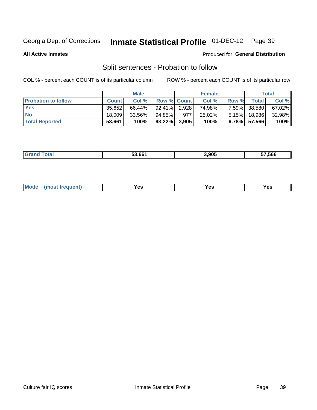# Inmate Statistical Profile 01-DEC-12 Page 39

**All Active Inmates** 

#### Produced for General Distribution

# Split sentences - Probation to follow

COL % - percent each COUNT is of its particular column

|                            |              | <b>Male</b> |                    |     | <b>Female</b> |              |                 | <b>Total</b> |
|----------------------------|--------------|-------------|--------------------|-----|---------------|--------------|-----------------|--------------|
| <b>Probation to follow</b> | <b>Count</b> | Col%        | <b>Row % Count</b> |     | Col %         | <b>Row %</b> | Total i         | Col %        |
| <b>Yes</b>                 | 35.652       | 66.44%      | $92.41\%$ 2.928    |     | 74.98%        | 7.59%        | 38,580          | 67.02%       |
| <b>No</b>                  | 18.009       | 33.56%      | 94.85%             | 977 | 25.02%        | $5.15\%$     | 18.986          | 32.98%       |
| <b>Total Reported</b>      | 53,661       | 100%        | $93.22\%$ 3,905    |     | 100%          |              | $6.78\%$ 57,566 | 100%         |

| _______ | 53 661 | 3.905 | <b>FAA</b><br>57.366 |
|---------|--------|-------|----------------------|
|         |        |       |                      |

| requent<br>′es<br>Yes<br><b>YAC</b><br>. |  | $Moo$ |  |  |  |
|------------------------------------------|--|-------|--|--|--|
|------------------------------------------|--|-------|--|--|--|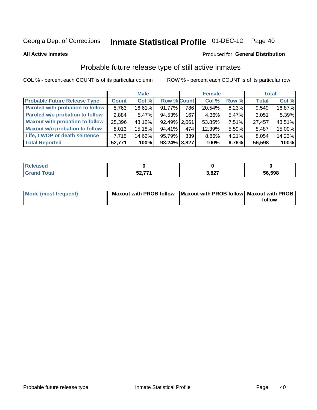# Inmate Statistical Profile 01-DEC-12 Page 40

**All Active Inmates** 

#### Produced for General Distribution

# Probable future release type of still active inmates

COL % - percent each COUNT is of its particular column

|                                         |              | <b>Male</b> |                    |     | <b>Female</b> |          | <b>Total</b> |        |
|-----------------------------------------|--------------|-------------|--------------------|-----|---------------|----------|--------------|--------|
| <b>Probable Future Release Type</b>     | <b>Count</b> | Col %       | <b>Row % Count</b> |     | Col %         | Row %    | <b>Total</b> | Col %  |
| <b>Paroled with probation to follow</b> | 8,763        | 16.61%      | 91.77%             | 786 | 20.54%        | 8.23%    | 9,549        | 16.87% |
| Paroled w/o probation to follow         | 2,884        | 5.47%       | 94.53%             | 167 | 4.36%         | 5.47%    | 3,051        | 5.39%  |
| <b>Maxout with probation to follow</b>  | 25,396       | 48.12%      | 92.49% 2.061       |     | 53.85%        | 7.51%    | 27,457       | 48.51% |
| <b>Maxout w/o probation to follow</b>   | 8,013        | 15.18%      | 94.41%             | 474 | 12.39%        | 5.59%    | 8,487        | 15.00% |
| Life, LWOP or death sentence            | 7.715        | 14.62%      | 95.79%             | 339 | 8.86%         | $4.21\%$ | 8,054        | 14.23% |
| <b>Total Reported</b>                   | 52,771       | 100%        | $93.24\%$ 3,827    |     | 100%          | 6.76%    | 56,598       | 100%   |

| eleased     |              |                  |        |
|-------------|--------------|------------------|--------|
| <b>otal</b> | にへ フフィ<br>◡▵ | 2027<br>m<br>v., | 56,598 |

| <b>Mode (most frequent)</b> | Maxout with PROB follow   Maxout with PROB follow   Maxout with PROB |        |
|-----------------------------|----------------------------------------------------------------------|--------|
|                             |                                                                      | follow |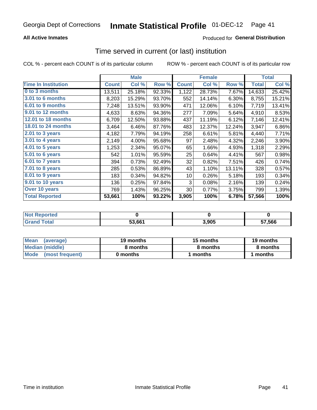### **All Active Inmates**

### **Produced for General Distribution**

# Time served in current (or last) institution

COL % - percent each COUNT is of its particular column

|                            | <b>Male</b>  |        | <b>Female</b> |              |        | <b>Total</b> |              |        |
|----------------------------|--------------|--------|---------------|--------------|--------|--------------|--------------|--------|
| <b>Time In Institution</b> | <b>Count</b> | Col %  | Row %         | <b>Count</b> | Col %  | Row %        | <b>Total</b> | Col %  |
| 0 to 3 months              | 13,511       | 25.18% | 92.33%        | 1,122        | 28.73% | 7.67%        | 14,633       | 25.42% |
| <b>3.01 to 6 months</b>    | 8,203        | 15.29% | 93.70%        | 552          | 14.14% | 6.30%        | 8,755        | 15.21% |
| 6.01 to 9 months           | 7,248        | 13.51% | 93.90%        | 471          | 12.06% | 6.10%        | 7,719        | 13.41% |
| 9.01 to 12 months          | 4,633        | 8.63%  | 94.36%        | 277          | 7.09%  | 5.64%        | 4,910        | 8.53%  |
| 12.01 to 18 months         | 6,709        | 12.50% | 93.88%        | 437          | 11.19% | 6.12%        | 7,146        | 12.41% |
| <b>18.01 to 24 months</b>  | 3,464        | 6.46%  | 87.76%        | 483          | 12.37% | 12.24%       | 3,947        | 6.86%  |
| 2.01 to 3 years            | 4,182        | 7.79%  | 94.19%        | 258          | 6.61%  | 5.81%        | 4,440        | 7.71%  |
| 3.01 to 4 years            | 2,149        | 4.00%  | 95.68%        | 97           | 2.48%  | 4.32%        | 2,246        | 3.90%  |
| $4.01$ to 5 years          | 1,253        | 2.34%  | 95.07%        | 65           | 1.66%  | 4.93%        | 1,318        | 2.29%  |
| 5.01 to 6 years            | 542          | 1.01%  | 95.59%        | 25           | 0.64%  | 4.41%        | 567          | 0.98%  |
| $6.01$ to 7 years          | 394          | 0.73%  | 92.49%        | 32           | 0.82%  | 7.51%        | 426          | 0.74%  |
| 7.01 to 8 years            | 285          | 0.53%  | 86.89%        | 43           | 1.10%  | 13.11%       | 328          | 0.57%  |
| $8.01$ to 9 years          | 183          | 0.34%  | 94.82%        | 10           | 0.26%  | 5.18%        | 193          | 0.34%  |
| 9.01 to 10 years           | 136          | 0.25%  | 97.84%        | 3            | 0.08%  | 2.16%        | 139          | 0.24%  |
| Over 10 years              | 769          | 1.43%  | 96.25%        | 30           | 0.77%  | 3.75%        | 799          | 1.39%  |
| <b>Total Reported</b>      | 53,661       | 100%   | 93.22%        | 3,905        | 100%   | 6.78%        | 57,566       | 100%   |

| <b>NOT</b><br>пео |        |       |        |
|-------------------|--------|-------|--------|
|                   | 53.661 | 905.ر | 57,566 |

| <b>Mean</b><br>(average) | 19 months | 15 months | 19 months |  |
|--------------------------|-----------|-----------|-----------|--|
| Median (middle)          | 8 months  | 8 months  | 8 months  |  |
| Mode<br>(most frequent)  | 0 months  | months    | ∖ months  |  |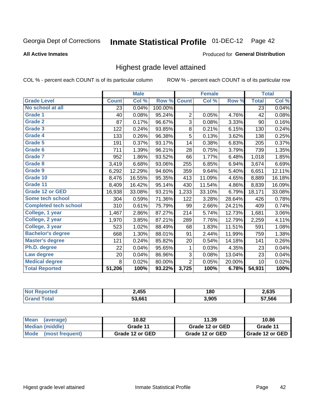#### **Inmate Statistical Profile 01-DEC-12** Page 42

#### **All Active Inmates**

#### Produced for General Distribution

## Highest grade level attained

COL % - percent each COUNT is of its particular column

|                              |              | <b>Male</b> |         |                | <b>Female</b> |        |              | <b>Total</b> |
|------------------------------|--------------|-------------|---------|----------------|---------------|--------|--------------|--------------|
| <b>Grade Level</b>           | <b>Count</b> | Col %       | Row %   | <b>Count</b>   | Col %         | Row %  | <b>Total</b> | Col %        |
| No school at all             | 23           | 0.04%       | 100.00% |                |               |        | 23           | 0.04%        |
| Grade 1                      | 40           | 0.08%       | 95.24%  | $\overline{2}$ | 0.05%         | 4.76%  | 42           | 0.08%        |
| Grade 2                      | 87           | 0.17%       | 96.67%  | 3              | 0.08%         | 3.33%  | 90           | 0.16%        |
| Grade 3                      | 122          | 0.24%       | 93.85%  | $\bf 8$        | 0.21%         | 6.15%  | 130          | 0.24%        |
| Grade 4                      | 133          | 0.26%       | 96.38%  | 5              | 0.13%         | 3.62%  | 138          | 0.25%        |
| <b>Grade 5</b>               | 191          | 0.37%       | 93.17%  | 14             | 0.38%         | 6.83%  | 205          | 0.37%        |
| Grade 6                      | 711          | 1.39%       | 96.21%  | 28             | 0.75%         | 3.79%  | 739          | 1.35%        |
| <b>Grade 7</b>               | 952          | 1.86%       | 93.52%  | 66             | 1.77%         | 6.48%  | 1,018        | 1.85%        |
| Grade 8                      | 3,419        | 6.68%       | 93.06%  | 255            | 6.85%         | 6.94%  | 3,674        | 6.69%        |
| <b>Grade 9</b>               | 6,292        | 12.29%      | 94.60%  | 359            | 9.64%         | 5.40%  | 6,651        | 12.11%       |
| Grade 10                     | 8,476        | 16.55%      | 95.35%  | 413            | 11.09%        | 4.65%  | 8,889        | 16.18%       |
| Grade 11                     | 8,409        | 16.42%      | 95.14%  | 430            | 11.54%        | 4.86%  | 8,839        | 16.09%       |
| <b>Grade 12 or GED</b>       | 16,938       | 33.08%      | 93.21%  | 1,233          | 33.10%        | 6.79%  | 18,171       | 33.08%       |
| <b>Some tech school</b>      | 304          | 0.59%       | 71.36%  | 122            | 3.28%         | 28.64% | 426          | 0.78%        |
| <b>Completed tech school</b> | 310          | 0.61%       | 75.79%  | 99             | 2.66%         | 24.21% | 409          | 0.74%        |
| College, 1 year              | 1,467        | 2.86%       | 87.27%  | 214            | 5.74%         | 12.73% | 1,681        | 3.06%        |
| College, 2 year              | 1,970        | 3.85%       | 87.21%  | 289            | 7.76%         | 12.79% | 2,259        | 4.11%        |
| College, 3 year              | 523          | 1.02%       | 88.49%  | 68             | 1.83%         | 11.51% | 591          | 1.08%        |
| <b>Bachelor's degree</b>     | 668          | 1.30%       | 88.01%  | 91             | 2.44%         | 11.99% | 759          | 1.38%        |
| <b>Master's degree</b>       | 121          | 0.24%       | 85.82%  | 20             | 0.54%         | 14.18% | 141          | 0.26%        |
| Ph.D. degree                 | 22           | 0.04%       | 95.65%  | 1              | 0.03%         | 4.35%  | 23           | 0.04%        |
| Law degree                   | 20           | 0.04%       | 86.96%  | 3              | 0.08%         | 13.04% | 23           | 0.04%        |
| <b>Medical degree</b>        | 8            | 0.02%       | 80.00%  | $\overline{2}$ | 0.05%         | 20.00% | 10           | 0.02%        |
| <b>Total Reported</b>        | 51,206       | 100%        | 93.22%  | 3,725          | 100%          | 6.78%  | 54,931       | 100%         |

| 2,455  | 180   | 2,635  |
|--------|-------|--------|
| 53.661 | 3,905 | 57.566 |

| Mean<br>(average)              | 10.82           | 11.39           | 10.86             |
|--------------------------------|-----------------|-----------------|-------------------|
| Median (middle)                | Grade 11        | Grade 12 or GED | Grade 11          |
| <b>Mode</b><br>(most frequent) | Grade 12 or GED | Grade 12 or GED | I Grade 12 or GED |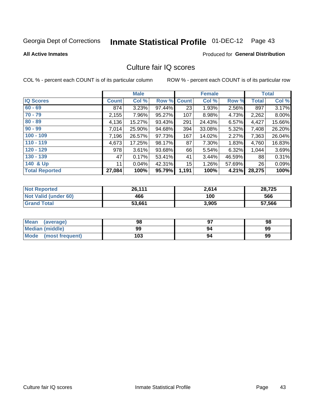# Inmate Statistical Profile 01-DEC-12 Page 43

#### **All Active Inmates**

#### **Produced for General Distribution**

## Culture fair IQ scores

COL % - percent each COUNT is of its particular column

|                       |              | <b>Male</b> |                    |       | <b>Female</b> |        |              | <b>Total</b> |
|-----------------------|--------------|-------------|--------------------|-------|---------------|--------|--------------|--------------|
| <b>IQ Scores</b>      | <b>Count</b> | Col %       | <b>Row % Count</b> |       | Col %         | Row %  | <b>Total</b> | Col %        |
| $60 - 69$             | 874          | 3.23%       | 97.44%             | 23    | 1.93%         | 2.56%  | 897          | 3.17%        |
| $70 - 79$             | 2,155        | 7.96%       | 95.27%             | 107   | 8.98%         | 4.73%  | 2,262        | 8.00%        |
| $80 - 89$             | 4,136        | 15.27%      | 93.43%             | 291   | 24.43%        | 6.57%  | 4,427        | 15.66%       |
| $90 - 99$             | 7,014        | 25.90%      | 94.68%             | 394   | 33.08%        | 5.32%  | 7,408        | 26.20%       |
| $100 - 109$           | 7,196        | 26.57%      | 97.73%             | 167   | 14.02%        | 2.27%  | 7,363        | 26.04%       |
| $110 - 119$           | 4,673        | 17.25%      | 98.17%             | 87    | 7.30%         | 1.83%  | 4,760        | 16.83%       |
| $120 - 129$           | 978          | 3.61%       | 93.68%             | 66    | 5.54%         | 6.32%  | 1,044        | 3.69%        |
| $130 - 139$           | 47           | 0.17%       | 53.41%             | 41    | 3.44%         | 46.59% | 88           | 0.31%        |
| 140 & Up              | 11           | 0.04%       | 42.31%             | 15    | 1.26%         | 57.69% | 26           | 0.09%        |
| <b>Total Reported</b> | 27,084       | 100%        | 95.79%             | 1,191 | 100%          | 4.21%  | 28,275       | 100%         |

| <b>Not Reported</b>         | 26,111 | 2,614 | 28,725 |
|-----------------------------|--------|-------|--------|
| <b>Not Valid (under 60)</b> | 466    | 100   | 566    |
| <b>Grand Total</b>          | 53,661 | 3,905 | 57,566 |

| Mean<br>(average)       | 98  | כח | 98 |
|-------------------------|-----|----|----|
| <b>Median (middle)</b>  | 99  | 94 | 99 |
| Mode<br>(most frequent) | 103 | 94 | 99 |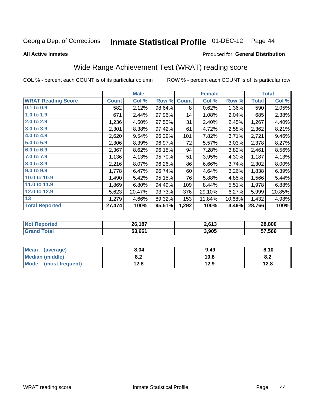#### **Inmate Statistical Profile 01-DEC-12** Page 44

**All Active Inmates** 

### Produced for General Distribution

# Wide Range Achievement Test (WRAT) reading score

COL % - percent each COUNT is of its particular column

|                           |              | <b>Male</b> |        |              | <b>Female</b> |        |              | <b>Total</b> |
|---------------------------|--------------|-------------|--------|--------------|---------------|--------|--------------|--------------|
| <b>WRAT Reading Score</b> | <b>Count</b> | Col %       | Row %  | <b>Count</b> | Col %         | Row %  | <b>Total</b> | Col %        |
| 0.1 to 0.9                | 582          | 2.12%       | 98.64% | 8            | 0.62%         | 1.36%  | 590          | 2.05%        |
| 1.0 to 1.9                | 671          | 2.44%       | 97.96% | 14           | 1.08%         | 2.04%  | 685          | 2.38%        |
| 2.0 to 2.9                | 1,236        | 4.50%       | 97.55% | 31           | 2.40%         | 2.45%  | 1,267        | 4.40%        |
| 3.0 to 3.9                | 2,301        | 8.38%       | 97.42% | 61           | 4.72%         | 2.58%  | 2,362        | 8.21%        |
| 4.0 to 4.9                | 2,620        | 9.54%       | 96.29% | 101          | 7.82%         | 3.71%  | 2,721        | 9.46%        |
| 5.0 to 5.9                | 2,306        | 8.39%       | 96.97% | 72           | 5.57%         | 3.03%  | 2,378        | 8.27%        |
| 6.0 to 6.9                | 2,367        | 8.62%       | 96.18% | 94           | 7.28%         | 3.82%  | 2,461        | 8.56%        |
| 7.0 to 7.9                | 1,136        | 4.13%       | 95.70% | 51           | 3.95%         | 4.30%  | 1,187        | 4.13%        |
| 8.0 to 8.9                | 2,216        | 8.07%       | 96.26% | 86           | 6.66%         | 3.74%  | 2,302        | 8.00%        |
| 9.0 to 9.9                | 1,778        | 6.47%       | 96.74% | 60           | 4.64%         | 3.26%  | 1,838        | 6.39%        |
| 10.0 to 10.9              | 1,490        | 5.42%       | 95.15% | 76           | 5.88%         | 4.85%  | 1,566        | 5.44%        |
| 11.0 to 11.9              | 1,869        | 6.80%       | 94.49% | 109          | 8.44%         | 5.51%  | 1,978        | 6.88%        |
| 12.0 to 12.9              | 5,623        | 20.47%      | 93.73% | 376          | 29.10%        | 6.27%  | 5,999        | 20.85%       |
| 13                        | 1,279        | 4.66%       | 89.32% | 153          | 11.84%        | 10.68% | 1,432        | 4.98%        |
| <b>Total Reported</b>     | 27,474       | 100%        | 95.51% | 1,292        | 100%          | 4.49%  | 28,766       | 100%         |

| <b>Not Reported</b>   | 26,187 | 2,613 | 28,800 |
|-----------------------|--------|-------|--------|
| Total<br><b>Grand</b> | 53,661 | 3,905 | 57,566 |

| <b>Mean</b><br>(average)       | 8.04         | 9.49 | 8.10 |
|--------------------------------|--------------|------|------|
| Median (middle)                | י ה<br>O.A   | 10.8 | o.z  |
| <b>Mode</b><br>(most frequent) | 19 Q<br>14.O | 12.9 | 12.8 |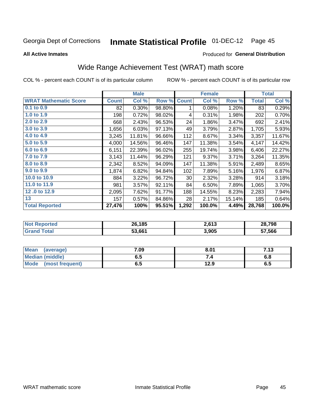#### **Inmate Statistical Profile 01-DEC-12** Page 45

**All Active Inmates** 

#### Produced for General Distribution

# Wide Range Achievement Test (WRAT) math score

COL % - percent each COUNT is of its particular column

|                              |              | <b>Male</b> |        |              | <b>Female</b> |        |              | <b>Total</b> |
|------------------------------|--------------|-------------|--------|--------------|---------------|--------|--------------|--------------|
| <b>WRAT Mathematic Score</b> | <b>Count</b> | Col %       | Row %  | <b>Count</b> | Col %         | Row %  | <b>Total</b> | Col %        |
| 0.1 to 0.9                   | 82           | 0.30%       | 98.80% | 1            | 0.08%         | 1.20%  | 83           | 0.29%        |
| 1.0 to 1.9                   | 198          | 0.72%       | 98.02% | 4            | 0.31%         | 1.98%  | 202          | 0.70%        |
| 2.0 to 2.9                   | 668          | 2.43%       | 96.53% | 24           | 1.86%         | 3.47%  | 692          | 2.41%        |
| 3.0 to 3.9                   | 1,656        | 6.03%       | 97.13% | 49           | 3.79%         | 2.87%  | 1,705        | 5.93%        |
| 4.0 to 4.9                   | 3,245        | 11.81%      | 96.66% | 112          | 8.67%         | 3.34%  | 3,357        | 11.67%       |
| 5.0 to 5.9                   | 4,000        | 14.56%      | 96.46% | 147          | 11.38%        | 3.54%  | 4,147        | 14.42%       |
| 6.0 to 6.9                   | 6,151        | 22.39%      | 96.02% | 255          | 19.74%        | 3.98%  | 6,406        | 22.27%       |
| 7.0 to 7.9                   | 3,143        | 11.44%      | 96.29% | 121          | 9.37%         | 3.71%  | 3,264        | 11.35%       |
| 8.0 to 8.9                   | 2,342        | 8.52%       | 94.09% | 147          | 11.38%        | 5.91%  | 2,489        | 8.65%        |
| 9.0 to 9.9                   | 1,874        | 6.82%       | 94.84% | 102          | 7.89%         | 5.16%  | 1,976        | 6.87%        |
| 10.0 to 10.9                 | 884          | 3.22%       | 96.72% | 30           | 2.32%         | 3.28%  | 914          | 3.18%        |
| 11.0 to 11.9                 | 981          | 3.57%       | 92.11% | 84           | 6.50%         | 7.89%  | 1,065        | 3.70%        |
| 12.0 to 12.9                 | 2,095        | 7.62%       | 91.77% | 188          | 14.55%        | 8.23%  | 2,283        | 7.94%        |
| 13                           | 157          | 0.57%       | 84.86% | 28           | 2.17%         | 15.14% | 185          | 0.64%        |
| <b>Total Reported</b>        | 27,476       | 100%        | 95.51% | 1,292        | 100.0%        | 4.49%  | 28,768       | 100.0%       |

| <b>Not Reported</b> | 26,185 | 2,613 | 28,798 |
|---------------------|--------|-------|--------|
| <b>Grand Total</b>  | 53,661 | 3,905 | 57,566 |

| Mean (average)         | 7.09 | 8.01 | 7.13 |
|------------------------|------|------|------|
| <b>Median (middle)</b> | ง. ว | 54   | o.o  |
| Mode (most frequent)   | ხ.მ  | 12.9 | 6.5  |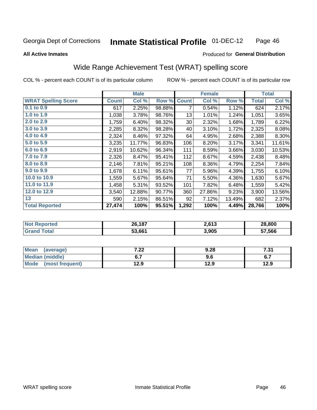#### **Inmate Statistical Profile 01-DEC-12** Page 46

Produced for General Distribution

#### **All Active Inmates**

## Wide Range Achievement Test (WRAT) spelling score

COL % - percent each COUNT is of its particular column

| <b>Total</b><br>624<br>3.65%<br>1,051 | Col %<br>2.17%           |
|---------------------------------------|--------------------------|
|                                       |                          |
|                                       |                          |
|                                       |                          |
| 1,789                                 | 6.22%                    |
| 2,325                                 | 8.08%                    |
| 2,388                                 | 8.30%                    |
| 3,341<br>11.61%                       |                          |
| 3,030<br>10.53%                       |                          |
| 2,438                                 | 8.48%                    |
| 2,254                                 | 7.84%                    |
| 1,755                                 | 6.10%                    |
| 1,630                                 | 5.67%                    |
|                                       | 5.42%                    |
| 13.56%                                |                          |
| 682                                   | 2.37%                    |
|                                       | 100%                     |
|                                       | 1,559<br>3,900<br>28,766 |

| <b>Not Reported</b> | 26,187 | 2,613 | 28,800 |
|---------------------|--------|-------|--------|
| Total<br>'Grand .   | 53,661 | 3,905 | 57,566 |

| <b>Mean</b><br>(average) | ר ה<br>$\mathbf{z}$ | 9.28 | -94<br>$\cdots$ |
|--------------------------|---------------------|------|-----------------|
| Median (middle)          | ν.,                 | 9.6  | ν.,             |
| Mode<br>(most frequent)  | 12.9                | 12.9 | 12.9            |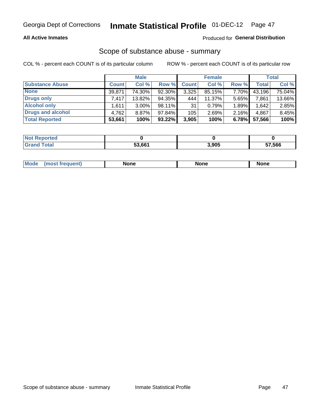#### **All Active Inmates**

### **Produced for General Distribution**

# Scope of substance abuse - summary

COL % - percent each COUNT is of its particular column

|                        |              | <b>Male</b> |           |              | <b>Female</b> |       |              | <b>Total</b> |
|------------------------|--------------|-------------|-----------|--------------|---------------|-------|--------------|--------------|
| <b>Substance Abuse</b> | <b>Count</b> | Col %       | Row %     | <b>Count</b> | Col %         | Row % | <b>Total</b> | Col %        |
| <b>None</b>            | 39,871       | 74.30%      | 92.30%    | 3,325        | 85.15%        | 7.70% | 43,196       | 75.04%       |
| Drugs only             | 7.417        | 13.82%      | 94.35%    | 444          | $11.37\%$     | 5.65% | 7,861        | 13.66%       |
| <b>Alcohol only</b>    | .611         | $3.00\%$    | $98.11\%$ | 31           | 0.79%         | 1.89% | 1,642        | 2.85%        |
| Drugs and alcohol      | 4,762        | 8.87%       | 97.84%    | 105          | 2.69%         | 2.16% | 4,867        | 8.45%        |
| <b>Total Reported</b>  | 53,661       | 100%        | $93.22\%$ | 3,905        | 100%          | 6.78% | 57,566       | 100%         |

| <b>Not Reported</b> |        |       |        |
|---------------------|--------|-------|--------|
| <b>Grand Total</b>  | 53.661 | 3,905 | 57,566 |

| Mode<br><b>None</b><br><b>None</b><br>None<br>nos<br>auenti<br>___<br>$ -$ |
|----------------------------------------------------------------------------|
|----------------------------------------------------------------------------|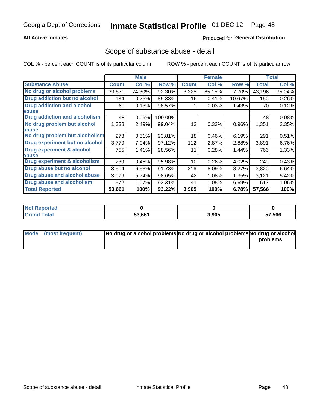#### **All Active Inmates**

### **Produced for General Distribution**

### Scope of substance abuse - detail

COL % - percent each COUNT is of its particular column

|                                      |              | <b>Male</b> |         |              | <b>Female</b> |        |              | <b>Total</b> |
|--------------------------------------|--------------|-------------|---------|--------------|---------------|--------|--------------|--------------|
| <b>Substance Abuse</b>               | <b>Count</b> | Col %       | Row %   | <b>Count</b> | Col %         | Row %  | <b>Total</b> | Col %        |
| No drug or alcohol problems          | 39,871       | 74.30%      | 92.30%  | 3,325        | 85.15%        | 7.70%  | 43,196       | 75.04%       |
| Drug addiction but no alcohol        | 134          | 0.25%       | 89.33%  | 16           | 0.41%         | 10.67% | 150          | 0.26%        |
| <b>Drug addiction and alcohol</b>    | 69           | 0.13%       | 98.57%  |              | 0.03%         | 1.43%  | 70           | 0.12%        |
| abuse                                |              |             |         |              |               |        |              |              |
| <b>Drug addiction and alcoholism</b> | 48           | 0.09%       | 100.00% |              |               |        | 48           | 0.08%        |
| No drug problem but alcohol          | 1,338        | 2.49%       | 99.04%  | 13           | 0.33%         | 0.96%  | 1,351        | 2.35%        |
| <b>labuse</b>                        |              |             |         |              |               |        |              |              |
| No drug problem but alcoholism       | 273          | 0.51%       | 93.81%  | 18           | 0.46%         | 6.19%  | 291          | 0.51%        |
| Drug experiment but no alcohol       | 3,779        | 7.04%       | 97.12%  | 112          | 2.87%         | 2.88%  | 3,891        | 6.76%        |
| <b>Drug experiment &amp; alcohol</b> | 755          | 1.41%       | 98.56%  | 11           | 0.28%         | 1.44%  | 766          | 1.33%        |
| <b>labuse</b>                        |              |             |         |              |               |        |              |              |
| Drug experiment & alcoholism         | 239          | 0.45%       | 95.98%  | 10           | 0.26%         | 4.02%  | 249          | 0.43%        |
| Drug abuse but no alcohol            | 3,504        | 6.53%       | 91.73%  | 316          | 8.09%         | 8.27%  | 3,820        | 6.64%        |
| Drug abuse and alcohol abuse         | 3,079        | 5.74%       | 98.65%  | 42           | 1.08%         | 1.35%  | 3,121        | 5.42%        |
| <b>Drug abuse and alcoholism</b>     | 572          | 1.07%       | 93.31%  | 41           | 1.05%         | 6.69%  | 613          | 1.06%        |
| <b>Total Reported</b>                | 53,661       | 100%        | 93.22%  | 3,905        | 100%          | 6.78%  | 57,566       | 100%         |

| <b>ported</b><br>NOT |        |       |        |
|----------------------|--------|-------|--------|
| <b>otal</b>          | 53,661 | 3,905 | 57,566 |

| Mode (most frequent) | No drug or alcohol problems No drug or alcohol problems No drug or alcohol |          |
|----------------------|----------------------------------------------------------------------------|----------|
|                      |                                                                            | problems |
|                      |                                                                            |          |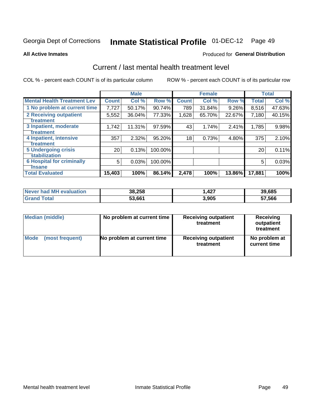# Inmate Statistical Profile 01-DEC-12 Page 49

**All Active Inmates** 

#### **Produced for General Distribution**

# Current / last mental health treatment level

COL % - percent each COUNT is of its particular column

|                                    |                 | <b>Male</b> |         |              | <b>Female</b> |          |              | <b>Total</b> |
|------------------------------------|-----------------|-------------|---------|--------------|---------------|----------|--------------|--------------|
| <b>Mental Health Treatment Lev</b> | <b>Count</b>    | Col %       | Row %   | <b>Count</b> | Col %         | Row %    | <b>Total</b> | Col %        |
| 1 No problem at current time       | 7,727           | 50.17%      | 90.74%  | 789          | 31.84%        | $9.26\%$ | 8,516        | 47.63%       |
| 2 Receiving outpatient             | 5,552           | 36.04%      | 77.33%  | 1,628        | 65.70%        | 22.67%   | 7,180        | 40.15%       |
| <b>Treatment</b>                   |                 |             |         |              |               |          |              |              |
| 3 Inpatient, moderate              | 1,742           | 11.31%      | 97.59%  | 43           | 1.74%         | 2.41%    | 1,785        | 9.98%        |
| <b>Treatment</b>                   |                 |             |         |              |               |          |              |              |
| 4 Inpatient, intensive             | 357             | 2.32%       | 95.20%  | 18           | 0.73%         | 4.80%    | 375          | 2.10%        |
| Treatment                          |                 |             |         |              |               |          |              |              |
| 5 Undergoing crisis                | 20 <sup>1</sup> | 0.13%       | 100.00% |              |               |          | 20           | 0.11%        |
| <b>stabilization</b>               |                 |             |         |              |               |          |              |              |
| <b>6 Hospital for criminally</b>   | 5               | 0.03%       | 100.00% |              |               |          | 5            | 0.03%        |
| <b>Tinsane</b>                     |                 |             |         |              |               |          |              |              |
| <b>Total Evaluated</b>             | 15,403          | 100%        | 86.14%  | 2,478        | 100%          | 13.86%   | 17,881       | 100%         |

| <b>Never had MH evaluation</b> | 38,258 | 427, ا | 39,685 |
|--------------------------------|--------|--------|--------|
| Total<br><b>Grand</b>          | 53,661 | 3,905  | 57,566 |

| Median (middle) | No problem at current time | <b>Receiving outpatient</b><br>treatment | <b>Receiving</b><br>outpatient<br>treatment |
|-----------------|----------------------------|------------------------------------------|---------------------------------------------|
| <b>Mode</b>     | No problem at current time | <b>Receiving outpatient</b>              | No problem at                               |
| (most frequent) |                            | treatment                                | current time                                |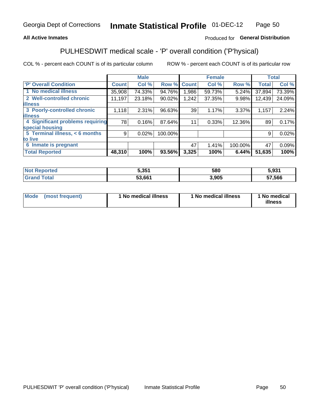#### **All Active Inmates**

### Produced for General Distribution

# PULHESDWIT medical scale - 'P' overall condition ('P'hysical)

COL % - percent each COUNT is of its particular column

|                                  |              | <b>Male</b> |         |              | <b>Female</b> |         |              | <b>Total</b> |
|----------------------------------|--------------|-------------|---------|--------------|---------------|---------|--------------|--------------|
| 'P' Overall Condition            | <b>Count</b> | Col %       | Row %   | <b>Count</b> | Col %         | Row %   | <b>Total</b> | Col %        |
| 1 No medical illness             | 35,908       | 74.33%      | 94.76%  | 1,986        | 59.73%        | 5.24%   | 37,894       | 73.39%       |
| 2 Well-controlled chronic        | 11,197       | 23.18%      | 90.02%  | 1,242        | 37.35%        | 9.98%   | 12,439       | 24.09%       |
| <b>lillness</b>                  |              |             |         |              |               |         |              |              |
| 3 Poorly-controlled chronic      | 1,118        | $2.31\%$    | 96.63%  | 39           | 1.17%         | 3.37%   | 1,157        | 2.24%        |
| <b>illness</b>                   |              |             |         |              |               |         |              |              |
| 4 Significant problems requiring | 78           | 0.16%       | 87.64%  | 11           | 0.33%         | 12.36%  | 89           | 0.17%        |
| special housing                  |              |             |         |              |               |         |              |              |
| 5 Terminal illness, < 6 months   | 9            | 0.02%       | 100.00% |              |               |         | 9            | 0.02%        |
| to live                          |              |             |         |              |               |         |              |              |
| 6 Inmate is pregnant             |              |             |         | 47           | 1.41%         | 100.00% | 47           | 0.09%        |
| <b>Total Reported</b>            | 48,310       | 100%        | 93.56%  | 3,325        | 100%          | 6.44%   | 51,635       | 100%         |

| uec | 5,351  | 580   | : ດາ4  |
|-----|--------|-------|--------|
|     | 52 661 | 3,905 | 57.566 |

| Mode | (most frequent) | 1 No medical illness | 1 No medical illness | 1 No medical<br>illness |
|------|-----------------|----------------------|----------------------|-------------------------|
|------|-----------------|----------------------|----------------------|-------------------------|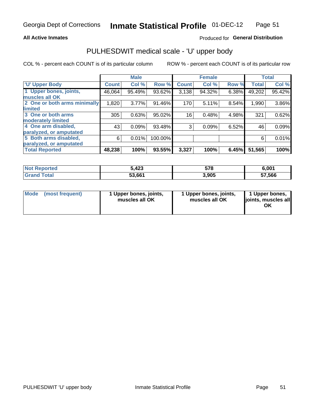#### **All Active Inmates**

### Produced for General Distribution

# PULHESDWIT medical scale - 'U' upper body

COL % - percent each COUNT is of its particular column

|                              |              | <b>Male</b> |         |              | <b>Female</b> |       |              | <b>Total</b> |
|------------------------------|--------------|-------------|---------|--------------|---------------|-------|--------------|--------------|
| <b>U' Upper Body</b>         | <b>Count</b> | Col %       | Row %   | <b>Count</b> | Col %         | Row % | <b>Total</b> | Col %        |
| 1 Upper bones, joints,       | 46,064       | 95.49%      | 93.62%  | 3,138        | 94.32%        | 6.38% | 49,202       | 95.42%       |
| muscles all OK               |              |             |         |              |               |       |              |              |
| 2 One or both arms minimally | 1,820        | 3.77%       | 91.46%  | 170          | 5.11%         | 8.54% | 1,990        | 3.86%        |
| limited                      |              |             |         |              |               |       |              |              |
| 3 One or both arms           | 305          | 0.63%       | 95.02%  | 16           | 0.48%         | 4.98% | 321          | 0.62%        |
| <b>moderately limited</b>    |              |             |         |              |               |       |              |              |
| 4 One arm disabled,          | 43           | 0.09%       | 93.48%  | 3            | 0.09%         | 6.52% | 46           | 0.09%        |
| paralyzed, or amputated      |              |             |         |              |               |       |              |              |
| 5 Both arms disabled,        | 6            | 0.01%       | 100.00% |              |               |       | 6            | 0.01%        |
| paralyzed, or amputated      |              |             |         |              |               |       |              |              |
| <b>Total Reported</b>        | 48,238       | 100%        | 93.55%  | 3,327        | 100%          | 6.45% | 51,565       | 100%         |

| <b>Not Reported</b> | 5,423  | 578   | 6.001  |
|---------------------|--------|-------|--------|
| <b>Grand Total</b>  | 53,661 | 3,905 | 57,566 |

| Mode (most frequent) | 1 Upper bones, joints,<br>muscles all OK | 1 Upper bones, joints,<br>muscles all OK | 1 Upper bones,<br>joints, muscles all<br>ΟK |
|----------------------|------------------------------------------|------------------------------------------|---------------------------------------------|
|----------------------|------------------------------------------|------------------------------------------|---------------------------------------------|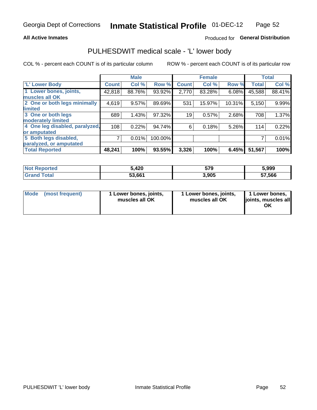#### **All Active Inmates**

### Produced for General Distribution

## PULHESDWIT medical scale - 'L' lower body

COL % - percent each COUNT is of its particular column

|                                |              | <b>Male</b> |         |              | <b>Female</b> |        |              | <b>Total</b> |
|--------------------------------|--------------|-------------|---------|--------------|---------------|--------|--------------|--------------|
| 'L' Lower Body                 | <b>Count</b> | Col %       | Row %   | <b>Count</b> | Col %         | Row %  | <b>Total</b> | Col %        |
| 1 Lower bones, joints,         | 42,818       | 88.76%      | 93.92%  | 2,770        | 83.28%        | 6.08%  | 45,588       | 88.41%       |
| muscles all OK                 |              |             |         |              |               |        |              |              |
| 2 One or both legs minimally   | 4,619        | 9.57%       | 89.69%  | 531          | 15.97%        | 10.31% | 5,150        | 9.99%        |
| limited                        |              |             |         |              |               |        |              |              |
| 3 One or both legs             | 689          | 1.43%       | 97.32%  | 19           | 0.57%         | 2.68%  | 708          | 1.37%        |
| moderately limited             |              |             |         |              |               |        |              |              |
| 4 One leg disabled, paralyzed, | 108          | 0.22%       | 94.74%  | 6            | 0.18%         | 5.26%  | 114          | 0.22%        |
| or amputated                   |              |             |         |              |               |        |              |              |
| 5 Both legs disabled,          | 7            | 0.01%       | 100.00% |              |               |        |              | 0.01%        |
| paralyzed, or amputated        |              |             |         |              |               |        |              |              |
| <b>Total Reported</b>          | 48,241       | 100%        | 93.55%  | 3,326        | 100%          | 6.45%  | 51,567       | 100%         |

| <b>Not Reported</b>          | 5,420  | 579   | 5,999  |
|------------------------------|--------|-------|--------|
| <b>Total</b><br><b>Grand</b> | 53,661 | 3,905 | 57,566 |

|  | Mode (most frequent) | 1 Lower bones, joints,<br>muscles all OK | 1 Lower bones, joints,<br>muscles all OK | 1 Lower bones,<br>joints, muscles all<br>ΟK |
|--|----------------------|------------------------------------------|------------------------------------------|---------------------------------------------|
|--|----------------------|------------------------------------------|------------------------------------------|---------------------------------------------|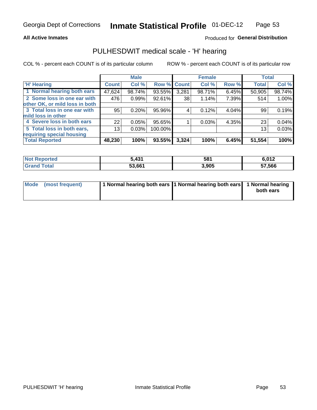#### **All Active Inmates**

### Produced for General Distribution

## PULHESDWIT medical scale - 'H' hearing

COL % - percent each COUNT is of its particular column

|                                |              | <b>Male</b> |             |       | <b>Female</b> |       | <b>Total</b> |        |
|--------------------------------|--------------|-------------|-------------|-------|---------------|-------|--------------|--------|
| <b>'H' Hearing</b>             | <b>Count</b> | Col %       | Row % Count |       | Col %         | Row % | <b>Total</b> | Col %  |
| 1 Normal hearing both ears     | 47,624       | 98.74%      | 93.55%      | 3,281 | 98.71%        | 6.45% | 50,905       | 98.74% |
| 2 Some loss in one ear with    | 476          | 0.99%       | 92.61%      | 38    | 1.14%         | 7.39% | 514          | 1.00%  |
| other OK, or mild loss in both |              |             |             |       |               |       |              |        |
| 3 Total loss in one ear with   | 95           | 0.20%       | 95.96%      | 4     | 0.12%         | 4.04% | 99           | 0.19%  |
| mild loss in other             |              |             |             |       |               |       |              |        |
| 4 Severe loss in both ears     | 22           | 0.05%       | 95.65%      |       | 0.03%         | 4.35% | 23           | 0.04%  |
| 5 Total loss in both ears,     | 13           | 0.03%       | 100.00%     |       |               |       | 13           | 0.03%  |
| requiring special housing      |              |             |             |       |               |       |              |        |
| <b>Total Reported</b>          | 48,230       | 100%        | 93.55%      | 3,324 | 100%          | 6.45% | 51,554       | 100%   |

| <b>Not Reported</b> | $\overline{12}$<br>. | 581   | 6,012  |
|---------------------|----------------------|-------|--------|
| Total<br>Grand      | 53,661               | 3,905 | 57,566 |

| Mode (most frequent) | 1 Normal hearing both ears 11 Normal hearing both ears 1 Normal hearing | both ears |
|----------------------|-------------------------------------------------------------------------|-----------|
|                      |                                                                         |           |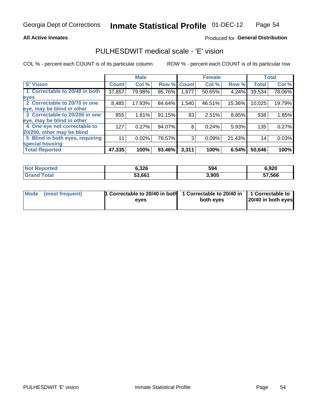#### **All Active Inmates**

### Produced for General Distribution

## PULHESDWIT medical scale - 'E' vision

COL % - percent each COUNT is of its particular column

|                                 |              | <b>Male</b> |        |              | <b>Female</b> |        |              | <b>Total</b> |
|---------------------------------|--------------|-------------|--------|--------------|---------------|--------|--------------|--------------|
| <b>E' Vision</b>                | <b>Count</b> | Col %       | Row %  | <b>Count</b> | Col %         | Row %  | <b>Total</b> | Col %        |
| 1 Correctable to 20/40 in both  | 37,857       | 79.98%      | 95.76% | .677         | 50.65%        | 4.24%  | 39,534       | 78.06%       |
| eyes                            |              |             |        |              |               |        |              |              |
| 2 Correctable to 20/70 in one   | 8,485        | 17.93%      | 84.64% | 1,540        | 46.51%        | 15.36% | 10,025       | 19.79%       |
| eye, may be blind in other      |              |             |        |              |               |        |              |              |
| 3 Correctable to 20/200 in one  | 855          | 1.81%       | 91.15% | 83           | 2.51%         | 8.85%  | 938          | 1.85%        |
| eye, may be blind in other      |              |             |        |              |               |        |              |              |
| 4 One eye not correctable to    | 127          | 0.27%       | 94.07% | 8            | 0.24%         | 5.93%  | 135          | 0.27%        |
| 20/200, other may be blind      |              |             |        |              |               |        |              |              |
| 5 Blind in both eyes, requiring | 11           | 0.02%       | 78.57% | 3            | 0.09%         | 21.43% | 14           | 0.03%        |
| special housing                 |              |             |        |              |               |        |              |              |
| <b>Total Reported</b>           | 47,335       | 100%        | 93.46% | 3,311        | 100%          | 6.54%  | 50,646       | 100%         |

| <b>Not Reported</b> | 6,326  | 594   | 6,920  |
|---------------------|--------|-------|--------|
| <b>Total</b>        | 53,661 | 3,905 | 57,566 |

| Mode (most frequent) | 1 Correctable to 20/40 in both<br>eves | 1 Correctable to 20/40 in   1 Correctable to  <br>both eves | 20/40 in both eyes |  |
|----------------------|----------------------------------------|-------------------------------------------------------------|--------------------|--|
|                      |                                        |                                                             |                    |  |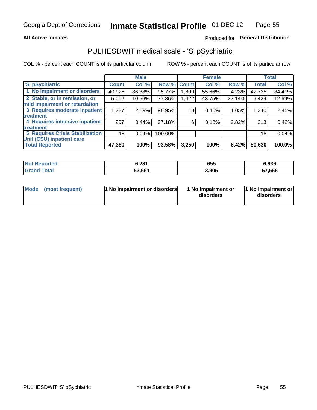#### **All Active Inmates**

### Produced for General Distribution

# PULHESDWIT medical scale - 'S' pSychiatric

COL % - percent each COUNT is of its particular column

|                                        |              | <b>Male</b> |         |              | <b>Female</b> |        |              | <b>Total</b> |
|----------------------------------------|--------------|-------------|---------|--------------|---------------|--------|--------------|--------------|
| 'S' pSychiatric                        | <b>Count</b> | Col %       | Row %   | <b>Count</b> | Col %         | Row %  | <b>Total</b> | Col %        |
| 1 No impairment or disorders           | 40,926       | 86.38%      | 95.77%  | .809         | 55.66%        | 4.23%  | 42,735       | 84.41%       |
| 2 Stable, or in remission, or          | 5,002        | 10.56%      | 77.86%  | 1,422        | 43.75%        | 22.14% | 6,424        | 12.69%       |
| mild impairment or retardation         |              |             |         |              |               |        |              |              |
| 3 Requires moderate inpatient          | 1,227        | 2.59%       | 98.95%  | 13           | 0.40%         | 1.05%  | 1,240        | 2.45%        |
| <b>treatment</b>                       |              |             |         |              |               |        |              |              |
| 4 Requires intensive inpatient         | 207          | 0.44%       | 97.18%  | 6            | 0.18%         | 2.82%  | 213          | 0.42%        |
| <b>treatment</b>                       |              |             |         |              |               |        |              |              |
| <b>5 Requires Crisis Stabilization</b> | 18           | 0.04%       | 100.00% |              |               |        | 18           | 0.04%        |
| Unit (CSU) inpatient care              |              |             |         |              |               |        |              |              |
| <b>Total Reported</b>                  | 47,380       | 100%        | 93.58%  | 3,250        | 100%          | 6.42%  | 50,630       | 100.0%       |

| <b>Not Reported</b>  | 6,281  | 655   | 6,936  |
|----------------------|--------|-------|--------|
| $\tau$ otal<br>Grand | 53,661 | 3,905 | 57,566 |

| Mode            | <b>1 No impairment or disorders</b> | 1 No impairment or | 1 No impairment or |
|-----------------|-------------------------------------|--------------------|--------------------|
| (most frequent) |                                     | disorders          | disorders          |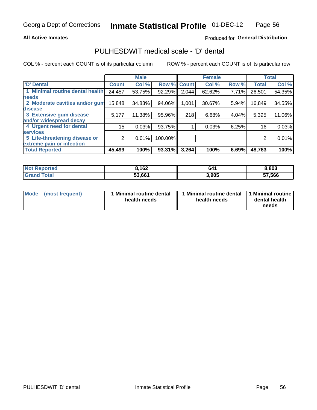#### **All Active Inmates**

### Produced for General Distribution

# PULHESDWIT medical scale - 'D' dental

COL % - percent each COUNT is of its particular column

|                                 |              | <b>Male</b> |         |              | <b>Female</b> |       |              | <b>Total</b> |
|---------------------------------|--------------|-------------|---------|--------------|---------------|-------|--------------|--------------|
| <b>D'</b> Dental                | <b>Count</b> | Col %       | Row %   | <b>Count</b> | Col %         | Row % | <b>Total</b> | Col %        |
| 1 Minimal routine dental health | 24,457       | 53.75%      | 92.29%  | 2,044        | 62.62%        | 7.71% | 26,501       | 54.35%       |
| <b>needs</b>                    |              |             |         |              |               |       |              |              |
| 2 Moderate cavities and/or gum  | 15,848       | 34.83%      | 94.06%  | 1,001        | 30.67%        | 5.94% | 16,849       | 34.55%       |
| disease                         |              |             |         |              |               |       |              |              |
| 3 Extensive gum disease         | 5,177        | 11.38%      | 95.96%  | 218          | 6.68%         | 4.04% | 5,395        | 11.06%       |
| and/or widespread decay         |              |             |         |              |               |       |              |              |
| 4 Urgent need for dental        | 15           | 0.03%       | 93.75%  |              | 0.03%         | 6.25% | 16           | 0.03%        |
| <b>services</b>                 |              |             |         |              |               |       |              |              |
| 5 Life-threatening disease or   | 2            | 0.01%       | 100.00% |              |               |       | 2            | 0.01%        |
| extreme pain or infection       |              |             |         |              |               |       |              |              |
| <b>Total Reported</b>           | 45,499       | 100%        | 93.31%  | 3,264        | 100%          | 6.69% | 48,763       | 100%         |

| <b>Not Reported</b> | 3,162  | 641   | 8,803  |
|---------------------|--------|-------|--------|
| <b>Total</b>        | 53,661 | 3,905 | 57,566 |

| 1 Minimal routine dental<br>Mode<br>(most frequent)<br>health needs | 1 Minimal routine dental 1 Minimal routine<br>health needs | dental health<br>needs |
|---------------------------------------------------------------------|------------------------------------------------------------|------------------------|
|---------------------------------------------------------------------|------------------------------------------------------------|------------------------|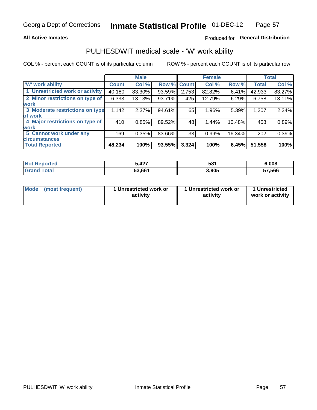#### **All Active Inmates**

### Produced for General Distribution

## PULHESDWIT medical scale - 'W' work ability

COL % - percent each COUNT is of its particular column

|                                 |              | <b>Male</b> |        |                    | <b>Female</b> |        |              | <b>Total</b> |
|---------------------------------|--------------|-------------|--------|--------------------|---------------|--------|--------------|--------------|
| <b>W' work ability</b>          | <b>Count</b> | Col %       |        | <b>Row % Count</b> | Col %         | Row %  | <b>Total</b> | Col %        |
| 1 Unrestricted work or activity | 40,180       | 83.30%      | 93.59% | 2,753              | 82.82%        | 6.41%  | 42,933       | 83.27%       |
| 2 Minor restrictions on type of | 6,333        | 13.13%      | 93.71% | 425                | 12.79%        | 6.29%  | 6,758        | 13.11%       |
| <b>work</b>                     |              |             |        |                    |               |        |              |              |
| 3 Moderate restrictions on type | 1,142        | 2.37%       | 94.61% | 65                 | 1.96%         | 5.39%  | 1,207        | 2.34%        |
| of work                         |              |             |        |                    |               |        |              |              |
| 4 Major restrictions on type of | 410          | 0.85%       | 89.52% | 48                 | 1.44%         | 10.48% | 458          | 0.89%        |
| <b>work</b>                     |              |             |        |                    |               |        |              |              |
| 5 Cannot work under any         | 169          | 0.35%       | 83.66% | 33                 | 0.99%         | 16.34% | 202          | 0.39%        |
| <b>circumstances</b>            |              |             |        |                    |               |        |              |              |
| <b>Total Reported</b>           | 48,234       | 100%        | 93.55% | 3,324              | 100%          | 6.45%  | 51,558       | 100%         |

| <b>Not Reported</b>   | 5,427  | 581   | 6,008  |
|-----------------------|--------|-------|--------|
| Total<br><b>Grano</b> | 53,661 | 3,905 | 57,566 |

| Mode            | 1 Unrestricted work or | 1 Unrestricted work or | 1 Unrestricted   |
|-----------------|------------------------|------------------------|------------------|
| (most frequent) | activity               | activity               | work or activity |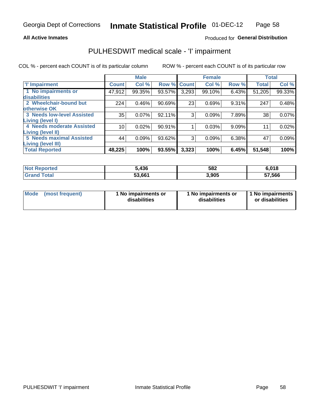#### **All Active Inmates**

### Produced for General Distribution

# PULHESDWIT medical scale - 'I' impairment

COL % - percent each COUNT is of its particular column

|                                                             |              | <b>Male</b> |        |             | <b>Female</b> |       |              | <b>Total</b> |
|-------------------------------------------------------------|--------------|-------------|--------|-------------|---------------|-------|--------------|--------------|
| <b>T' Impairment</b>                                        | <b>Count</b> | Col %       |        | Row % Count | Col %         | Row % | <b>Total</b> | Col %        |
| 1 No impairments or<br>disabilities                         | 47,912       | 99.35%      | 93.57% | 3,293       | 99.10%        | 6.43% | 51,205       | 99.33%       |
| 2 Wheelchair-bound but<br>otherwise OK                      | 224          | 0.46%       | 90.69% | 23          | 0.69%         | 9.31% | 247          | 0.48%        |
| <b>3 Needs low-level Assisted</b><br>Living (level I)       | 35           | 0.07%       | 92.11% | 3           | 0.09%         | 7.89% | 38           | 0.07%        |
| 4 Needs moderate Assisted                                   | 10           | 0.02%       | 90.91% |             | 0.03%         | 9.09% | $1^{\circ}$  | 0.02%        |
| <b>Living (level II)</b><br><b>5 Needs maximal Assisted</b> | 44           | 0.09%       | 93.62% | 3           | 0.09%         | 6.38% | 47           | 0.09%        |
| <b>Living (level III)</b><br><b>Total Reported</b>          | 48,225       | 100%        | 93.55% | 3,323       | 100%          | 6.45% | 51,548       | 100%         |

| Not i<br>Reported            | 5,436  | 582   | 6,018  |
|------------------------------|--------|-------|--------|
| <b>Total</b><br><b>Grand</b> | 53,661 | 3,905 | 57,566 |

| Mode | (most frequent) | 1 No impairments or<br>disabilities | 1 No impairments or<br>disabilities | 1 No impairments<br>or disabilities |
|------|-----------------|-------------------------------------|-------------------------------------|-------------------------------------|
|------|-----------------|-------------------------------------|-------------------------------------|-------------------------------------|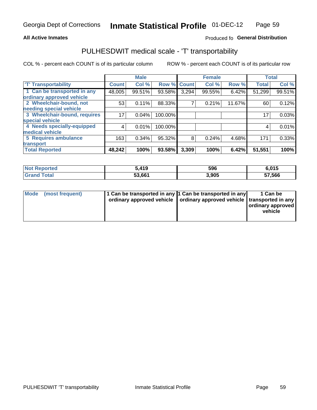#### **All Active Inmates**

### Produced fo General Distribution

# PULHESDWIT medical scale - 'T' transportability

COL % - percent each COUNT is of its particular column

|                              |              | <b>Male</b> |         |       | <b>Female</b> |        | <b>Total</b> |        |
|------------------------------|--------------|-------------|---------|-------|---------------|--------|--------------|--------|
| <b>T' Transportability</b>   | <b>Count</b> | Col %       | Row %   | Count | Col %         | Row %  | <b>Total</b> | Col %  |
| 1 Can be transported in any  | 48,005       | 99.51%      | 93.58%  | 3,294 | 99.55%        | 6.42%  | 51,299       | 99.51% |
| ordinary approved vehicle    |              |             |         |       |               |        |              |        |
| 2 Wheelchair-bound, not      | 53           | 0.11%       | 88.33%  | 7     | 0.21%         | 11.67% | 60           | 0.12%  |
| needing special vehicle      |              |             |         |       |               |        |              |        |
| 3 Wheelchair-bound, requires | 17           | 0.04%       | 100.00% |       |               |        | 17           | 0.03%  |
| special vehicle              |              |             |         |       |               |        |              |        |
| 4 Needs specially-equipped   | 4            | 0.01%       | 100.00% |       |               |        |              | 0.01%  |
| medical vehicle              |              |             |         |       |               |        |              |        |
| <b>5 Requires ambulance</b>  | 163          | 0.34%       | 95.32%  | 8     | 0.24%         | 4.68%  | 171          | 0.33%  |
| transport                    |              |             |         |       |               |        |              |        |
| <b>Total Reported</b>        | 48,242       | 100%        | 93.58%  | 3,309 | 100%          | 6.42%  | 51,551       | 100%   |

| $^{\mathrm{H}}$ Not $\mathrm{H}$<br>Reported | $\sim$ 410<br>413 | 596   | 6,015  |
|----------------------------------------------|-------------------|-------|--------|
| ⊺otai                                        | 53,661            | 3,905 | 57,566 |

|  | Mode (most frequent) | 1 Can be transported in any 1 Can be transported in any<br>ordinary approved vehicle   ordinary approved vehicle   transported in any |  | 1 Can be<br>  ordinary approved  <br>vehicle |
|--|----------------------|---------------------------------------------------------------------------------------------------------------------------------------|--|----------------------------------------------|
|--|----------------------|---------------------------------------------------------------------------------------------------------------------------------------|--|----------------------------------------------|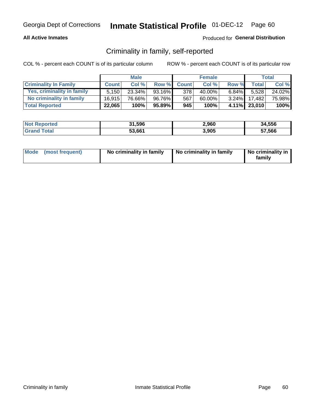#### **All Active Inmates**

### Produced for General Distribution

## Criminality in family, self-reported

COL % - percent each COUNT is of its particular column

|                              |              | <b>Male</b> |           |              | <b>Female</b> |          |              | Total  |
|------------------------------|--------------|-------------|-----------|--------------|---------------|----------|--------------|--------|
| <b>Criminality In Family</b> | <b>Count</b> | Col%        | Row %     | <b>Count</b> | Col %         | Row %    | <b>Total</b> | Col %  |
| Yes, criminality in family   | 5.150        | $23.34\%$   | $93.16\%$ | 378          | 40.00%        | $6.84\%$ | 5.528        | 24.02% |
| No criminality in family     | 16.915       | 76.66%      | 96.76%    | 567          | 60.00%        | $3.24\%$ | 17,482       | 75.98% |
| <b>Total Reported</b>        | 22,065       | 100%        | 95.89%    | 945          | 100%          |          | 4.11% 23,010 | 100%   |

| <b>Not Reported</b> | 31,596 | 2,960 | 34,556 |
|---------------------|--------|-------|--------|
| Total               | 53,661 | 3,905 | 57,566 |

|  | Mode (most frequent) | No criminality in family | No criminality in family | No criminality in<br>family |
|--|----------------------|--------------------------|--------------------------|-----------------------------|
|--|----------------------|--------------------------|--------------------------|-----------------------------|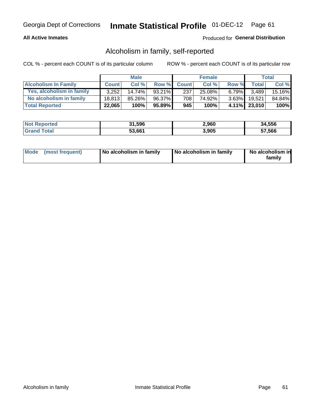#### **All Active Inmates**

#### Produced for General Distribution

## Alcoholism in family, self-reported

COL % - percent each COUNT is of its particular column

|                             |              | <b>Male</b> |        |              | <b>Female</b> |          |              | Total   |
|-----------------------------|--------------|-------------|--------|--------------|---------------|----------|--------------|---------|
| <b>Alcoholism In Family</b> | <b>Count</b> | Col%        | Row %  | <b>Count</b> | Col%          | Row %    | <b>Total</b> | Col %   |
| Yes, alcoholism in family   | 3.252        | $14.74\%$   | 93.21% | 237          | 25.08%        | $6.79\%$ | 3.489        | 15.16%  |
| No alcoholism in family     | 18.813       | 85.26%      | 96.37% | 708          | 74.92%        | $3.63\%$ | 19.521       | 84.84%  |
| <b>Total Reported</b>       | 22,065       | 100%        | 95.89% | 945          | 100%          |          | 4.11% 23,010 | $100\%$ |

| <b>Not Reported</b> | 31,596 | 2,960 | 34,556 |
|---------------------|--------|-------|--------|
| <b>Srand Total</b>  | 53,661 | 3,905 | 57,566 |

|  | Mode (most frequent) | No alcoholism in family | No alcoholism in family | No alcoholism in<br>family |
|--|----------------------|-------------------------|-------------------------|----------------------------|
|--|----------------------|-------------------------|-------------------------|----------------------------|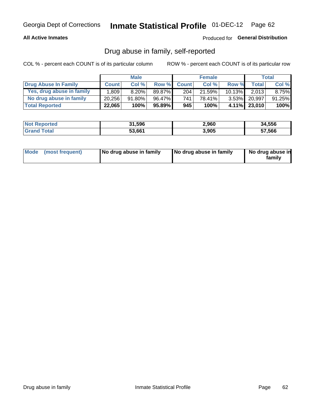#### **All Active Inmates**

### Produced for General Distribution

## Drug abuse in family, self-reported

COL % - percent each COUNT is of its particular column

|                           |              | <b>Male</b> |        |              | <b>Female</b> |           |              | Total   |
|---------------------------|--------------|-------------|--------|--------------|---------------|-----------|--------------|---------|
| Drug Abuse In Family      | <b>Count</b> | Col%        | Row %  | <b>Count</b> | Col%          | Row %     | Total        | Col %   |
| Yes, drug abuse in family | 1,809        | $8.20\%$    | 89.87% | 204          | 21.59%        | $10.13\%$ | 2,013        | 8.75%   |
| No drug abuse in family   | 20.256       | 91.80%      | 96.47% | 741          | 78.41%        | $3.53\%$  | 20,997       | 91.25%  |
| <b>Total Reported</b>     | 22,065       | 100%        | 95.89% | 945          | 100%          |           | 4.11% 23,010 | $100\%$ |

| <b>Not Reported</b> | 31,596 | 2,960 | 34,556 |
|---------------------|--------|-------|--------|
| Total               | 53,661 | 3,905 | 57,566 |

|  | Mode (most frequent) | No drug abuse in family | No drug abuse in family | No drug abuse in<br>familv |
|--|----------------------|-------------------------|-------------------------|----------------------------|
|--|----------------------|-------------------------|-------------------------|----------------------------|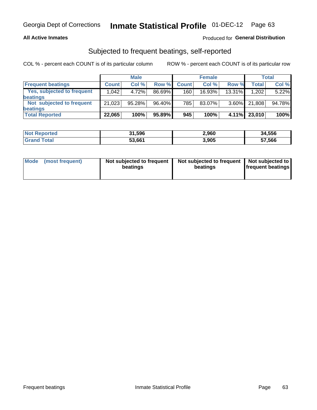#### **All Active Inmates**

### **Produced for General Distribution**

## Subjected to frequent beatings, self-reported

COL % - percent each COUNT is of its particular column

|                                   |              | <b>Male</b> |        |              | <b>Female</b> |          |              | Total  |
|-----------------------------------|--------------|-------------|--------|--------------|---------------|----------|--------------|--------|
| <b>Frequent beatings</b>          | <b>Count</b> | Col %       | Row %  | <b>Count</b> | Col %         | Row %    | <b>Total</b> | Col%   |
| <b>Yes, subjected to frequent</b> | 1,042        | 4.72%       | 86.69% | 160          | 16.93%        | 13.31%   | 1,202        | 5.22%  |
| beatings                          |              |             |        |              |               |          |              |        |
| Not subjected to frequent         | 21,023       | 95.28%      | 96.40% | 785          | 83.07%        | $3.60\%$ | 21,808       | 94.78% |
| beatings                          |              |             |        |              |               |          |              |        |
| <b>Total Reported</b>             | 22,065       | 100%        | 95.89% | 945          | 100%          | $4.11\%$ | 23,010       | 100%   |

| <b>Not Reported</b> | 31,596 | 2,960 | 34,556 |
|---------------------|--------|-------|--------|
| <b>Grand Total</b>  | 53,661 | 3,905 | 57,566 |

| Mode (most frequent) | Not subjected to frequent<br>beatings | Not subjected to frequent<br>beatings | Not subjected to<br><b>frequent beatings</b> |
|----------------------|---------------------------------------|---------------------------------------|----------------------------------------------|
|                      |                                       |                                       |                                              |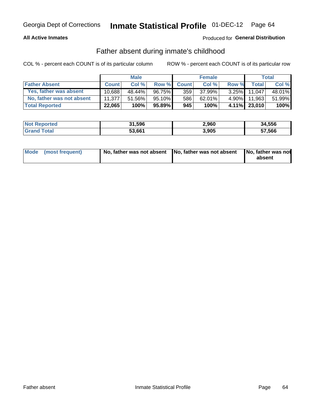#### **All Active Inmates**

### Produced for General Distribution

## Father absent during inmate's childhood

COL % - percent each COUNT is of its particular column

|                           |              | <b>Male</b> |           |              | <b>Female</b> |          |              | <b>Total</b> |
|---------------------------|--------------|-------------|-----------|--------------|---------------|----------|--------------|--------------|
| <b>Father Absent</b>      | <b>Count</b> | Col%        | Row %     | <b>Count</b> | Col %         | Row %    | Total        | Col %        |
| Yes, father was absent    | 10.688       | 48.44%      | 96.75%    | 359          | 37.99%        | $3.25\%$ | 11.047       | 48.01%       |
| No, father was not absent | 11.377'      | 51.56%      | $95.10\%$ | 586          | 62.01%        | $4.90\%$ | 11.963       | 51.99%       |
| <b>Total Reported</b>     | 22,065       | 100%        | $95.89\%$ | 945          | 100%          |          | 4.11% 23,010 | 100%         |

| <b>Not Reported</b> | 31,596 | 2,960 | 34,556 |
|---------------------|--------|-------|--------|
| <b>Grand Total</b>  | 53,661 | 3,905 | 57,566 |

| Mode (most frequent) |  | No, father was not absent No, father was not absent No, father was not | absent |
|----------------------|--|------------------------------------------------------------------------|--------|
|----------------------|--|------------------------------------------------------------------------|--------|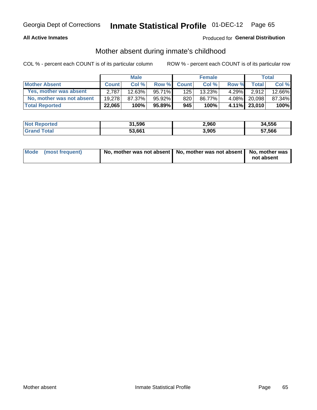#### **All Active Inmates**

### Produced for General Distribution

## Mother absent during inmate's childhood

COL % - percent each COUNT is of its particular column

|                           |              | <b>Male</b> |           |              | <b>Female</b> |          |              | Total  |
|---------------------------|--------------|-------------|-----------|--------------|---------------|----------|--------------|--------|
| <b>Mother Absent</b>      | <b>Count</b> | Col%        | Row %     | <b>Count</b> | Col %         | Row %    | <b>Total</b> | Col %  |
| Yes, mother was absent    | 2.787        | 12.63%      | 95.71%    | 125          | 13.23%        | $4.29\%$ | 2.912        | 12.66% |
| No, mother was not absent | 19.278       | 87.37%      | $95.92\%$ | 820          | 86.77%        | $4.08\%$ | 20.098       | 87.34% |
| <b>Total Reported</b>     | 22,065       | 100%        | 95.89%    | 945          | 100%          |          | 4.11% 23,010 | 100%   |

| <b>Not Reported</b> | 31,596 | 2,960 | 34,556 |
|---------------------|--------|-------|--------|
| Total               | 53,661 | 3,905 | 57,566 |

| Mode (most frequent) | No, mother was not absent   No, mother was not absent   No, mother was | not absent |
|----------------------|------------------------------------------------------------------------|------------|
|                      |                                                                        |            |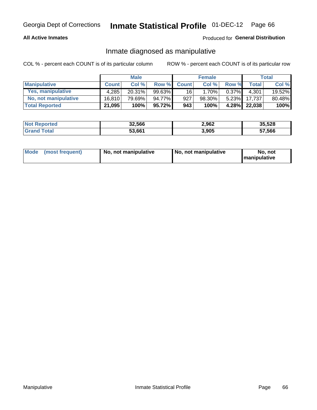#### **All Active Inmates**

### Produced for General Distribution

## Inmate diagnosed as manipulative

COL % - percent each COUNT is of its particular column

|                       |              | <b>Male</b> |        |                 | <b>Female</b> |          |                  | Total  |
|-----------------------|--------------|-------------|--------|-----------------|---------------|----------|------------------|--------|
| <b>Manipulative</b>   | <b>Count</b> | Col%        | Row %  | <b>Count</b>    | Col%          | Row %    | Total            | Col %  |
| Yes, manipulative     | 4.285        | $20.31\%$   | 99.63% | 16 <sup>1</sup> | 1.70%         | $0.37\%$ | 4.301            | 19.52% |
| No, not manipulative  | 16.810       | 79.69%      | 94.77% | 927             | 98.30%        | 5.23%    | $17.737^{\circ}$ | 80.48% |
| <b>Total Reported</b> | 21,095       | 100%        | 95.72% | 943             | 100%          | $4.28\%$ | 22.038           | 100%   |

| <b>Not Reported</b>   | 32,566 | 2,962 | 35,528 |
|-----------------------|--------|-------|--------|
| <b>Grand</b><br>īotal | 53,661 | 3,905 | 57,566 |

|  | Mode (most frequent) | No, not manipulative | , No, not manipulative | No. not<br><b>I</b> manipulative |
|--|----------------------|----------------------|------------------------|----------------------------------|
|--|----------------------|----------------------|------------------------|----------------------------------|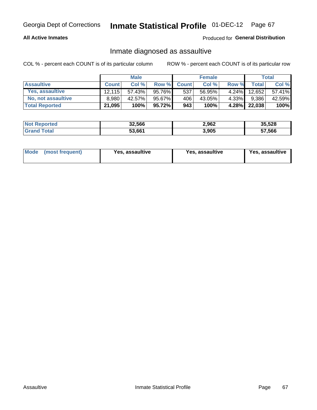#### **All Active Inmates**

#### Produced for General Distribution

## Inmate diagnosed as assaultive

COL % - percent each COUNT is of its particular column

|                       |              | <b>Male</b> |           |              | <b>Female</b> |          |        | Total  |
|-----------------------|--------------|-------------|-----------|--------------|---------------|----------|--------|--------|
| <b>Assaultive</b>     | <b>Count</b> | Col %       | Row %     | <b>Count</b> | Col %         | Row %    | Totall | Col %  |
| Yes, assaultive       | 12.115       | 57.43%      | 95.76%    | 537          | 56.95%        | $4.24\%$ | 12,652 | 57.41% |
| No, not assaultive    | 8.980        | 42.57%      | 95.67%    | 406          | 43.05%        | 4.33%    | 9,386  | 42.59% |
| <b>Total Reported</b> | 21,095       | 100%        | $95.72\%$ | 943          | 100%          | $4.28\%$ | 22,038 | 100%   |

| <b>Not Reported</b> | 32,566 | 2,962 | 35,528 |
|---------------------|--------|-------|--------|
| Гоtа                | 53,661 | 3,905 | 57,566 |

| Mode (most frequent) |  | Yes, assaultive | Yes, assaultive | <b>Yes, assaultive</b> |
|----------------------|--|-----------------|-----------------|------------------------|
|----------------------|--|-----------------|-----------------|------------------------|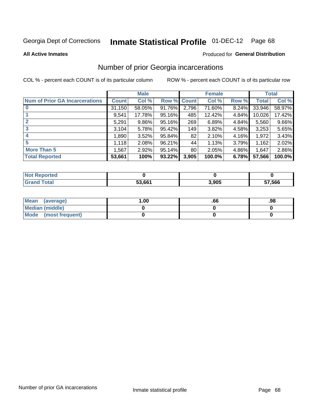# Inmate Statistical Profile 01-DEC-12 Page 68

**All Active Inmates** 

#### Produced for General Distribution

## Number of prior Georgia incarcerations

COL % - percent each COUNT is of its particular column

|                                       |              | <b>Male</b> |             |       | <b>Female</b> |       |        | <b>Total</b> |
|---------------------------------------|--------------|-------------|-------------|-------|---------------|-------|--------|--------------|
| <b>Num of Prior GA Incarcerations</b> | <b>Count</b> | Col %       | Row % Count |       | Col %         | Row % | Total  | Col %        |
|                                       | 31,150       | 58.05%      | 91.76%      | 2,796 | 71.60%        | 8.24% | 33,946 | 58.97%       |
|                                       | 9,541        | 17.78%      | 95.16%      | 485   | 12.42%        | 4.84% | 10,026 | 17.42%       |
| $\overline{2}$                        | 5,291        | 9.86%       | 95.16%      | 269   | 6.89%         | 4.84% | 5,560  | 9.66%        |
| 3                                     | 3,104        | 5.78%       | $95.42\%$   | 149   | 3.82%         | 4.58% | 3,253  | 5.65%        |
| $\boldsymbol{4}$                      | 1,890        | 3.52%       | 95.84%      | 82    | 2.10%         | 4.16% | 1,972  | 3.43%        |
| 5                                     | 1,118        | 2.08%       | 96.21%      | 44    | 1.13%         | 3.79% | 1,162  | 2.02%        |
| <b>More Than 5</b>                    | 1,567        | 2.92%       | $95.14\%$   | 80    | 2.05%         | 4.86% | 1,647  | 2.86%        |
| <b>Total Reported</b>                 | 53,661       | 100%        | 93.22%      | 3,905 | 100.0%        | 6.78% | 57,566 | 100.0%       |

| <b>Not</b><br>Reported  |        |       |        |
|-------------------------|--------|-------|--------|
| Total<br><b>'</b> Gran∟ | 53,661 | 3,905 | 57,566 |

| Mean (average)       | .00 | .00 | .98 |
|----------------------|-----|-----|-----|
| Median (middle)      |     |     |     |
| Mode (most frequent) |     |     |     |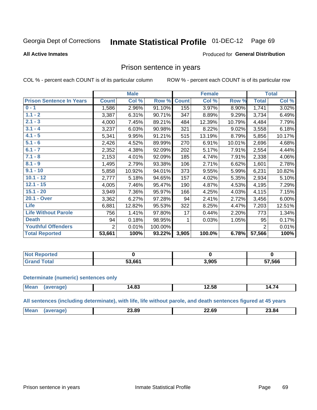#### Inmate Statistical Profile 01-DEC-12 Page 69

#### **All Active Inmates**

#### Produced for General Distribution

### Prison sentence in years

COL % - percent each COUNT is of its particular column

ROW % - percent each COUNT is of its particular row

|                                 | <b>Male</b>    |        |         | <b>Female</b> |        |        | <b>Total</b>   |        |
|---------------------------------|----------------|--------|---------|---------------|--------|--------|----------------|--------|
| <b>Prison Sentence In Years</b> | <b>Count</b>   | Col %  | Row %   | <b>Count</b>  | Col %  | Row %  | <b>Total</b>   | Col %  |
| $0 - 1$                         | 1,586          | 2.96%  | 91.10%  | 155           | 3.97%  | 8.90%  | 1,741          | 3.02%  |
| $1.1 - 2$                       | 3,387          | 6.31%  | 90.71%  | 347           | 8.89%  | 9.29%  | 3,734          | 6.49%  |
| $2.1 - 3$                       | 4,000          | 7.45%  | 89.21%  | 484           | 12.39% | 10.79% | 4,484          | 7.79%  |
| $3.1 - 4$                       | 3,237          | 6.03%  | 90.98%  | 321           | 8.22%  | 9.02%  | 3,558          | 6.18%  |
| $4.1 - 5$                       | 5,341          | 9.95%  | 91.21%  | 515           | 13.19% | 8.79%  | 5,856          | 10.17% |
| $5.1 - 6$                       | 2,426          | 4.52%  | 89.99%  | 270           | 6.91%  | 10.01% | 2,696          | 4.68%  |
| $6.1 - 7$                       | 2,352          | 4.38%  | 92.09%  | 202           | 5.17%  | 7.91%  | 2,554          | 4.44%  |
| $7.1 - 8$                       | 2,153          | 4.01%  | 92.09%  | 185           | 4.74%  | 7.91%  | 2,338          | 4.06%  |
| $8.1 - 9$                       | 1,495          | 2.79%  | 93.38%  | 106           | 2.71%  | 6.62%  | 1,601          | 2.78%  |
| $9.1 - 10$                      | 5,858          | 10.92% | 94.01%  | 373           | 9.55%  | 5.99%  | 6,231          | 10.82% |
| $10.1 - 12$                     | 2,777          | 5.18%  | 94.65%  | 157           | 4.02%  | 5.35%  | 2,934          | 5.10%  |
| $12.1 - 15$                     | 4,005          | 7.46%  | 95.47%  | 190           | 4.87%  | 4.53%  | 4,195          | 7.29%  |
| $15.1 - 20$                     | 3,949          | 7.36%  | 95.97%  | 166           | 4.25%  | 4.03%  | 4,115          | 7.15%  |
| 20.1 - Over                     | 3,362          | 6.27%  | 97.28%  | 94            | 2.41%  | 2.72%  | 3,456          | 6.00%  |
| <b>Life</b>                     | 6,881          | 12.82% | 95.53%  | 322           | 8.25%  | 4.47%  | 7,203          | 12.51% |
| <b>Life Without Parole</b>      | 756            | 1.41%  | 97.80%  | 17            | 0.44%  | 2.20%  | 773            | 1.34%  |
| <b>Death</b>                    | 94             | 0.18%  | 98.95%  |               | 0.03%  | 1.05%  | 95             | 0.17%  |
| <b>Youthful Offenders</b>       | $\overline{2}$ | 0.01%  | 100.00% |               |        |        | $\overline{2}$ | 0.01%  |
| <b>Total Reported</b>           | 53,661         | 100%   | 93.22%  | 3,905         | 100.0% | 6.78%  | 57,566         | 100%   |

| ported<br>I NOT |        |       |        |  |
|-----------------|--------|-------|--------|--|
|                 | 53.661 | 3,905 | 57,566 |  |

#### **Determinate (numeric) sentences only**

| <b>Mean</b> | 14.83 | $\sim$ 50 $\sim$<br>12.58 | 14.74 |
|-------------|-------|---------------------------|-------|
|             |       |                           |       |

All sentences (including determinate), with life, life without parole, and death sentences figured at 45 years

| Me | <u>nn nn</u><br>23.8Y<br>____ | $\sim$<br>--<br>___ | 23.84<br>____ |
|----|-------------------------------|---------------------|---------------|
|    |                               |                     |               |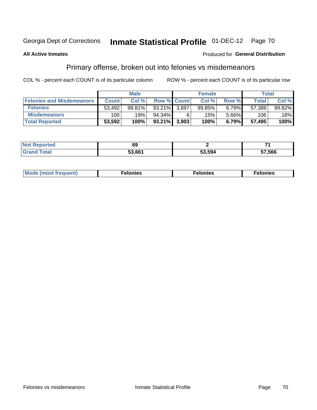#### **Inmate Statistical Profile 01-DEC-12** Page 70

#### **All Active Inmates**

### **Produced for General Distribution**

## Primary offense, broken out into felonies vs misdemeanors

COL % - percent each COUNT is of its particular column

|                                  | <b>Male</b>  |        |           | <b>Female</b>      |        |       | Total        |        |
|----------------------------------|--------------|--------|-----------|--------------------|--------|-------|--------------|--------|
| <b>Felonies and Misdemeanors</b> | <b>Count</b> | Col%   |           | <b>Row % Count</b> | Col%   | Row % | <b>Total</b> | Col %  |
| <b>Felonies</b>                  | 53.492       | 99.81% | $93.21\%$ | 3.897              | 99.85% | 6.79% | 57,389       | 99.82% |
| <b>Misdemeanors</b>              | 100          | 19%    | 94.34%    | 6                  | .15% ' | 5.66% | 106          | 18%    |
| <b>Total Reported</b>            | 53,592       | 100%   | $93.21\%$ | 3,903              | 100%   | 6.79% | 57.495       | 100%   |

| <b>Not</b><br>rted<br>yenor. | 69     |        |        |
|------------------------------|--------|--------|--------|
| ™otai<br>Grand               | 53.661 | 53.594 | 57,566 |

| Mo | ____ | 11 C.S<br>. | onies<br>. |
|----|------|-------------|------------|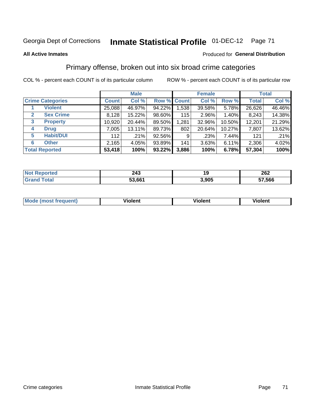# Georgia Dept of Corrections **Inmate Statistical Profile** 01-DEC-12 Page 71

#### **All Active Inmates**

### Produced for **General Distribution**

## Primary offense, broken out into six broad crime categories

COL % - percent each COUNT is of its particular column ROW % - percent each COUNT is of its particular row

|                                 | <b>Male</b>  |        |           | <b>Female</b> |          |        | <b>Total</b> |        |
|---------------------------------|--------------|--------|-----------|---------------|----------|--------|--------------|--------|
| <b>Crime Categories</b>         | <b>Count</b> | Col %  |           | Row % Count   | Col %    | Row %  | <b>Total</b> | Col %  |
| <b>Violent</b>                  | 25,088       | 46.97% | 94.22%    | 1,538         | 39.58%   | 5.78%  | 26,626       | 46.46% |
| <b>Sex Crime</b><br>2           | 8,128        | 15.22% | 98.60%    | 115           | $2.96\%$ | 1.40%  | 8,243        | 14.38% |
| $\mathbf{3}$<br><b>Property</b> | 10,920       | 20.44% | 89.50%    | 1,281         | 32.96%   | 10.50% | 12,201       | 21.29% |
| <b>Drug</b><br>4                | 7,005        | 13.11% | 89.73%    | 802           | 20.64%   | 10.27% | 7,807        | 13.62% |
| <b>Habit/DUI</b><br>5           | 112          | .21%   | 92.56%    | 9             | .23%     | 7.44%  | 121          | .21%   |
| <b>Other</b><br>6               | 2,165        | 4.05%  | 93.89%    | 141           | 3.63%    | 6.11%  | 2,306        | 4.02%  |
| <b>Total Reported</b>           | 53,418       | 100%   | $93.22\%$ | 3,886         | 100%     | 6.78%  | 57,304       | 100%   |

| <b>orted</b><br>NO)<br>. | 243    | 40    | 262    |  |  |
|--------------------------|--------|-------|--------|--|--|
| $F$ ntal<br>υιαι         | 53,661 | 3,905 | 57,566 |  |  |

| Mo<br>uent)<br>nos | .<br>/iolent | <br>Violent | - --<br><b>Tiolent</b> |
|--------------------|--------------|-------------|------------------------|
|                    |              |             |                        |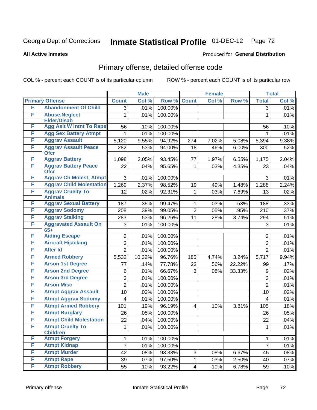# Georgia Dept of Corrections **Inmate Statistical Profile** 01-DEC-12 Page 72

**All Active Inmates**

#### Produced for **General Distribution**

# Primary offense, detailed offense code

COL % - percent each COUNT is of its particular column ROW % - percent each COUNT is of its particular row

|   |                                            |                     | <b>Male</b>  |         |                 | <b>Female</b> |        |                     | <b>Total</b> |
|---|--------------------------------------------|---------------------|--------------|---------|-----------------|---------------|--------|---------------------|--------------|
|   | <b>Primary Offense</b>                     | <b>Count</b>        | Col %        | Row %   | <b>Count</b>    | Col %         | Row %  | <b>Total</b>        | Col %        |
| F | <b>Abandonment Of Child</b>                | $\overline{3}$      | .01%         | 100.00% |                 |               |        | $\overline{3}$      | .01%         |
| F | <b>Abuse, Neglect</b>                      | $\mathbf{1}$        | .01%         | 100.00% |                 |               |        | 1                   | .01%         |
|   | <b>Elder/Disab</b>                         |                     |              |         |                 |               |        |                     |              |
| F | <b>Agg Aslt W Intnt To Rape</b>            | 56                  | .10%         | 100.00% |                 |               |        | 56                  | .10%         |
| F | <b>Agg Sex Battery Atmpt</b>               | $\mathbf 1$         | .01%         | 100.00% |                 |               |        | $\mathbf{1}$        | .01%         |
| F | <b>Aggrav Assault</b>                      | 5,120               | 9.55%        | 94.92%  | 274             | 7.02%         | 5.08%  | 5,394               | 9.38%        |
| F | <b>Aggrav Assault Peace</b><br><b>Ofcr</b> | 282                 | .53%         | 94.00%  | 18              | .46%          | 6.00%  | 300                 | .52%         |
| F | <b>Aggrav Battery</b>                      | 1,098               | 2.05%        | 93.45%  | 77              | 1.97%         | 6.55%  | 1,175               | 2.04%        |
| F | <b>Aggrav Battery Peace</b><br><b>Ofcr</b> | 22                  | .04%         | 95.65%  | $\mathbf 1$     | .03%          | 4.35%  | 23                  | .04%         |
| F | <b>Aggrav Ch Molest, Atmpt</b>             | 3                   | .01%         | 100.00% |                 |               |        | 3                   | .01%         |
| F | <b>Aggrav Child Molestation</b>            | 1,269               | 2.37%        | 98.52%  | 19              | .49%          | 1.48%  | 1,288               | 2.24%        |
| F | <b>Aggrav Cruelty To</b><br><b>Animals</b> | 12                  | .02%         | 92.31%  | $\mathbf{1}$    | .03%          | 7.69%  | 13                  | .02%         |
| F | <b>Aggrav Sexual Battery</b>               | 187                 | .35%         | 99.47%  | $\mathbf{1}$    | .03%          | .53%   | 188                 | .33%         |
| F | <b>Aggrav Sodomy</b>                       | 208                 | .39%         | 99.05%  | $\overline{2}$  | .05%          | .95%   | 210                 | .37%         |
| F | <b>Aggrav Stalking</b>                     | 283                 | .53%         | 96.26%  | 11              | .28%          | 3.74%  | 294                 | .51%         |
| F | <b>Aggravated Assault On</b>               | 3                   | .01%         | 100.00% |                 |               |        | 3                   | .01%         |
| F | $65+$<br><b>Aiding Escape</b>              | $\overline{2}$      | .01%         | 100.00% |                 |               |        | $\overline{2}$      | .01%         |
| F | <b>Aircraft Hijacking</b>                  | 3                   | .01%         | 100.00% |                 |               |        | 3                   | .01%         |
| F | <b>Alter Id</b>                            | $\overline{2}$      | .01%         | 100.00% |                 |               |        | $\overline{2}$      | .01%         |
| F | <b>Armed Robbery</b>                       | 5,532               | 10.32%       | 96.76%  | 185             | 4.74%         | 3.24%  | 5,717               | 9.94%        |
| F | <b>Arson 1st Degree</b>                    |                     | .14%         | 77.78%  | 22              | .56%          | 22.22% | 99                  | .17%         |
| F | <b>Arson 2nd Degree</b>                    | 77                  | .01%         | 66.67%  | 3               | .08%          | 33.33% |                     |              |
| F | <b>Arson 3rd Degree</b>                    | 6                   |              | 100.00% |                 |               |        | 9                   | .02%         |
| F | <b>Arson Misc</b>                          | 3<br>$\overline{2}$ | .01%<br>.01% | 100.00% |                 |               |        | 3<br>$\overline{2}$ | .01%<br>.01% |
| F |                                            |                     |              |         |                 |               |        |                     |              |
| F | <b>Atmpt Aggrav Assault</b>                | 10                  | .02%         | 100.00% |                 |               |        | 10                  | .02%         |
| F | <b>Atmpt Aggrav Sodomy</b>                 | $\overline{4}$      | .01%         | 100.00% |                 |               |        | 4                   | .01%         |
|   | <b>Atmpt Armed Robbery</b>                 | 101                 | .19%         | 96.19%  | $\overline{4}$  | .10%          | 3.81%  | 105                 | .18%         |
| F | <b>Atmpt Burglary</b>                      | 26                  | .05%         | 100.00% |                 |               |        | 26                  | .05%         |
| F | <b>Atmpt Child Molestation</b>             | 22                  | .04%         | 100.00% |                 |               |        | 22                  | .04%         |
| F | <b>Atmpt Cruelty To</b><br><b>Children</b> | 1                   | .01%         | 100.00% |                 |               |        | $\mathbf{1}$        | .01%         |
| F | <b>Atmpt Forgery</b>                       | $\mathbf{1}$        | .01%         | 100.00% |                 |               |        | $\mathbf{1}$        | .01%         |
| F | <b>Atmpt Kidnap</b>                        | 7                   | .01%         | 100.00% |                 |               |        | $\overline{7}$      | .01%         |
| F | <b>Atmpt Murder</b>                        | 42                  | .08%         | 93.33%  | 3               | .08%          | 6.67%  | 45                  | .08%         |
| F | <b>Atmpt Rape</b>                          | 39                  | .07%         | 97.50%  | $\mathbf{1}$    | .03%          | 2.50%  | 40                  | .07%         |
| F | <b>Atmpt Robbery</b>                       | 55                  | .10%         | 93.22%  | $\vert 4 \vert$ | .10%          | 6.78%  | 59                  | .10%         |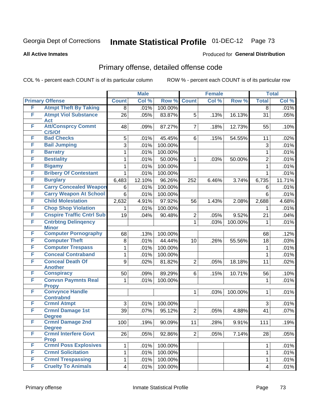#### **All Active Inmates**

#### Produced for **General Distribution**

### Primary offense, detailed offense code

|   |                                            |                         | <b>Male</b> |         |                | <b>Female</b> |         |                | <b>Total</b> |
|---|--------------------------------------------|-------------------------|-------------|---------|----------------|---------------|---------|----------------|--------------|
|   | <b>Primary Offense</b>                     | <b>Count</b>            | Col %       | Row %   | <b>Count</b>   | Col%          | Row %   | <b>Total</b>   | Col %        |
| F | <b>Atmpt Theft By Taking</b>               | 8                       | .01%        | 100.00% |                |               |         | $\overline{8}$ | .01%         |
| F | <b>Atmpt Viol Substance</b><br><b>Act</b>  | 26                      | .05%        | 83.87%  | 5              | .13%          | 16.13%  | 31             | .05%         |
| F | <b>Att/Consprcy Commt</b><br>C/S/Of        | 48                      | .09%        | 87.27%  | $\overline{7}$ | .18%          | 12.73%  | 55             | .10%         |
| F | <b>Bad Checks</b>                          | 5                       | .01%        | 45.45%  | 6              | .15%          | 54.55%  | 11             | .02%         |
| F | <b>Bail Jumping</b>                        | 3                       | .01%        | 100.00% |                |               |         | 3              | .01%         |
| F | <b>Barratry</b>                            | $\mathbf{1}$            | .01%        | 100.00% |                |               |         | 1              | .01%         |
| F | <b>Bestiality</b>                          | 1                       | .01%        | 50.00%  | $\mathbf{1}$   | .03%          | 50.00%  | $\overline{2}$ | .01%         |
| F | <b>Bigamy</b>                              | 1                       | .01%        | 100.00% |                |               |         | 1              | .01%         |
| F | <b>Bribery Of Contestant</b>               | 1                       | .01%        | 100.00% |                |               |         | 1              | .01%         |
| F | <b>Burglary</b>                            | 6,483                   | 12.10%      | 96.26%  | 252            | 6.46%         | 3.74%   | 6,735          | 11.71%       |
| F | <b>Carry Concealed Weapon</b>              | 6                       | .01%        | 100.00% |                |               |         | 6              | .01%         |
| F | <b>Carry Weapon At School</b>              | 6                       | .01%        | 100.00% |                |               |         | 6              | .01%         |
| F | <b>Child Molestation</b>                   | 2,632                   | 4.91%       | 97.92%  | 56             | 1.43%         | 2.08%   | 2,688          | 4.68%        |
| F | <b>Chop Shop Violation</b>                 | 1                       | .01%        | 100.00% |                |               |         | 1              | .01%         |
| F | <b>Cnspire Traffic Cntrl Sub</b>           | 19                      | .04%        | 90.48%  | $\overline{2}$ | .05%          | 9.52%   | 21             | .04%         |
| F | <b>Cntrbtng Delingency</b><br><b>Minor</b> |                         |             |         | $\mathbf{1}$   | .03%          | 100.00% | $\mathbf{1}$   | .01%         |
| F | <b>Computer Pornography</b>                | 68                      | .13%        | 100.00% |                |               |         | 68             | .12%         |
| F | <b>Computer Theft</b>                      | 8                       | .01%        | 44.44%  | 10             | .26%          | 55.56%  | 18             | .03%         |
| F | <b>Computer Trespass</b>                   | 1                       | .01%        | 100.00% |                |               |         | $\mathbf{1}$   | .01%         |
| F | <b>Conceal Contraband</b>                  | $\mathbf{1}$            | .01%        | 100.00% |                |               |         | 1              | .01%         |
| F | <b>Conceal Death Of</b><br><b>Another</b>  | 9                       | .02%        | 81.82%  | $\overline{2}$ | .05%          | 18.18%  | 11             | .02%         |
| F | <b>Conspiracy</b>                          | 50                      | .09%        | 89.29%  | 6              | .15%          | 10.71%  | 56             | .10%         |
| F | <b>Convsn Paymnts Real</b><br><b>Propy</b> | 1                       | .01%        | 100.00% |                |               |         | 1              | .01%         |
| F | <b>Convynce Handle</b><br><b>Contrabnd</b> |                         |             |         | $\mathbf{1}$   | .03%          | 100.00% | 1              | .01%         |
| F | <b>Crmnl Atmpt</b>                         | 3                       | .01%        | 100.00% |                |               |         | 3              | .01%         |
| F | <b>Crmnl Damage 1st</b><br><b>Degree</b>   | 39                      | .07%        | 95.12%  | $\overline{2}$ | .05%          | 4.88%   | 41             | $.07\%$      |
| F | <b>Crmnl Damage 2nd</b><br><b>Degree</b>   | 100                     | .19%        | 90.09%  | 11             | .28%          | 9.91%   | 111            | .19%         |
| F | <b>Crmnl Interfere Govt</b><br><b>Prop</b> | 26                      | .05%        | 92.86%  | 2 <sup>1</sup> | .05%          | 7.14%   | 28             | .05%         |
| F | <b>Crmnl Poss Explosives</b>               | 1                       | .01%        | 100.00% |                |               |         | 1              | .01%         |
| F | <b>Crmnl Solicitation</b>                  | $\mathbf{1}$            | .01%        | 100.00% |                |               |         | 1              | .01%         |
| F | <b>Crmnl Trespassing</b>                   | $\mathbf{1}$            | .01%        | 100.00% |                |               |         | 1              | .01%         |
| F | <b>Cruelty To Animals</b>                  | $\overline{\mathbf{4}}$ | .01%        | 100.00% |                |               |         | $\overline{4}$ | .01%         |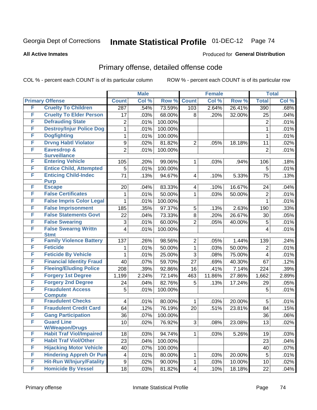#### **All Active Inmates**

#### Produced for **General Distribution**

### Primary offense, detailed offense code

|        |                                               |                | <b>Male</b> |         |                | <b>Female</b> |        |                  | <b>Total</b> |
|--------|-----------------------------------------------|----------------|-------------|---------|----------------|---------------|--------|------------------|--------------|
|        | <b>Primary Offense</b>                        | <b>Count</b>   | Col %       | Row %   | <b>Count</b>   | Col %         | Row %  | <b>Total</b>     | Col %        |
| F      | <b>Cruelty To Children</b>                    | 287            | .54%        | 73.59%  | 103            | 2.64%         | 26.41% | $\overline{390}$ | .68%         |
| F      | <b>Cruelty To Elder Person</b>                | 17             | .03%        | 68.00%  | 8              | .20%          | 32.00% | 25               | .04%         |
| F      | <b>Defrauding State</b>                       | $\overline{2}$ | .01%        | 100.00% |                |               |        | $\overline{2}$   | .01%         |
| F      | <b>Destroy/Injur Police Dog</b>               | 1              | .01%        | 100.00% |                |               |        | 1                | .01%         |
| F      | <b>Dogfighting</b>                            | 1              | .01%        | 100.00% |                |               |        | 1                | .01%         |
| F      | <b>Drvng Habtl Violator</b>                   | 9              | .02%        | 81.82%  | $\overline{2}$ | .05%          | 18.18% | 11               | .02%         |
| F      | <b>Eavesdrop &amp;</b>                        | $\overline{2}$ | .01%        | 100.00% |                |               |        | $\overline{2}$   | .01%         |
|        | <b>Surveillance</b>                           |                |             |         |                |               |        |                  |              |
| F      | <b>Entering Vehicle</b>                       | 105            | .20%        | 99.06%  | 1              | .03%          | .94%   | 106              | .18%         |
| F      | <b>Entice Child, Attempted</b>                | 5              | .01%        | 100.00% |                |               |        | 5                | .01%         |
| F      | <b>Enticing Child-Indec</b><br><b>Purp</b>    | 71             | .13%        | 94.67%  | 4              | .10%          | 5.33%  | 75               | .13%         |
| F      | <b>Escape</b>                                 | 20             | .04%        | 83.33%  | 4              | .10%          | 16.67% | 24               | .04%         |
| F      | <b>False Certificates</b>                     | 1              | .01%        | 50.00%  | 1              | .03%          | 50.00% | $\overline{2}$   | .01%         |
| F      | <b>False Impris Color Legal</b>               | 1              | .01%        | 100.00% |                |               |        | 1                | .01%         |
| F      | <b>False Imprisonment</b>                     | 185            | .35%        | 97.37%  | 5              | .13%          | 2.63%  | 190              | .33%         |
| F      | <b>False Statements Govt</b>                  | 22             | .04%        | 73.33%  | 8              | .20%          | 26.67% | 30               | .05%         |
| F      | <b>False Swearing</b>                         | 3              | .01%        | 60.00%  | $\overline{2}$ | .05%          | 40.00% | 5                | .01%         |
| F      | <b>False Swearng Writtn</b>                   | 4              | .01%        | 100.00% |                |               |        | 4                | .01%         |
| F      | <b>Stmt</b><br><b>Family Violence Battery</b> |                |             |         |                |               |        |                  |              |
| F      | <b>Feticide</b>                               | 137            | .26%        | 98.56%  | $\overline{2}$ | .05%          | 1.44%  | 139              | .24%         |
| F      |                                               | 1              | .01%        | 50.00%  | 1              | .03%          | 50.00% | $\overline{2}$   | .01%         |
| F      | <b>Feticide By Vehicle</b>                    | 1              | .01%        | 25.00%  | 3              | .08%          | 75.00% | $\overline{4}$   | .01%         |
|        | <b>Financial Identity Fraud</b>               | 40             | .07%        | 59.70%  | 27             | .69%          | 40.30% | 67               | .12%         |
| F<br>F | <b>Fleeing/Eluding Police</b>                 | 208            | .39%        | 92.86%  | 16             | .41%          | 7.14%  | 224              | .39%         |
|        | <b>Forgery 1st Degree</b>                     | 1,199          | 2.24%       | 72.14%  | 463            | 11.86%        | 27.86% | 1,662            | 2.89%        |
| F      | <b>Forgery 2nd Degree</b>                     | 24             | .04%        | 82.76%  | 5              | .13%          | 17.24% | 29               | .05%         |
| F      | <b>Fraudulent Access</b><br><b>Compute</b>    | 5              | .01%        | 100.00% |                |               |        | 5                | .01%         |
| F      | <b>Fraudulent Checks</b>                      | 4              | .01%        | 80.00%  | 1              | .03%          | 20.00% | 5                | .01%         |
| F      | <b>Fraudulent Credit Card</b>                 | 64             | .12%        | 76.19%  | 20             | .51%          | 23.81% | 84               | .15%         |
| F      | <b>Gang Participation</b>                     | 36             | .07%        | 100.00% |                |               |        | 36               | .06%         |
| F      | <b>Guard Line</b>                             | 10             | .02%        | 76.92%  | 3              | .08%          | 23.08% | $\overline{13}$  | .02%         |
|        | <b>W/Weapon/Drugs</b>                         |                |             |         |                |               |        |                  |              |
| F      | <b>Habit Traf Viol/Impaired</b>               | 18             | .03%        | 94.74%  | 1              | .03%          | 5.26%  | 19               | .03%         |
| F      | <b>Habit Traf Viol/Other</b>                  | 23             | .04%        | 100.00% |                |               |        | 23               | .04%         |
| F      | <b>Hijacking Motor Vehicle</b>                | 40             | .07%        | 100.00% |                |               |        | 40               | .07%         |
| F      | <b>Hindering Appreh Or Pun</b>                | 4              | .01%        | 80.00%  | 1              | .03%          | 20.00% | 5                | .01%         |
| F      | <b>Hit-Run W/Injury/Fatality</b>              | 9              | .02%        | 90.00%  | 1              | .03%          | 10.00% | 10               | .02%         |
| F      | <b>Homicide By Vessel</b>                     | 18             | .03%        | 81.82%  | 4              | .10%          | 18.18% | 22               | .04%         |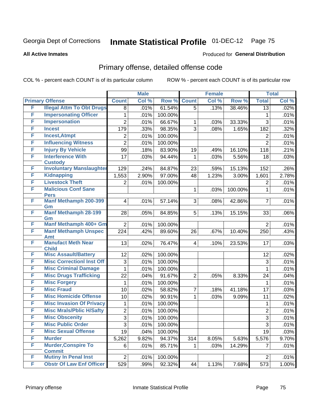#### **All Active Inmates**

#### Produced for **General Distribution**

### Primary offense, detailed offense code

|   |                                              |                         | <b>Male</b> |         |                | <b>Female</b> |         |                 | <b>Total</b> |
|---|----------------------------------------------|-------------------------|-------------|---------|----------------|---------------|---------|-----------------|--------------|
|   | <b>Primary Offense</b>                       | <b>Count</b>            | Col %       | Row %   | <b>Count</b>   | Col %         | Row %   | <b>Total</b>    | Col %        |
| F | <b>Illegal Attm To Obt Drugs</b>             | 8                       | .01%        | 61.54%  | $\overline{5}$ | .13%          | 38.46%  | $\overline{13}$ | .02%         |
| F | <b>Impersonating Officer</b>                 | 1                       | .01%        | 100.00% |                |               |         | 1               | .01%         |
| F | <b>Impersonation</b>                         | $\overline{2}$          | .01%        | 66.67%  | 1              | .03%          | 33.33%  | $\overline{3}$  | .01%         |
| F | <b>Incest</b>                                | 179                     | .33%        | 98.35%  | $\overline{3}$ | .08%          | 1.65%   | 182             | .32%         |
| F | <b>Incest, Atmpt</b>                         | 2                       | .01%        | 100.00% |                |               |         | $\overline{c}$  | .01%         |
| F | <b>Influencing Witness</b>                   | $\overline{2}$          | .01%        | 100.00% |                |               |         | $\overline{2}$  | .01%         |
| F | <b>Injury By Vehicle</b>                     | 99                      | .18%        | 83.90%  | 19             | .49%          | 16.10%  | 118             | .21%         |
| F | <b>Interference With</b><br><b>Custody</b>   | 17                      | .03%        | 94.44%  | 1              | .03%          | 5.56%   | 18              | .03%         |
| F | <b>Involuntary Manslaughter</b>              | 129                     | .24%        | 84.87%  | 23             | .59%          | 15.13%  | 152             | .26%         |
| F | <b>Kidnapping</b>                            | 1,553                   | 2.90%       | 97.00%  | 48             | 1.23%         | 3.00%   | 1,601           | 2.78%        |
| F | <b>Livestock Theft</b>                       | $\overline{2}$          | .01%        | 100.00% |                |               |         | $\overline{2}$  | .01%         |
| F | <b>Malicious Conf Sane</b><br><b>Pers</b>    |                         |             |         | 1              | .03%          | 100.00% | 1               | .01%         |
| F | <b>Manf Methamph 200-399</b><br>Gm           | $\overline{\mathbf{4}}$ | .01%        | 57.14%  | 3              | .08%          | 42.86%  | $\overline{7}$  | .01%         |
| F | <b>Manf Methamph 28-199</b><br>Gm            | 28                      | .05%        | 84.85%  | 5              | .13%          | 15.15%  | 33              | .06%         |
| F | Manf Methamph 400+ Gm                        | $\overline{2}$          | .01%        | 100.00% |                |               |         | $\overline{2}$  | .01%         |
| F | <b>Manf Methamph Unspec</b><br><b>Amt</b>    | 224                     | .42%        | 89.60%  | 26             | .67%          | 10.40%  | 250             | .43%         |
| F | <b>Manufact Meth Near</b><br><b>Child</b>    | 13                      | .02%        | 76.47%  | 4              | .10%          | 23.53%  | 17              | .03%         |
| F | <b>Misc Assault/Battery</b>                  | 12                      | .02%        | 100.00% |                |               |         | 12              | .02%         |
| F | <b>Misc CorrectionI Inst Off</b>             | 3                       | .01%        | 100.00% |                |               |         | 3               | .01%         |
| F | <b>Misc Criminal Damage</b>                  | 1                       | .01%        | 100.00% |                |               |         | 1               | .01%         |
| F | <b>Misc Drugs Trafficking</b>                | 22                      | .04%        | 91.67%  | $\overline{2}$ | .05%          | 8.33%   | 24              | .04%         |
| F | <b>Misc Forgery</b>                          | 1                       | .01%        | 100.00% |                |               |         | 1               | .01%         |
| F | <b>Misc Fraud</b>                            | 10                      | .02%        | 58.82%  | 7              | .18%          | 41.18%  | 17              | .03%         |
| F | <b>Misc Homicide Offense</b>                 | 10                      | .02%        | 90.91%  | 1              | .03%          | 9.09%   | 11              | .02%         |
| F | <b>Misc Invasion Of Privacy</b>              | 1                       | .01%        | 100.00% |                |               |         | 1               | .01%         |
| F | <b>Misc Mrals/Pblic H/Safty</b>              | $\overline{c}$          | .01%        | 100.00% |                |               |         | $\overline{2}$  | .01%         |
| F | <b>Misc Obscenity</b>                        | $\overline{3}$          | .01%        | 100.00% |                |               |         | $\overline{3}$  | .01%         |
| F | <b>Misc Public Order</b>                     | 3                       | .01%        | 100.00% |                |               |         | 3               | .01%         |
| F | <b>Misc Sexual Offense</b>                   | 19                      | .04%        | 100.00% |                |               |         | 19              | .03%         |
| F | <b>Murder</b>                                | 5,262                   | 9.82%       | 94.37%  | 314            | 8.05%         | 5.63%   | 5,576           | 9.70%        |
| F | <b>Murder, Conspire To</b>                   | 6                       | .01%        | 85.71%  | 1.             | .03%          | 14.29%  | 7               | .01%         |
| F | <b>Commit</b><br><b>Mutiny In Penal Inst</b> |                         |             |         |                |               |         |                 |              |
| F | <b>Obstr Of Law Enf Officer</b>              | $\overline{2}$          | .01%        | 100.00% |                |               |         | $\overline{2}$  | .01%         |
|   |                                              | 529                     | .99%        | 92.32%  | 44             | 1.13%         | 7.68%   | 573             | 1.00%        |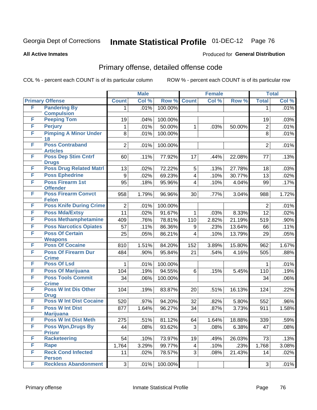**All Active Inmates**

#### Produced for **General Distribution**

### Primary offense, detailed offense code

|   |                                            |                  | <b>Male</b> |         | <b>Female</b>           |       |        |                | <b>Total</b> |
|---|--------------------------------------------|------------------|-------------|---------|-------------------------|-------|--------|----------------|--------------|
|   | <b>Primary Offense</b>                     | <b>Count</b>     | Col %       | Row %   | <b>Count</b>            | Col % | Row %  | <b>Total</b>   | Col %        |
| F | <b>Pandering By</b>                        | 1.               | .01%        | 100.00% |                         |       |        | $\mathbf 1$    | .01%         |
|   | <b>Compulsion</b>                          |                  |             |         |                         |       |        |                |              |
| F | <b>Peeping Tom</b>                         | 19               | .04%        | 100.00% |                         |       |        | 19             | .03%         |
| F | <b>Perjury</b>                             | 1                | .01%        | 50.00%  | $\mathbf{1}$            | .03%  | 50.00% | $\overline{2}$ | .01%         |
| F | <b>Pimping A Minor Under</b><br>18         | 8                | .01%        | 100.00% |                         |       |        | 8              | .01%         |
| F | <b>Poss Contraband</b><br><b>Articles</b>  | $\overline{2}$   | .01%        | 100.00% |                         |       |        | $\overline{2}$ | .01%         |
| F | <b>Poss Dep Stim Cntrf</b><br><b>Drugs</b> | 60               | .11%        | 77.92%  | 17                      | .44%  | 22.08% | 77             | .13%         |
| F | <b>Poss Drug Related Matri</b>             | 13               | .02%        | 72.22%  | 5                       | .13%  | 27.78% | 18             | .03%         |
| F | <b>Poss Ephedrine</b>                      | $\boldsymbol{9}$ | .02%        | 69.23%  | $\overline{\mathbf{4}}$ | .10%  | 30.77% | 13             | .02%         |
| F | <b>Poss Firearm 1st</b><br><b>Offender</b> | 95               | .18%        | 95.96%  | 4                       | .10%  | 4.04%  | 99             | .17%         |
| F | <b>Poss Firearm Convct</b><br><b>Felon</b> | 958              | 1.79%       | 96.96%  | 30                      | .77%  | 3.04%  | 988            | 1.72%        |
| F | <b>Poss Knife During Crime</b>             | $\overline{2}$   | .01%        | 100.00% |                         |       |        | $\overline{2}$ | .01%         |
| F | <b>Poss Mda/Extsy</b>                      | 11               | .02%        | 91.67%  | 1                       | .03%  | 8.33%  | 12             | .02%         |
| F | <b>Poss Methamphetamine</b>                | 409              | .76%        | 78.81%  | 110                     | 2.82% | 21.19% | 519            | .90%         |
| F | <b>Poss Narcotics Opiates</b>              | 57               | .11%        | 86.36%  | 9                       | .23%  | 13.64% | 66             | .11%         |
| F | <b>Poss Of Certain</b>                     | 25               | $.05\%$     | 86.21%  | $\overline{\mathbf{4}}$ | .10%  | 13.79% | 29             | .05%         |
|   | <b>Weapons</b>                             |                  |             |         |                         |       |        |                |              |
| F | <b>Poss Of Cocaine</b>                     | 810              | 1.51%       | 84.20%  | 152                     | 3.89% | 15.80% | 962            | 1.67%        |
| F | <b>Poss Of Firearm Dur</b>                 | 484              | .90%        | 95.84%  | 21                      | .54%  | 4.16%  | 505            | .88%         |
|   | <b>Crime</b>                               |                  |             |         |                         |       |        |                |              |
| F | <b>Poss Of Lsd</b>                         | 1                | .01%        | 100.00% |                         |       |        | 1              | .01%         |
| F | <b>Poss Of Marijuana</b>                   | 104              | .19%        | 94.55%  | 6                       | .15%  | 5.45%  | 110            | .19%         |
| F | <b>Poss Tools Commit</b><br><b>Crime</b>   | 34               | .06%        | 100.00% |                         |       |        | 34             | .06%         |
| F | <b>Poss W Int Dis Other</b><br><b>Drug</b> | 104              | .19%        | 83.87%  | 20                      | .51%  | 16.13% | 124            | .22%         |
| F | <b>Poss W Int Dist Cocaine</b>             | 520              | .97%        | 94.20%  | 32                      | .82%  | 5.80%  | 552            | .96%         |
| F | <b>Poss W Int Dist</b><br><b>Marijuana</b> | 877              | 1.64%       | 96.27%  | 34                      | .87%  | 3.73%  | 911            | 1.58%        |
| F | <b>Poss W Int Dist Meth</b>                | 275              | .51%        | 81.12%  | 64                      | 1.64% | 18.88% | 339            | .59%         |
| F | <b>Poss Wpn, Drugs By</b><br><b>Prisnr</b> | 44               | .08%        | 93.62%  | 3 <sup>1</sup>          | .08%  | 6.38%  | 47             | .08%         |
| F | <b>Racketeering</b>                        | 54               | .10%        | 73.97%  | 19                      | .49%  | 26.03% | 73             | .13%         |
| F | Rape                                       | 1,764            | 3.29%       | 99.77%  | 4 <sup>1</sup>          | .10%  | .23%   | 1,768          | 3.08%        |
| F | <b>Reck Cond Infected</b>                  | 11               | .02%        | 78.57%  | 3 <sup>1</sup>          | .08%  | 21.43% | 14             | .02%         |
|   | <b>Person</b>                              |                  |             |         |                         |       |        |                |              |
| F | <b>Reckless Abandonment</b>                | 3                | .01%        | 100.00% |                         |       |        | 3              | .01%         |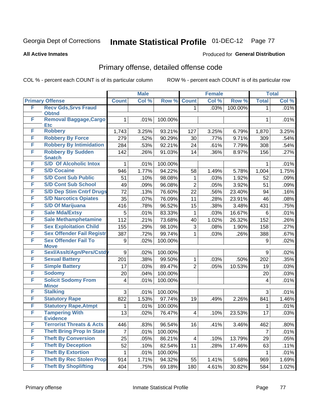**All Active Inmates**

#### Produced for **General Distribution**

### Primary offense, detailed offense code

|   |                                            |              | <b>Male</b> |         |                | <b>Female</b> |                  |              | <b>Total</b> |
|---|--------------------------------------------|--------------|-------------|---------|----------------|---------------|------------------|--------------|--------------|
|   | <b>Primary Offense</b>                     | <b>Count</b> | Col %       | Row %   | <b>Count</b>   | Col %         | Row <sup>%</sup> | <b>Total</b> | Col %        |
| F | <b>Recv Gds, Srvs Fraud</b>                |              |             |         | 1              | .03%          | 100.00%          | $\mathbf 1$  | .01%         |
|   | <b>Obtnd</b>                               |              |             |         |                |               |                  |              |              |
| F | Removal Baggage, Cargo<br><b>Etc</b>       | 1            | .01%        | 100.00% |                |               |                  | 1            | .01%         |
| F | <b>Robbery</b>                             | 1,743        | 3.25%       | 93.21%  | 127            | 3.25%         | 6.79%            | 1,870        | 3.25%        |
| F | <b>Robbery By Force</b>                    | 279          | .52%        | 90.29%  | 30             | .77%          | 9.71%            | 309          | .54%         |
| F | <b>Robbery By Intimidation</b>             | 284          | .53%        | 92.21%  | 24             | .61%          | 7.79%            | 308          | .54%         |
| F | <b>Robbery By Sudden</b>                   | 142          | .26%        | 91.03%  | 14             | .36%          | 8.97%            | 156          | .27%         |
|   | <b>Snatch</b>                              |              |             |         |                |               |                  |              |              |
| F | <b>S/D Of Alcoholic Intox</b>              | 1            | .01%        | 100.00% |                |               |                  | 1            | .01%         |
| F | <b>S/D Cocaine</b>                         | 946          | 1.77%       | 94.22%  | 58             | 1.49%         | 5.78%            | 1,004        | 1.75%        |
| F | <b>S/D Cont Sub Public</b>                 | 51           | .10%        | 98.08%  | 1              | .03%          | 1.92%            | 52           | .09%         |
| F | <b>S/D Cont Sub School</b>                 | 49           | .09%        | 96.08%  | $\overline{2}$ | .05%          | 3.92%            | 51           | .09%         |
| F | <b>S/D Dep Stim Cntrf Drugs</b>            | 72           | .13%        | 76.60%  | 22             | .56%          | 23.40%           | 94           | .16%         |
| F | <b>S/D Narcotics Opiates</b>               | 35           | .07%        | 76.09%  | 11             | .28%          | 23.91%           | 46           | .08%         |
| F | <b>S/D Of Marijuana</b>                    | 416          | .78%        | 96.52%  | 15             | .38%          | 3.48%            | 431          | .75%         |
| F | <b>Sale Mda/Extsy</b>                      | 5            | .01%        | 83.33%  | 1              | .03%          | 16.67%           | 6            | .01%         |
| F | <b>Sale Methamphetamine</b>                | 112          | .21%        | 73.68%  | 40             | 1.02%         | 26.32%           | 152          | .26%         |
| F | <b>Sex Exploitation Child</b>              | 155          | .29%        | 98.10%  | 3              | .08%          | 1.90%            | 158          | .27%         |
| F | <b>Sex Offender Fail Registr</b>           | 387          | .72%        | 99.74%  | 1              | .03%          | .26%             | 388          | .67%         |
| F | <b>Sex Offender Fail To</b>                | 9            | .02%        | 100.00% |                |               |                  | 9            | .02%         |
|   | <b>Move</b>                                |              |             |         |                |               |                  |              |              |
| F | Sexl/AssIt/Agn/Pers/Cstdy                  | $9\,$        | .02%        | 100.00% |                |               |                  | 9            | .02%         |
| F | <b>Sexual Battery</b>                      | 201          | .38%        | 99.50%  | 1              | .03%          | .50%             | 202          | .35%         |
| F | <b>Simple Battery</b>                      | 17           | .03%        | 89.47%  | $\overline{2}$ | .05%          | 10.53%           | 19           | .03%         |
| F | <b>Sodomy</b>                              | 20           | .04%        | 100.00% |                |               |                  | 20           | .03%         |
| F | <b>Solicit Sodomy From</b><br><b>Minor</b> | 4            | .01%        | 100.00% |                |               |                  | 4            | .01%         |
| F | <b>Stalking</b>                            | 3            | .01%        | 100.00% |                |               |                  | 3            | .01%         |
| F | <b>Statutory Rape</b>                      | 822          | 1.53%       | 97.74%  | 19             | .49%          | 2.26%            | 841          | 1.46%        |
| F | <b>Statutory Rape, Atmpt</b>               | 1            | .01%        | 100.00% |                |               |                  | 1            | .01%         |
| F | <b>Tampering With</b>                      | 13           | .02%        | 76.47%  | 4              | .10%          | 23.53%           | 17           | .03%         |
|   | <b>Evidence</b>                            |              |             |         |                |               |                  |              |              |
| F | <b>Terrorist Threats &amp; Acts</b>        | 446          | .83%        | 96.54%  | 16             | .41%          | 3.46%            | 462          | .80%         |
| F | <b>Theft Bring Prop In State</b>           | 7            | .01%        | 100.00% |                |               |                  | 7            | .01%         |
| F | <b>Theft By Conversion</b>                 | 25           | .05%        | 86.21%  | 4              | .10%          | 13.79%           | 29           | .05%         |
| F | <b>Theft By Deception</b>                  | 52           | .10%        | 82.54%  | 11             | .28%          | 17.46%           | 63           | .11%         |
| F | <b>Theft By Extortion</b>                  | 1            | .01%        | 100.00% |                |               |                  | 1            | .01%         |
| F | <b>Theft By Rec Stolen Prop</b>            | 914          | 1.71%       | 94.32%  | 55             | 1.41%         | 5.68%            | 969          | 1.69%        |
| F | <b>Theft By Shoplifting</b>                | 404          | .75%        | 69.18%  | 180            | 4.61%         | 30.82%           | 584          | 1.02%        |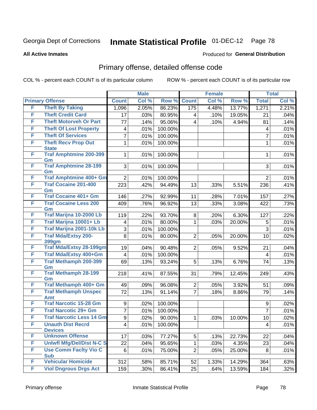#### **All Active Inmates**

#### Produced for **General Distribution**

### Primary offense, detailed offense code

|   |                                            |                 | <b>Male</b> |         |                         | <b>Female</b> |        |                | <b>Total</b> |
|---|--------------------------------------------|-----------------|-------------|---------|-------------------------|---------------|--------|----------------|--------------|
|   | <b>Primary Offense</b>                     | <b>Count</b>    | Col %       | Row %   | <b>Count</b>            | Col %         | Row %  | <b>Total</b>   | Col %        |
| F | <b>Theft By Taking</b>                     | 1,096           | 2.05%       | 86.23%  | 175                     | 4.48%         | 13.77% | 1,271          | 2.21%        |
| F | <b>Theft Credit Card</b>                   | 17              | .03%        | 80.95%  | 4                       | .10%          | 19.05% | 21             | .04%         |
| F | <b>Theft Motorveh Or Part</b>              | 77              | .14%        | 95.06%  | $\overline{\mathbf{4}}$ | .10%          | 4.94%  | 81             | .14%         |
| F | <b>Theft Of Lost Property</b>              | 4               | .01%        | 100.00% |                         |               |        | 4              | .01%         |
| F | <b>Theft Of Services</b>                   | $\overline{7}$  | .01%        | 100.00% |                         |               |        | $\overline{7}$ | .01%         |
| F | <b>Theft Recv Prop Out</b><br><b>State</b> | 1               | .01%        | 100.00% |                         |               |        | 1              | .01%         |
| F | <b>Traf Amphtmine 200-399</b><br>Gm        | 1               | .01%        | 100.00% |                         |               |        | 1              | .01%         |
| F | <b>Traf Amphtmine 28-199</b><br>Gm         | 3               | .01%        | 100.00% |                         |               |        | 3              | .01%         |
| F | <b>Traf Amphtmine 400+ Gm</b>              | $\overline{2}$  | .01%        | 100.00% |                         |               |        | $\overline{2}$ | .01%         |
| F | <b>Traf Cocaine 201-400</b><br>Gm          | 223             | .42%        | 94.49%  | 13                      | .33%          | 5.51%  | 236            | .41%         |
| F | <b>Traf Cocaine 401+ Gm</b>                | 146             | .27%        | 92.99%  | 11                      | .28%          | 7.01%  | 157            | .27%         |
| F | <b>Traf Cocaine Less 200</b><br>Gm         | 409             | .76%        | 96.92%  | 13                      | .33%          | 3.08%  | 422            | .73%         |
| F | Traf Marijna 10-2000 Lb                    | 119             | .22%        | 93.70%  | 8                       | .20%          | 6.30%  | 127            | .22%         |
| F | Traf Marijna 10001+ Lb                     | 4               | .01%        | 80.00%  | 1                       | .03%          | 20.00% | 5              | .01%         |
| F | Traf Marijna 2001-10k Lb                   | 3               | .01%        | 100.00% |                         |               |        | $\overline{3}$ | .01%         |
| F | <b>Traf Mda/Extsy 200-</b><br><b>399gm</b> | 8               | .01%        | 80.00%  | $\overline{2}$          | .05%          | 20.00% | 10             | .02%         |
| F | <b>Traf Mda/Extsy 28-199gm</b>             | 19              | .04%        | 90.48%  | $\overline{2}$          | .05%          | 9.52%  | 21             | .04%         |
| F | Traf Mda/Extsy 400+Gm                      | 4               | .01%        | 100.00% |                         |               |        | $\overline{4}$ | .01%         |
| F | <b>Traf Methamph 200-399</b><br>Gm         | 69              | .13%        | 93.24%  | 5                       | .13%          | 6.76%  | 74             | .13%         |
| F | <b>Traf Methamph 28-199</b><br>Gm          | 218             | .41%        | 87.55%  | 31                      | .79%          | 12.45% | 249            | .43%         |
| F | Traf Methamph 400+ Gm                      | 49              | .09%        | 96.08%  | $\overline{2}$          | .05%          | 3.92%  | 51             | .09%         |
| F | <b>Traf Methamph Unspec</b><br>Amt         | 72              | .13%        | 91.14%  | $\overline{7}$          | .18%          | 8.86%  | 79             | .14%         |
| F | <b>Traf Narcotic 15-28 Gm</b>              | 9               | .02%        | 100.00% |                         |               |        | 9              | .02%         |
| F | <b>Traf Narcotic 29+ Gm</b>                | $\overline{7}$  | .01%        | 100.00% |                         |               |        | $\overline{7}$ | .01%         |
| F | <b>Traf Narcotic Less 14 Gm</b>            | 9               | .02%        | 90.00%  | 1                       | .03%          | 10.00% | 10             | .02%         |
| F | <b>Unauth Dist Recrd</b><br><b>Devices</b> | $\vert 4 \vert$ | .01%        | 100.00% |                         |               |        | 4              | .01%         |
| F | <b>Unknown Offense</b>                     | 17              | .03%        | 77.27%  | 5                       | .13%          | 22.73% | 22             | .04%         |
| F | <b>Uniwfl Mfg/Del/Dist N-C S</b>           | 22              | .04%        | 95.65%  | $\mathbf{1}$            | .03%          | 4.35%  | 23             | .04%         |
| F | <b>Use Comm Facity Vio C</b><br><b>Sub</b> | 6               | .01%        | 75.00%  | $\overline{2}$          | .05%          | 25.00% | 8              | .01%         |
| F | <b>Vehicular Homicide</b>                  | 312             | .58%        | 85.71%  | 52                      | 1.33%         | 14.29% | 364            | .63%         |
| F | <b>Viol Dngrous Drgs Act</b>               | 159             | .30%        | 86.41%  | 25                      | .64%          | 13.59% | 184            | .32%         |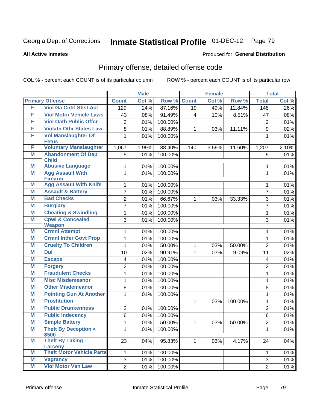Produced for **General Distribution**

#### **All Active Inmates**

### Primary offense, detailed offense code

|        |                                                       |                | <b>Male</b> |         |                 | <b>Female</b> |         |                | <b>Total</b> |
|--------|-------------------------------------------------------|----------------|-------------|---------|-----------------|---------------|---------|----------------|--------------|
|        | <b>Primary Offense</b>                                | <b>Count</b>   | Col %       | Row %   | <b>Count</b>    | Col %         | Row %   | <b>Total</b>   | Col %        |
| F      | <b>Viol Ga Cntrl Sbst Act</b>                         | 129            | .24%        | 87.16%  | $\overline{19}$ | .49%          | 12.84%  | 148            | .26%         |
| F      | <b>Viol Motor Vehicle Laws</b>                        | 43             | .08%        | 91.49%  | $\overline{4}$  | .10%          | 8.51%   | 47             | .08%         |
| F      | <b>Viol Oath Public Offcr</b>                         | 2              | .01%        | 100.00% |                 |               |         | $\overline{2}$ | .01%         |
| F      | <b>Violatn Othr States Law</b>                        | 8              | .01%        | 88.89%  | 1               | .03%          | 11.11%  | 9              | .02%         |
| F      | <b>Vol Manslaughter Of</b>                            | 1              | .01%        | 100.00% |                 |               |         | 1              | .01%         |
|        | <b>Fetus</b>                                          |                |             |         |                 |               |         |                |              |
| F      | <b>Voluntary Manslaughter</b>                         | 1,067          | 1.99%       | 88.40%  | 140             | 3.59%         | 11.60%  | 1,207          | 2.10%        |
| M      | <b>Abandonment Of Dep</b><br><b>Child</b>             | 5              | .01%        | 100.00% |                 |               |         | 5              | .01%         |
| М      | <b>Abusive Language</b>                               | 1              | .01%        | 100.00% |                 |               |         | 1              | .01%         |
| M      | <b>Agg Assault With</b>                               | 1              | .01%        | 100.00% |                 |               |         | $\mathbf{1}$   | .01%         |
|        | <b>Firearm</b>                                        |                |             |         |                 |               |         |                |              |
| Μ      | <b>Agg Assault With Knife</b>                         | 1              | .01%        | 100.00% |                 |               |         | 1              | .01%         |
| M      | <b>Assault &amp; Battery</b>                          | 7              | .01%        | 100.00% |                 |               |         | $\overline{7}$ | .01%         |
| M      | <b>Bad Checks</b>                                     | $\overline{2}$ | .01%        | 66.67%  | 1               | .03%          | 33.33%  | 3              | .01%         |
| Μ      | <b>Burglary</b>                                       | $\overline{7}$ | .01%        | 100.00% |                 |               |         | $\overline{7}$ | .01%         |
| M      | <b>Cheating &amp; Swindling</b>                       | 1              | .01%        | 100.00% |                 |               |         | 1              | .01%         |
| M      | <b>Cpwl &amp; Concealed</b>                           | 3              | .01%        | 100.00% |                 |               |         | 3              | .01%         |
|        | <b>Weapon</b>                                         |                |             |         |                 |               |         |                |              |
| Μ<br>M | <b>Crmnl Attempt</b><br><b>Crmnl Intfer Govt Prop</b> | 1              | .01%        | 100.00% |                 |               |         | 1              | .01%         |
|        | <b>Cruelty To Children</b>                            | 1              | .01%        | 100.00% |                 |               |         | 1              | .01%         |
| Μ<br>M | <b>Dui</b>                                            | 1              | .01%        | 50.00%  | 1               | .03%          | 50.00%  | $\overline{2}$ | .01%         |
|        |                                                       | 10             | .02%        | 90.91%  | 1               | .03%          | 9.09%   | 11             | .02%         |
| Μ      | <b>Escape</b>                                         | 4              | .01%        | 100.00% |                 |               |         | 4              | .01%         |
| M      | <b>Forgery</b>                                        | 2              | .01%        | 100.00% |                 |               |         | $\overline{2}$ | .01%         |
| M      | <b>Fraudulent Checks</b>                              | 1              | .01%        | 100.00% |                 |               |         | $\mathbf{1}$   | .01%         |
| M      | <b>Misc Misdemeanor</b>                               | 1              | .01%        | 100.00% |                 |               |         | 1              | .01%         |
| Μ      | <b>Other Misdemeanor</b>                              | 8              | .01%        | 100.00% |                 |               |         | 8              | .01%         |
| M      | <b>Pointing Gun At Another</b>                        | 1              | .01%        | 100.00% |                 |               |         | 1              | .01%         |
| M      | <b>Prostitution</b>                                   |                |             |         | 1               | .03%          | 100.00% | 1              | .01%         |
| M      | <b>Public Drunkenness</b>                             | $\overline{2}$ | .01%        | 100.00% |                 |               |         | $\overline{2}$ | .01%         |
| Μ      | <b>Public Indecency</b>                               | 6              | .01%        | 100.00% |                 |               |         | 6              | .01%         |
| M      | <b>Simple Battery</b>                                 | $\mathbf{1}$   | .01%        | 50.00%  | $\mathbf 1$     | .03%          | 50.00%  | $\overline{c}$ | .01%         |
| M      | <b>Theft By Deception &lt;</b><br>\$500               | 1.             | .01%        | 100.00% |                 |               |         | 1              | .01%         |
| M      | <b>Theft By Taking -</b>                              | 23             | .04%        | 95.83%  | $\mathbf{1}$    | .03%          | 4.17%   | 24             | .04%         |
|        | Larceny                                               |                |             |         |                 |               |         |                |              |
| Μ      | <b>Theft Motor Vehicle, Parts</b>                     | 1              | .01%        | 100.00% |                 |               |         | 1              | .01%         |
| M      | <b>Vagrancy</b>                                       | 3              | .01%        | 100.00% |                 |               |         | 3              | .01%         |
| M      | <b>Viol Motor Veh Law</b>                             | $\overline{2}$ | .01%        | 100.00% |                 |               |         | $\overline{2}$ | .01%         |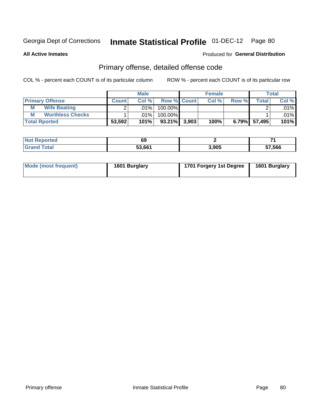**All Active Inmates**

### Produced for **General Distribution**

### Primary offense, detailed offense code

|                              |              | <b>Male</b> |                    |       | <b>Female</b> |          |        | Total                  |  |
|------------------------------|--------------|-------------|--------------------|-------|---------------|----------|--------|------------------------|--|
| <b>Primary Offense</b>       | <b>Count</b> | Col %       | <b>Row % Count</b> |       | Col %         | Row %    | Total  | Col %                  |  |
| <b>Wife Beating</b><br>М     |              | $.01\%$     | 100.00%            |       |               |          |        | $.01\%$ $\blacksquare$ |  |
| <b>Worthless Checks</b><br>M |              | .01%        | $100.00\%$         |       |               |          |        | $.01\%$ $\blacksquare$ |  |
| <b>Total Rported</b>         | 53,592       | 101%        | $93.21\%$          | 3,903 | 100%          | $6.79\%$ | 57,495 | 101%                   |  |

| еα  | 69     |       |        |
|-----|--------|-------|--------|
| ιαι | 53.661 | 3,905 | 57,566 |

| Mode (most frequent) | 1601 Burglary | 1701 Forgery 1st Degree | 1601 Burglary |
|----------------------|---------------|-------------------------|---------------|
|----------------------|---------------|-------------------------|---------------|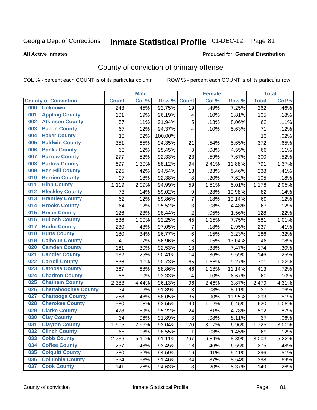#### **All Active Inmates**

#### Produced for **General Distribution**

### County of conviction of primary offense

|     |                             |              | <b>Male</b> |         |                  | <b>Female</b> |        |                  | <b>Total</b> |
|-----|-----------------------------|--------------|-------------|---------|------------------|---------------|--------|------------------|--------------|
|     | <b>County of Conviction</b> | <b>Count</b> | Col %       | Row %   | <b>Count</b>     | Col %         | Row %  | <b>Total</b>     | Col %        |
| 000 | <b>Unknown</b>              | 243          | .45%        | 92.75%  | 19               | .49%          | 7.25%  | $\overline{262}$ | .46%         |
| 001 | <b>Appling County</b>       | 101          | .19%        | 96.19%  | 4                | .10%          | 3.81%  | 105              | .18%         |
| 002 | <b>Atkinson County</b>      | 57           | .11%        | 91.94%  | 5                | .13%          | 8.06%  | 62               | .11%         |
| 003 | <b>Bacon County</b>         | 67           | .12%        | 94.37%  | 4                | .10%          | 5.63%  | 71               | .12%         |
| 004 | <b>Baker County</b>         | 13           | .02%        | 100.00% |                  |               |        | 13               | .02%         |
| 005 | <b>Baldwin County</b>       | 351          | .65%        | 94.35%  | 21               | .54%          | 5.65%  | 372              | .65%         |
| 006 | <b>Banks County</b>         | 63           | .12%        | 95.45%  | 3                | .08%          | 4.55%  | 66               | .11%         |
| 007 | <b>Barrow County</b>        | 277          | .52%        | 92.33%  | 23               | .59%          | 7.67%  | 300              | .52%         |
| 008 | <b>Bartow County</b>        | 697          | 1.30%       | 88.12%  | 94               | 2.41%         | 11.88% | 791              | 1.37%        |
| 009 | <b>Ben Hill County</b>      | 225          | .42%        | 94.54%  | 13               | .33%          | 5.46%  | 238              | .41%         |
| 010 | <b>Berrien County</b>       | 97           | .18%        | 92.38%  | 8                | .20%          | 7.62%  | 105              | .18%         |
| 011 | <b>Bibb County</b>          | 1,119        | 2.09%       | 94.99%  | 59               | 1.51%         | 5.01%  | 1,178            | 2.05%        |
| 012 | <b>Bleckley County</b>      | 73           | .14%        | 89.02%  | $\boldsymbol{9}$ | .23%          | 10.98% | 82               | .14%         |
| 013 | <b>Brantley County</b>      | 62           | .12%        | 89.86%  | $\overline{7}$   | .18%          | 10.14% | 69               | .12%         |
| 014 | <b>Brooks County</b>        | 64           | .12%        | 95.52%  | 3                | .08%          | 4.48%  | 67               | .12%         |
| 015 | <b>Bryan County</b>         | 126          | .23%        | 98.44%  | $\overline{2}$   | .05%          | 1.56%  | 128              | .22%         |
| 016 | <b>Bulloch County</b>       | 536          | 1.00%       | 92.25%  | 45               | 1.15%         | 7.75%  | 581              | 1.01%        |
| 017 | <b>Burke County</b>         | 230          | .43%        | 97.05%  | 7                | .18%          | 2.95%  | 237              | .41%         |
| 018 | <b>Butts County</b>         | 180          | .34%        | 96.77%  | 6                | .15%          | 3.23%  | 186              | .32%         |
| 019 | <b>Calhoun County</b>       | 40           | .07%        | 86.96%  | 6                | .15%          | 13.04% | 46               | .08%         |
| 020 | <b>Camden County</b>        | 161          | .30%        | 92.53%  | 13               | .33%          | 7.47%  | 174              | .30%         |
| 021 | <b>Candler County</b>       | 132          | .25%        | 90.41%  | 14               | .36%          | 9.59%  | 146              | .25%         |
| 022 | <b>Carroll County</b>       | 636          | 1.19%       | 90.73%  | 65               | 1.66%         | 9.27%  | 701              | 1.22%        |
| 023 | <b>Catoosa County</b>       | 367          | .68%        | 88.86%  | 46               | 1.18%         | 11.14% | 413              | .72%         |
| 024 | <b>Charlton County</b>      | 56           | .10%        | 93.33%  | 4                | .10%          | 6.67%  | 60               | .10%         |
| 025 | <b>Chatham County</b>       | 2,383        | 4.44%       | 96.13%  | 96               | 2.46%         | 3.87%  | 2,479            | 4.31%        |
| 026 | <b>Chattahoochee County</b> | 34           | .06%        | 91.89%  | 3                | .08%          | 8.11%  | 37               | .06%         |
| 027 | <b>Chattooga County</b>     | 258          | .48%        | 88.05%  | 35               | .90%          | 11.95% | 293              | .51%         |
| 028 | <b>Cherokee County</b>      | 580          | 1.08%       | 93.55%  | 40               | 1.02%         | 6.45%  | 620              | 1.08%        |
| 029 | <b>Clarke County</b>        | 478          | .89%        | 95.22%  | 24               | .61%          | 4.78%  | 502              | .87%         |
| 030 | <b>Clay County</b>          | 34           | .06%        | 91.89%  | 3                | .08%          | 8.11%  | 37               | .06%         |
| 031 | <b>Clayton County</b>       | 1,605        | 2.99%       | 93.04%  | 120              | 3.07%         | 6.96%  | 1,725            | 3.00%        |
| 032 | <b>Clinch County</b>        | 68           | .13%        | 98.55%  | 1                | .03%          | 1.45%  | 69               | .12%         |
| 033 | <b>Cobb County</b>          | 2,736        | 5.10%       | 91.11%  | 267              | 6.84%         | 8.89%  | 3,003            | 5.22%        |
| 034 | <b>Coffee County</b>        | 257          | .48%        | 93.45%  | 18               | .46%          | 6.55%  | 275              | .48%         |
| 035 | <b>Colquitt County</b>      | 280          | .52%        | 94.59%  | 16               | .41%          | 5.41%  | 296              | .51%         |
| 036 | <b>Columbia County</b>      | 364          | .68%        | 91.46%  | 34               | .87%          | 8.54%  | 398              | .69%         |
| 037 | <b>Cook County</b>          | 141          | .26%        | 94.63%  | 8                | .20%          | 5.37%  | 149              | .26%         |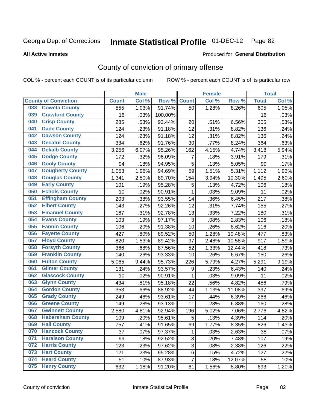**All Active Inmates**

#### Produced for **General Distribution**

### County of conviction of primary offense

|     |                             |              | <b>Male</b> |         |                | <b>Female</b> |        |              | <b>Total</b> |
|-----|-----------------------------|--------------|-------------|---------|----------------|---------------|--------|--------------|--------------|
|     | <b>County of Conviction</b> | <b>Count</b> | Col %       | Row %   | <b>Count</b>   | Col %         | Row %  | <b>Total</b> | Col %        |
| 038 | <b>Coweta County</b>        | 555          | 1.03%       | 91.74%  | 50             | 1.28%         | 8.26%  | 605          | 1.05%        |
| 039 | <b>Crawford County</b>      | 16           | .03%        | 100.00% |                |               |        | 16           | .03%         |
| 040 | <b>Crisp County</b>         | 285          | .53%        | 93.44%  | 20             | .51%          | 6.56%  | 305          | .53%         |
| 041 | <b>Dade County</b>          | 124          | .23%        | 91.18%  | 12             | .31%          | 8.82%  | 136          | .24%         |
| 042 | <b>Dawson County</b>        | 124          | .23%        | 91.18%  | 12             | .31%          | 8.82%  | 136          | .24%         |
| 043 | <b>Decatur County</b>       | 334          | .62%        | 91.76%  | 30             | .77%          | 8.24%  | 364          | .63%         |
| 044 | <b>Dekalb County</b>        | 3,256        | 6.07%       | 95.26%  | 162            | 4.15%         | 4.74%  | 3,418        | 5.94%        |
| 045 | <b>Dodge County</b>         | 172          | .32%        | 96.09%  | $\overline{7}$ | .18%          | 3.91%  | 179          | .31%         |
| 046 | <b>Dooly County</b>         | 94           | .18%        | 94.95%  | 5              | .13%          | 5.05%  | 99           | .17%         |
| 047 | <b>Dougherty County</b>     | 1,053        | 1.96%       | 94.69%  | 59             | 1.51%         | 5.31%  | 1,112        | 1.93%        |
| 048 | <b>Douglas County</b>       | 1,341        | 2.50%       | 89.70%  | 154            | 3.94%         | 10.30% | 1,495        | 2.60%        |
| 049 | <b>Early County</b>         | 101          | .19%        | 95.28%  | 5              | .13%          | 4.72%  | 106          | .18%         |
| 050 | <b>Echols County</b>        | 10           | .02%        | 90.91%  | $\mathbf{1}$   | .03%          | 9.09%  | 11           | .02%         |
| 051 | <b>Effingham County</b>     | 203          | .38%        | 93.55%  | 14             | .36%          | 6.45%  | 217          | .38%         |
| 052 | <b>Elbert County</b>        | 143          | .27%        | 92.26%  | 12             | .31%          | 7.74%  | 155          | .27%         |
| 053 | <b>Emanuel County</b>       | 167          | .31%        | 92.78%  | 13             | .33%          | 7.22%  | 180          | .31%         |
| 054 | <b>Evans County</b>         | 103          | .19%        | 97.17%  | 3              | .08%          | 2.83%  | 106          | .18%         |
| 055 | <b>Fannin County</b>        | 106          | .20%        | 91.38%  | 10             | .26%          | 8.62%  | 116          | .20%         |
| 056 | <b>Fayette County</b>       | 427          | .80%        | 89.52%  | 50             | 1.28%         | 10.48% | 477          | .83%         |
| 057 | <b>Floyd County</b>         | 820          | 1.53%       | 89.42%  | 97             | 2.48%         | 10.58% | 917          | 1.59%        |
| 058 | <b>Forsyth County</b>       | 366          | .68%        | 87.56%  | 52             | 1.33%         | 12.44% | 418          | .73%         |
| 059 | <b>Franklin County</b>      | 140          | .26%        | 93.33%  | 10             | .26%          | 6.67%  | 150          | .26%         |
| 060 | <b>Fulton County</b>        | 5,065        | 9.44%       | 95.73%  | 226            | 5.79%         | 4.27%  | 5,291        | 9.19%        |
| 061 | <b>Gilmer County</b>        | 131          | .24%        | 93.57%  | 9              | .23%          | 6.43%  | 140          | .24%         |
| 062 | <b>Glascock County</b>      | 10           | .02%        | 90.91%  | $\mathbf{1}$   | .03%          | 9.09%  | 11           | .02%         |
| 063 | <b>Glynn County</b>         | 434          | .81%        | 95.18%  | 22             | .56%          | 4.82%  | 456          | .79%         |
| 064 | <b>Gordon County</b>        | 353          | .66%        | 88.92%  | 44             | 1.13%         | 11.08% | 397          | .69%         |
| 065 | <b>Grady County</b>         | 249          | .46%        | 93.61%  | 17             | .44%          | 6.39%  | 266          | .46%         |
| 066 | <b>Greene County</b>        | 149          | .28%        | 93.13%  | 11             | .28%          | 6.88%  | 160          | .28%         |
| 067 | <b>Gwinnett County</b>      | 2,580        | 4.81%       | 92.94%  | 196            | 5.02%         | 7.06%  | 2,776        | 4.82%        |
| 068 | <b>Habersham County</b>     | 109          | .20%        | 95.61%  | 5              | .13%          | 4.39%  | 114          | .20%         |
| 069 | <b>Hall County</b>          | 757          | 1.41%       | 91.65%  | 69             | 1.77%         | 8.35%  | 826          | 1.43%        |
| 070 | <b>Hancock County</b>       | 37           | .07%        | 97.37%  | 1              | .03%          | 2.63%  | 38           | .07%         |
| 071 | <b>Haralson County</b>      | 99           | .18%        | 92.52%  | 8              | .20%          | 7.48%  | 107          | .19%         |
| 072 | <b>Harris County</b>        | 123          | .23%        | 97.62%  | $\mathfrak{S}$ | .08%          | 2.38%  | 126          | .22%         |
| 073 | <b>Hart County</b>          | 121          | .23%        | 95.28%  | 6              | .15%          | 4.72%  | 127          | .22%         |
| 074 | <b>Heard County</b>         | 51           | .10%        | 87.93%  | $\overline{7}$ | .18%          | 12.07% | 58           | .10%         |
| 075 | <b>Henry County</b>         | 632          | 1.18%       | 91.20%  | 61             | 1.56%         | 8.80%  | 693          | 1.20%        |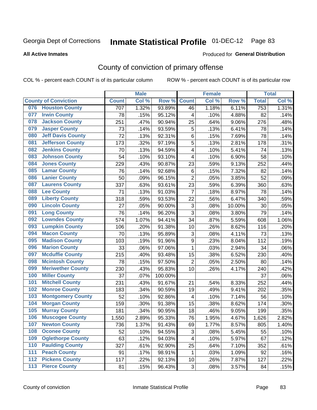#### **All Active Inmates**

#### Produced for **General Distribution**

### County of conviction of primary offense

|                  |                             |              | <b>Male</b> |         |                           | <b>Female</b> |        |              | <b>Total</b> |
|------------------|-----------------------------|--------------|-------------|---------|---------------------------|---------------|--------|--------------|--------------|
|                  | <b>County of Conviction</b> | <b>Count</b> | Col %       | Row %   | <b>Count</b>              | Col %         | Row %  | <b>Total</b> | Col %        |
|                  | 076 Houston County          | 707          | 1.32%       | 93.89%  | 46                        | 1.18%         | 6.11%  | 753          | 1.31%        |
| 077              | <b>Irwin County</b>         | 78           | .15%        | 95.12%  | 4                         | .10%          | 4.88%  | 82           | .14%         |
| 078              | <b>Jackson County</b>       | 251          | .47%        | 90.94%  | 25                        | .64%          | 9.06%  | 276          | .48%         |
| 079              | <b>Jasper County</b>        | 73           | .14%        | 93.59%  | 5                         | .13%          | 6.41%  | 78           | .14%         |
| 080              | <b>Jeff Davis County</b>    | 72           | .13%        | 92.31%  | 6                         | .15%          | 7.69%  | 78           | .14%         |
| 081              | <b>Jefferson County</b>     | 173          | .32%        | 97.19%  | 5                         | .13%          | 2.81%  | 178          | .31%         |
| 082              | <b>Jenkins County</b>       | 70           | .13%        | 94.59%  | 4                         | .10%          | 5.41%  | 74           | .13%         |
| 083              | <b>Johnson County</b>       | 54           | .10%        | 93.10%  | 4                         | .10%          | 6.90%  | 58           | .10%         |
| 084              | <b>Jones County</b>         | 229          | .43%        | 90.87%  | 23                        | .59%          | 9.13%  | 252          | .44%         |
| 085              | <b>Lamar County</b>         | 76           | .14%        | 92.68%  | $\,6$                     | .15%          | 7.32%  | 82           | .14%         |
| 086              | <b>Lanier County</b>        | 50           | .09%        | 96.15%  | $\overline{2}$            | .05%          | 3.85%  | 52           | .09%         |
| 087              | <b>Laurens County</b>       | 337          | .63%        | 93.61%  | 23                        | .59%          | 6.39%  | 360          | .63%         |
| 088              | <b>Lee County</b>           | 71           | .13%        | 91.03%  | $\overline{7}$            | .18%          | 8.97%  | 78           | .14%         |
| 089              | <b>Liberty County</b>       | 318          | .59%        | 93.53%  | 22                        | .56%          | 6.47%  | 340          | .59%         |
| 090              | <b>Lincoln County</b>       | 27           | .05%        | 90.00%  | $\ensuremath{\mathsf{3}}$ | .08%          | 10.00% | 30           | .05%         |
| 091              | <b>Long County</b>          | 76           | .14%        | 96.20%  | 3                         | .08%          | 3.80%  | 79           | .14%         |
| 092              | <b>Lowndes County</b>       | 574          | 1.07%       | 94.41%  | 34                        | .87%          | 5.59%  | 608          | 1.06%        |
| 093              | <b>Lumpkin County</b>       | 106          | .20%        | 91.38%  | 10                        | .26%          | 8.62%  | 116          | .20%         |
| 094              | <b>Macon County</b>         | 70           | .13%        | 95.89%  | 3                         | .08%          | 4.11%  | 73           | .13%         |
| 095              | <b>Madison County</b>       | 103          | .19%        | 91.96%  | $\boldsymbol{9}$          | .23%          | 8.04%  | 112          | .19%         |
| 096              | <b>Marion County</b>        | 33           | .06%        | 97.06%  | $\mathbf{1}$              | .03%          | 2.94%  | 34           | .06%         |
| 097              | <b>Mcduffie County</b>      | 215          | .40%        | 93.48%  | 15                        | .38%          | 6.52%  | 230          | .40%         |
| 098              | <b>Mcintosh County</b>      | 78           | .15%        | 97.50%  | $\overline{2}$            | .05%          | 2.50%  | 80           | .14%         |
| 099              | <b>Meriwether County</b>    | 230          | .43%        | 95.83%  | 10                        | .26%          | 4.17%  | 240          | .42%         |
| 100              | <b>Miller County</b>        | 37           | .07%        | 100.00% |                           |               |        | 37           | .06%         |
| 101              | <b>Mitchell County</b>      | 231          | .43%        | 91.67%  | 21                        | .54%          | 8.33%  | 252          | .44%         |
| 102              | <b>Monroe County</b>        | 183          | .34%        | 90.59%  | 19                        | .49%          | 9.41%  | 202          | .35%         |
| 103              | <b>Montgomery County</b>    | 52           | .10%        | 92.86%  | $\overline{\mathbf{4}}$   | .10%          | 7.14%  | 56           | .10%         |
| 104              | <b>Morgan County</b>        | 159          | .30%        | 91.38%  | 15                        | .38%          | 8.62%  | 174          | .30%         |
| 105              | <b>Murray County</b>        | 181          | .34%        | 90.95%  | 18                        | .46%          | 9.05%  | 199          | .35%         |
| 106              | <b>Muscogee County</b>      | 1,550        | 2.89%       | 95.33%  | 76                        | 1.95%         | 4.67%  | 1,626        | 2.82%        |
| 107              | <b>Newton County</b>        | 736          | 1.37%       | 91.43%  | 69                        | 1.77%         | 8.57%  | 805          | 1.40%        |
| 108              | <b>Oconee County</b>        | 52           | .10%        | 94.55%  | 3                         | .08%          | 5.45%  | 55           | .10%         |
| 109              | <b>Oglethorpe County</b>    | 63           | .12%        | 94.03%  | 4                         | .10%          | 5.97%  | 67           | .12%         |
| 110              | <b>Paulding County</b>      | 327          | .61%        | 92.90%  | 25                        | .64%          | 7.10%  | 352          | .61%         |
| 111              | <b>Peach County</b>         | 91           | .17%        | 98.91%  | $\mathbf 1$               | .03%          | 1.09%  | 92           | .16%         |
| $\overline{112}$ | <b>Pickens County</b>       | 117          | .22%        | 92.13%  | 10                        | .26%          | 7.87%  | 127          | .22%         |
| 113              | <b>Pierce County</b>        | 81           | .15%        | 96.43%  | 3                         | .08%          | 3.57%  | 84           | .15%         |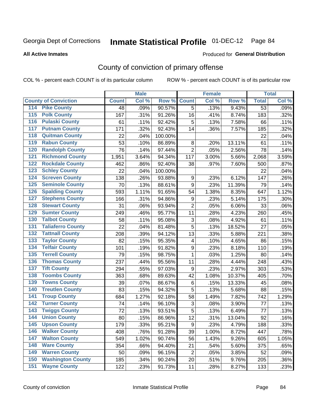#### **All Active Inmates**

#### Produced for **General Distribution**

### County of conviction of primary offense

|                                        |              | <b>Male</b> |         |                  | <b>Female</b> |        |                 | <b>Total</b> |
|----------------------------------------|--------------|-------------|---------|------------------|---------------|--------|-----------------|--------------|
| <b>County of Conviction</b>            | <b>Count</b> | Col %       | Row %   | <b>Count</b>     | Col %         | Row %  | <b>Total</b>    | Col %        |
| <b>Pike County</b><br>114              | 48           | .09%        | 90.57%  | $\overline{5}$   | .13%          | 9.43%  | $\overline{53}$ | .09%         |
| <b>Polk County</b><br>$\overline{115}$ | 167          | .31%        | 91.26%  | 16               | .41%          | 8.74%  | 183             | .32%         |
| <b>Pulaski County</b><br>116           | 61           | .11%        | 92.42%  | 5                | .13%          | 7.58%  | 66              | .11%         |
| <b>Putnam County</b><br>117            | 171          | .32%        | 92.43%  | 14               | .36%          | 7.57%  | 185             | .32%         |
| 118<br><b>Quitman County</b>           | 22           | .04%        | 100.00% |                  |               |        | 22              | .04%         |
| <b>Rabun County</b><br>119             | 53           | .10%        | 86.89%  | $\,8\,$          | .20%          | 13.11% | 61              | .11%         |
| <b>Randolph County</b><br>120          | 76           | .14%        | 97.44%  | $\overline{2}$   | .05%          | 2.56%  | 78              | .14%         |
| <b>Richmond County</b><br>121          | 1,951        | 3.64%       | 94.34%  | 117              | 3.00%         | 5.66%  | 2,068           | 3.59%        |
| <b>Rockdale County</b><br>122          | 462          | .86%        | 92.40%  | 38               | .97%          | 7.60%  | 500             | .87%         |
| <b>Schley County</b><br>123            | 22           | .04%        | 100.00% |                  |               |        | 22              | .04%         |
| <b>Screven County</b><br>124           | 138          | .26%        | 93.88%  | 9                | .23%          | 6.12%  | 147             | .26%         |
| <b>Seminole County</b><br>125          | 70           | .13%        | 88.61%  | 9                | .23%          | 11.39% | 79              | .14%         |
| 126<br><b>Spalding County</b>          | 593          | 1.11%       | 91.65%  | 54               | 1.38%         | 8.35%  | 647             | 1.12%        |
| 127<br><b>Stephens County</b>          | 166          | .31%        | 94.86%  | $\boldsymbol{9}$ | .23%          | 5.14%  | 175             | .30%         |
| <b>Stewart County</b><br>128           | 31           | .06%        | 93.94%  | $\overline{2}$   | .05%          | 6.06%  | 33              | .06%         |
| <b>Sumter County</b><br>129            | 249          | .46%        | 95.77%  | 11               | .28%          | 4.23%  | 260             | .45%         |
| <b>Talbot County</b><br>130            | 58           | .11%        | 95.08%  | 3                | .08%          | 4.92%  | 61              | .11%         |
| <b>Taliaferro County</b><br>131        | 22           | .04%        | 81.48%  | 5                | .13%          | 18.52% | 27              | .05%         |
| <b>Tattnall County</b><br>132          | 208          | .39%        | 94.12%  | 13               | .33%          | 5.88%  | 221             | .38%         |
| <b>Taylor County</b><br>133            | 82           | .15%        | 95.35%  | 4                | .10%          | 4.65%  | 86              | .15%         |
| <b>Telfair County</b><br>134           | 101          | .19%        | 91.82%  | 9                | .23%          | 8.18%  | 110             | .19%         |
| <b>Terrell County</b><br>135           | 79           | .15%        | 98.75%  | $\mathbf{1}$     | .03%          | 1.25%  | 80              | .14%         |
| <b>Thomas County</b><br>136            | 237          | .44%        | 95.56%  | 11               | .28%          | 4.44%  | 248             | .43%         |
| <b>Tift County</b><br>137              | 294          | .55%        | 97.03%  | $\boldsymbol{9}$ | .23%          | 2.97%  | 303             | .53%         |
| <b>Toombs County</b><br>138            | 363          | .68%        | 89.63%  | 42               | 1.08%         | 10.37% | 405             | .70%         |
| <b>Towns County</b><br>139             | 39           | .07%        | 86.67%  | $\,6$            | .15%          | 13.33% | 45              | .08%         |
| <b>Treutlen County</b><br>140          | 83           | .15%        | 94.32%  | 5                | .13%          | 5.68%  | 88              | .15%         |
| <b>Troup County</b><br>141             | 684          | 1.27%       | 92.18%  | 58               | 1.49%         | 7.82%  | 742             | 1.29%        |
| <b>Turner County</b><br>142            | 74           | .14%        | 96.10%  | 3                | .08%          | 3.90%  | 77              | .13%         |
| <b>Twiggs County</b><br>143            | 72           | .13%        | 93.51%  | 5                | .13%          | 6.49%  | 77              | .13%         |
| <b>Union County</b><br>144             | 80           | .15%        | 86.96%  | 12               | .31%          | 13.04% | 92              | .16%         |
| 145<br><b>Upson County</b>             | 179          | .33%        | 95.21%  | 9                | .23%          | 4.79%  | 188             | .33%         |
| <b>Walker County</b><br>146            | 408          | .76%        | 91.28%  | 39               | 1.00%         | 8.72%  | 447             | .78%         |
| <b>Walton County</b><br>147            | 549          | 1.02%       | 90.74%  | 56               | 1.43%         | 9.26%  | 605             | 1.05%        |
| <b>Ware County</b><br>148              | 354          | .66%        | 94.40%  | 21               | .54%          | 5.60%  | 375             | .65%         |
| <b>Warren County</b><br>149            | 50           | .09%        | 96.15%  | $\overline{2}$   | .05%          | 3.85%  | 52              | .09%         |
| <b>Washington County</b><br>150        | 185          | .34%        | 90.24%  | 20               | .51%          | 9.76%  | 205             | .36%         |
| <b>Wayne County</b><br>151             | 122          | .23%        | 91.73%  | 11               | .28%          | 8.27%  | 133             | .23%         |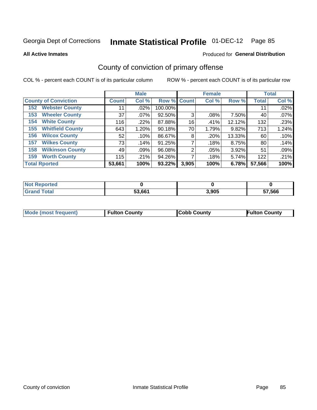**All Active Inmates**

#### Produced for **General Distribution**

### County of conviction of primary offense

|                                |              | <b>Male</b> |             |       | <b>Female</b> |        |              | <b>Total</b> |
|--------------------------------|--------------|-------------|-------------|-------|---------------|--------|--------------|--------------|
| <b>County of Conviction</b>    | <b>Count</b> | Col %       | Row % Count |       | Col %         | Row %  | <b>Total</b> | Col %        |
| <b>Webster County</b><br>152   | 11           | .02%        | 100.00%     |       |               |        | 11           | .02%         |
| <b>Wheeler County</b><br>153   | 37           | $.07\%$     | 92.50%      | 3     | .08%          | 7.50%  | 40           | .07%         |
| <b>White County</b><br>154     | 116          | .22%        | 87.88%      | 16    | .41%          | 12.12% | 132          | .23%         |
| <b>Whitfield County</b><br>155 | 643          | 1.20%       | 90.18%      | 70    | 1.79%         | 9.82%  | 713          | 1.24%        |
| <b>Wilcox County</b><br>156    | 52           | .10%        | 86.67%      | 8     | .20%          | 13.33% | 60           | .10%         |
| <b>Wilkes County</b><br>157    | 73           | .14%        | 91.25%      |       | .18%          | 8.75%  | 80           | .14%         |
| <b>Wilkinson County</b><br>158 | 49           | .09%        | 96.08%      | 2     | .05%          | 3.92%  | 51           | .09%         |
| <b>Worth County</b><br>159     | 115          | .21%        | 94.26%      |       | .18%          | 5.74%  | 122          | .21%         |
| <b>Total Rported</b>           | 53,661       | 100%        | 93.22%      | 3,905 | 100%          | 6.78%  | 57,566       | 100%         |

| <b>Not Reported</b> |        |       |        |
|---------------------|--------|-------|--------|
| <b>Grand Total</b>  | 53,661 | 3,905 | 57,566 |

| Mode (most frequent) | <b>Fulton County</b> | <b>Cobb County</b> | <b>Fulton County</b> |
|----------------------|----------------------|--------------------|----------------------|
|                      |                      |                    |                      |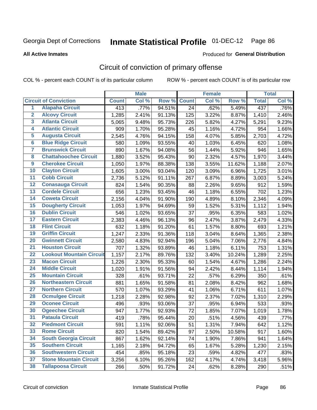#### **All Active Inmates**

#### Produced for **General Distribution**

### Circuit of conviction of primary offense

|                         |                                 |              | <b>Male</b> |        |              | <b>Female</b> |        |                    | <b>Total</b> |
|-------------------------|---------------------------------|--------------|-------------|--------|--------------|---------------|--------|--------------------|--------------|
|                         | <b>Circuit of Conviction</b>    | <b>Count</b> | Col %       | Row %  | <b>Count</b> | Col %         | Row %  | <b>Total</b>       | Col %        |
| $\overline{1}$          | <b>Alapaha Circuit</b>          | 413          | .77%        | 94.51% | 24           | .62%          | 5.49%  | 437                | .76%         |
| $\overline{2}$          | <b>Alcovy Circuit</b>           | 1,285        | 2.41%       | 91.13% | 125          | 3.22%         | 8.87%  | $\overline{1,}410$ | 2.46%        |
| 3                       | <b>Atlanta Circuit</b>          | 5,065        | 9.48%       | 95.73% | 226          | 5.82%         | 4.27%  | 5,291              | 9.23%        |
| 4                       | <b>Atlantic Circuit</b>         | 909          | 1.70%       | 95.28% | 45           | 1.16%         | 4.72%  | 954                | 1.66%        |
| 5                       | <b>Augusta Circuit</b>          | 2,545        | 4.76%       | 94.15% | 158          | 4.07%         | 5.85%  | 2,703              | 4.72%        |
| $6\overline{6}$         | <b>Blue Ridge Circuit</b>       | 580          | 1.09%       | 93.55% | 40           | 1.03%         | 6.45%  | 620                | 1.08%        |
| $\overline{\mathbf{7}}$ | <b>Brunswick Circuit</b>        | 890          | 1.67%       | 94.08% | 56           | 1.44%         | 5.92%  | 946                | 1.65%        |
| 8                       | <b>Chattahoochee Circuit</b>    | 1,880        | 3.52%       | 95.43% | 90           | 2.32%         | 4.57%  | 1,970              | 3.44%        |
| $\overline{9}$          | <b>Cherokee Circuit</b>         | 1,050        | 1.97%       | 88.38% | 138          | 3.55%         | 11.62% | 1,188              | 2.07%        |
| 10                      | <b>Clayton Circuit</b>          | 1,605        | 3.00%       | 93.04% | 120          | 3.09%         | 6.96%  | 1,725              | 3.01%        |
| 11                      | <b>Cobb Circuit</b>             | 2,736        | 5.12%       | 91.11% | 267          | 6.87%         | 8.89%  | 3,003              | 5.24%        |
| 12                      | <b>Conasauga Circuit</b>        | 824          | 1.54%       | 90.35% | 88           | 2.26%         | 9.65%  | 912                | 1.59%        |
| 13                      | <b>Cordele Circuit</b>          | 656          | 1.23%       | 93.45% | 46           | 1.18%         | 6.55%  | 702                | 1.23%        |
| 14                      | <b>Coweta Circuit</b>           | 2,156        | 4.04%       | 91.90% | 190          | 4.89%         | 8.10%  | 2,346              | 4.09%        |
| 15                      | <b>Dougherty Circuit</b>        | 1,053        | 1.97%       | 94.69% | 59           | 1.52%         | 5.31%  | 1,112              | 1.94%        |
| 16                      | <b>Dublin Circuit</b>           | 546          | 1.02%       | 93.65% | 37           | .95%          | 6.35%  | 583                | 1.02%        |
| 17                      | <b>Eastern Circuit</b>          | 2,383        | 4.46%       | 96.13% | 96           | 2.47%         | 3.87%  | 2,479              | 4.33%        |
| 18                      | <b>Flint Circuit</b>            | 632          | 1.18%       | 91.20% | 61           | 1.57%         | 8.80%  | 693                | 1.21%        |
| 19                      | <b>Griffin Circuit</b>          | 1,247        | 2.33%       | 91.36% | 118          | 3.04%         | 8.64%  | 1,365              | 2.38%        |
| 20                      | <b>Gwinnett Circuit</b>         | 2,580        | 4.83%       | 92.94% | 196          | 5.04%         | 7.06%  | 2,776              | 4.84%        |
| $\overline{21}$         | <b>Houston Circuit</b>          | 707          | 1.32%       | 93.89% | 46           | 1.18%         | 6.11%  | 753                | 1.31%        |
| $\overline{22}$         | <b>Lookout Mountain Circuit</b> | 1,157        | 2.17%       | 89.76% | 132          | 3.40%         | 10.24% | 1,289              | 2.25%        |
| 23                      | <b>Macon Circuit</b>            | 1,226        | 2.30%       | 95.33% | 60           | 1.54%         | 4.67%  | 1,286              | 2.24%        |
| 24                      | <b>Middle Circuit</b>           | 1,020        | 1.91%       | 91.56% | 94           | 2.42%         | 8.44%  | 1,114              | 1.94%        |
| 25                      | <b>Mountain Circuit</b>         | 328          | .61%        | 93.71% | 22           | .57%          | 6.29%  | 350                | .61%         |
| 26                      | <b>Northeastern Circuit</b>     | 881          | 1.65%       | 91.58% | 81           | 2.08%         | 8.42%  | 962                | 1.68%        |
| $\overline{27}$         | <b>Northern Circuit</b>         | 570          | 1.07%       | 93.29% | 41           | 1.06%         | 6.71%  | 611                | 1.07%        |
| 28                      | <b>Ocmulgee Circuit</b>         | 1,218        | 2.28%       | 92.98% | 92           | 2.37%         | 7.02%  | 1,310              | 2.29%        |
| 29                      | <b>Oconee Circuit</b>           | 496          | .93%        | 93.06% | 37           | .95%          | 6.94%  | 533                | .93%         |
| 30                      | <b>Ogeechee Circuit</b>         | 947          | 1.77%       | 92.93% | 72           | 1.85%         | 7.07%  | 1,019              | 1.78%        |
| $\overline{31}$         | <b>Pataula Circuit</b>          | 419          | .78%        | 95.44% | 20           | .51%          | 4.56%  | 439                | .77%         |
| 32                      | <b>Piedmont Circuit</b>         | 591          | 1.11%       | 92.06% | 51           | 1.31%         | 7.94%  | 642                | 1.12%        |
| 33                      | <b>Rome Circuit</b>             | 820          | 1.54%       | 89.42% | 97           | 2.50%         | 10.58% | 917                | 1.60%        |
| 34                      | <b>South Georgia Circuit</b>    | 867          | 1.62%       | 92.14% | 74           | 1.90%         | 7.86%  | 941                | 1.64%        |
| 35                      | <b>Southern Circuit</b>         | 1,165        | 2.18%       | 94.72% | 65           | 1.67%         | 5.28%  | 1,230              | 2.15%        |
| 36                      | <b>Southwestern Circuit</b>     | 454          | .85%        | 95.18% | 23           | .59%          | 4.82%  | 477                | .83%         |
| 37                      | <b>Stone Mountain Circuit</b>   | 3,256        | 6.10%       | 95.26% | 162          | 4.17%         | 4.74%  | 3,418              | 5.96%        |
| 38                      | <b>Tallapoosa Circuit</b>       | 266          | .50%        | 91.72% | 24           | .62%          | 8.28%  | 290                | .51%         |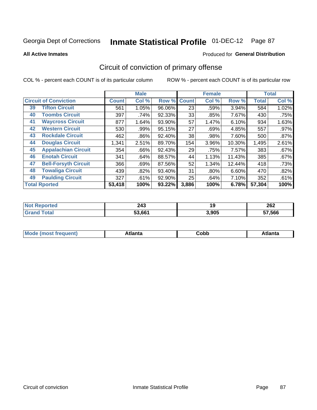**All Active Inmates**

#### Produced for **General Distribution**

### Circuit of conviction of primary offense

|    |                              |              | <b>Male</b> |        |              | <b>Female</b> |        |              | <b>Total</b> |
|----|------------------------------|--------------|-------------|--------|--------------|---------------|--------|--------------|--------------|
|    | <b>Circuit of Conviction</b> | <b>Count</b> | Col %       | Row %  | <b>Count</b> | Col %         | Row %  | <b>Total</b> | Col %        |
| 39 | <b>Tifton Circuit</b>        | 561          | 1.05%       | 96.06% | 23           | .59%          | 3.94%  | 584          | 1.02%        |
| 40 | <b>Toombs Circuit</b>        | 397          | .74%        | 92.33% | 33           | .85%          | 7.67%  | 430          | .75%         |
| 41 | <b>Waycross Circuit</b>      | 877          | 1.64%       | 93.90% | 57           | 1.47%         | 6.10%  | 934          | 1.63%        |
| 42 | <b>Western Circuit</b>       | 530          | .99%        | 95.15% | 27           | .69%          | 4.85%  | 557          | .97%         |
| 43 | <b>Rockdale Circuit</b>      | 462          | .86%        | 92.40% | 38           | .98%          | 7.60%  | 500          | .87%         |
| 44 | <b>Douglas Circuit</b>       | 1,341        | 2.51%       | 89.70% | 154          | 3.96%         | 10.30% | 1,495        | 2.61%        |
| 45 | <b>Appalachian Circuit</b>   | 354          | .66%        | 92.43% | 29           | .75%          | 7.57%  | 383          | .67%         |
| 46 | <b>Enotah Circuit</b>        | 341          | .64%        | 88.57% | 44           | 1.13%         | 11.43% | 385          | .67%         |
| 47 | <b>Bell-Forsyth Circuit</b>  | 366          | .69%        | 87.56% | 52           | 1.34%         | 12.44% | 418          | .73%         |
| 48 | <b>Towaliga Circuit</b>      | 439          | .82%        | 93.40% | 31           | $.80\%$       | 6.60%  | 470          | .82%         |
| 49 | <b>Paulding Circuit</b>      | 327          | .61%        | 92.90% | 25           | .64%          | 7.10%  | 352          | .61%         |
|    | <b>Total Rported</b>         | 53,418       | 100%        | 93.22% | 3,886        | 100%          | 6.78%  | 57,304       | 100%         |

| 243    | ı.    | 262 |
|--------|-------|-----|
| $\sim$ | 13    | $-$ |
| 53.661 | 3,905 |     |

| M | . | -----<br>oг | ----<br>пLс |
|---|---|-------------|-------------|
|   |   | <b>OUNN</b> |             |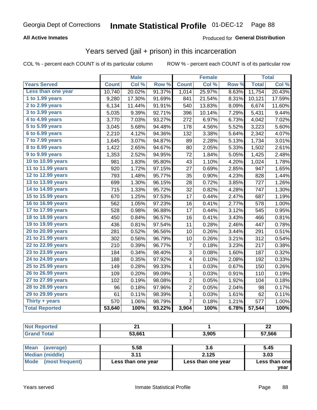### **All Active Inmates**

### Produced for **General Distribution**

### Years served (jail + prison) in this incarceration

|                       |              | <b>Male</b> |        |                         | <b>Female</b> |       |              | <b>Total</b> |
|-----------------------|--------------|-------------|--------|-------------------------|---------------|-------|--------------|--------------|
| <b>Years Served</b>   | <b>Count</b> | Col %       | Row %  | <b>Count</b>            | Col %         | Row % | <b>Total</b> | Col %        |
| Less than one year    | 10,740       | 20.02%      | 91.37% | 1,014                   | 25.97%        | 8.63% | 11,754       | 20.43%       |
| 1 to 1.99 years       | 9,280        | 17.30%      | 91.69% | 841                     | 21.54%        | 8.31% | 10,121       | 17.59%       |
| 2 to 2.99 years       | 6,134        | 11.44%      | 91.91% | 540                     | 13.83%        | 8.09% | 6,674        | 11.60%       |
| 3 to 3.99 years       | 5,035        | 9.39%       | 92.71% | 396                     | 10.14%        | 7.29% | 5,431        | 9.44%        |
| 4 to 4.99 years       | 3,770        | 7.03%       | 93.27% | 272                     | 6.97%         | 6.73% | 4,042        | 7.02%        |
| 5 to 5.99 years       | 3,045        | 5.68%       | 94.48% | 178                     | 4.56%         | 5.52% | 3,223        | 5.60%        |
| 6 to 6.99 years       | 2,210        | 4.12%       | 94.36% | 132                     | 3.38%         | 5.64% | 2,342        | 4.07%        |
| 7 to 7.99 years       | 1,645        | 3.07%       | 94.87% | 89                      | 2.28%         | 5.13% | 1,734        | 3.01%        |
| 8 to 8.99 years       | 1,422        | 2.65%       | 94.67% | 80                      | 2.05%         | 5.33% | 1,502        | 2.61%        |
| 9 to 9.99 years       | 1,353        | 2.52%       | 94.95% | 72                      | 1.84%         | 5.05% | 1,425        | 2.48%        |
| 10 to 10.99 years     | 981          | 1.83%       | 95.80% | 43                      | 1.10%         | 4.20% | 1,024        | 1.78%        |
| 11 to 11.99 years     | 920          | 1.72%       | 97.15% | 27                      | 0.69%         | 2.85% | 947          | 1.65%        |
| 12 to 12.99 years     | 793          | 1.48%       | 95.77% | 35                      | 0.90%         | 4.23% | 828          | 1.44%        |
| 13 to 13.99 years     | 699          | 1.30%       | 96.15% | 28                      | 0.72%         | 3.85% | 727          | 1.26%        |
| 14 to 14.99 years     | 715          | 1.33%       | 95.72% | 32                      | 0.82%         | 4.28% | 747          | 1.30%        |
| 15 to 15.99 years     | 670          | 1.25%       | 97.53% | 17                      | 0.44%         | 2.47% | 687          | 1.19%        |
| 16 to 16.99 years     | 562          | 1.05%       | 97.23% | 16                      | 0.41%         | 2.77% | 578          | 1.00%        |
| 17 to 17.99 years     | 528          | 0.98%       | 96.88% | 17                      | 0.44%         | 3.12% | 545          | 0.95%        |
| 18 to 18.99 years     | 450          | 0.84%       | 96.57% | 16                      | 0.41%         | 3.43% | 466          | 0.81%        |
| 19 to 19.99 years     | 436          | 0.81%       | 97.54% | 11                      | 0.28%         | 2.46% | 447          | 0.78%        |
| 20 to 20.99 years     | 281          | 0.52%       | 96.56% | 10                      | 0.26%         | 3.44% | 291          | 0.51%        |
| 21 to 21.99 years     | 302          | 0.56%       | 96.79% | 10                      | 0.26%         | 3.21% | 312          | 0.54%        |
| 22 to 22.99 years     | 210          | 0.39%       | 96.77% | 7                       | 0.18%         | 3.23% | 217          | 0.38%        |
| 23 to 23.99 years     | 184          | 0.34%       | 98.40% | 3                       | 0.08%         | 1.60% | 187          | 0.32%        |
| 24 to 24.99 years     | 188          | 0.35%       | 97.92% | 4                       | 0.10%         | 2.08% | 192          | 0.33%        |
| 25 to 25.99 years     | 149          | 0.28%       | 99.33% | $\mathbf 1$             | 0.03%         | 0.67% | 150          | 0.26%        |
| 26 to 26.99 years     | 109          | 0.20%       | 99.09% | $\mathbf{1}$            | 0.03%         | 0.91% | 110          | 0.19%        |
| 27 to 27.99 years     | 102          | 0.19%       | 98.08% | $\overline{\mathbf{c}}$ | 0.05%         | 1.92% | 104          | 0.18%        |
| 28 to 28.99 years     | 96           | 0.18%       | 97.96% | $\overline{2}$          | 0.05%         | 2.04% | 98           | 0.17%        |
| 29 to 29.99 years     | 61           | 0.11%       | 98.39% | 1                       | 0.03%         | 1.61% | 62           | 0.11%        |
| Thirty $+$ years      | 570          | 1.06%       | 98.79% | $\overline{7}$          | 0.18%         | 1.21% | 577          | 1.00%        |
| <b>Total Reported</b> | 53,640       | 100%        | 93.22% | 3,904                   | 100%          | 6.78% | 57,544       | 100%         |

| <b>Not Reported</b> | <u>. </u> |       | 22     |  |
|---------------------|-----------|-------|--------|--|
| <b>Grand Total</b>  | 53,661    | 3,905 | 57,566 |  |
|                     |           |       |        |  |
| Mean<br>(average)   | 5.58      | 3.6   | 5.45   |  |

| 1.00                   |                    |                    | .                     |
|------------------------|--------------------|--------------------|-----------------------|
| <b>Median (middle)</b> | 911                | 2.125              | 3.03                  |
| Mode (most frequent)   | Less than one year | Less than one year | Less than one<br>vear |
|                        |                    |                    |                       |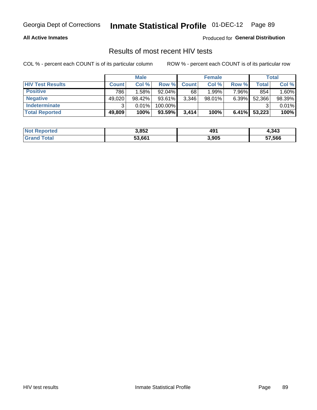#### **All Active Inmates**

Produced for **General Distribution**

### Results of most recent HIV tests

|                         | <b>Male</b>  |        |           | <b>Female</b> |           |          | Total  |        |
|-------------------------|--------------|--------|-----------|---------------|-----------|----------|--------|--------|
| <b>HIV Test Results</b> | <b>Count</b> | Col%   | Row %I    | <b>Count</b>  | Col %     | Row %    | Total  | Col %  |
| <b>Positive</b>         | 786          | 1.58%  | $92.04\%$ | 68            | 1.99%     | 7.96%    | 854    | 1.60%  |
| <b>Negative</b>         | 49,020       | 98.42% | 93.61%    | 3,346         | $98.01\%$ | 6.39%    | 52,366 | 98.39% |
| Indeterminate           | າ            | 0.01%  | 100.00%   |               |           |          |        | 0.01%  |
| <b>Total Reported</b>   | 49,809       | 100%   | 93.59%    | 3,414         | 100%      | $6.41\%$ | 53,223 | 100%   |

| <b>Not Reported</b> | 3,852  | 491   | 4,343  |
|---------------------|--------|-------|--------|
| <b>Total</b>        | 53,661 | 3,905 | 57,566 |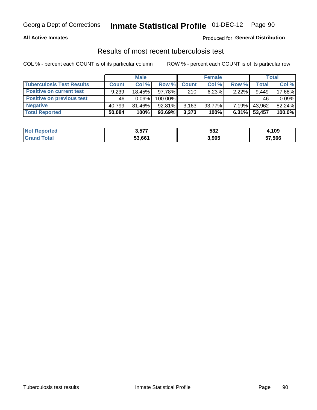#### **All Active Inmates**

#### Produced for **General Distribution**

### Results of most recent tuberculosis test

|                                  | <b>Male</b>  |          |           | <b>Female</b> |        |          | Total        |        |
|----------------------------------|--------------|----------|-----------|---------------|--------|----------|--------------|--------|
| <b>Tuberculosis Test Results</b> | <b>Count</b> | Col%     | Row %     | <b>Count</b>  | Col %  | Row %    | <b>Total</b> | Col %  |
| <b>Positive on current test</b>  | 9,239        | 18.45%   | 97.78%I   | 210           | 6.23%  | $2.22\%$ | 9,449        | 17.68% |
| <b>Positive on previous test</b> | 46           | $0.09\%$ | 100.00%   |               |        |          | 46           | 0.09%  |
| <b>Negative</b>                  | 40.799       | 81.46%   | 92.81%    | 3,163         | 93.77% | $7.19\%$ | 43,962       | 82.24% |
| <b>Total Reported</b>            | 50,084       | 100%     | $93.69\%$ | 3,373         | 100%   | $6.31\%$ | 53,457       | 100.0% |

| <b>Not Reported</b> | 3,577  | 532   | <b>↓,109</b> |
|---------------------|--------|-------|--------------|
| Total               | 53,661 | 3,905 | 57,566       |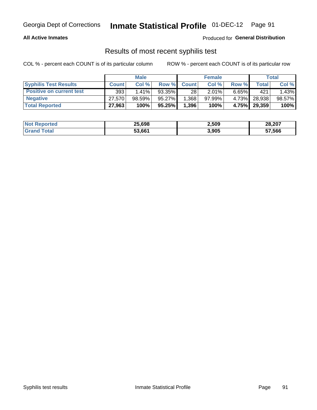#### **All Active Inmates**

Produced for **General Distribution**

### Results of most recent syphilis test

|                                 | <b>Male</b>  |           |           | <b>Female</b> |           |          | Total   |        |
|---------------------------------|--------------|-----------|-----------|---------------|-----------|----------|---------|--------|
| <b>Syphilis Test Results</b>    | <b>Count</b> | Col%      | Row %     | <b>Count</b>  | Col %     | Row %    | Total I | Col %  |
| <b>Positive on current test</b> | 393          | $1.41\%$  | 93.35%    | 28            | $2.01\%$  | $6.65\%$ | 421     | 1.43%  |
| <b>Negative</b>                 | 27,570       | $98.59\%$ | 95.27%    | .368          | $97.99\%$ | 4.73%    | 28,938  | 98.57% |
| <b>Total Reported</b>           | 27,963       | 100%      | $95.25\%$ | 1,396         | 100%      | 4.75%    | 29,359  | 100%   |

| <b>Not Reported</b> | 25,698 | 2,509 | 28,207 |
|---------------------|--------|-------|--------|
| <b>Grand Total</b>  | 53.661 | 3,905 | 57,566 |